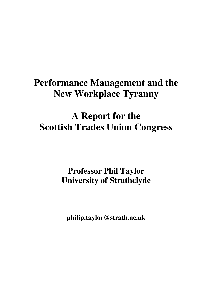# **Performance Management and the New Workplace Tyranny**

# **A Report for the Scottish Trades Union Congress**

# **Professor Phil Taylor University of Strathclyde**

**philip.taylor@strath.ac.uk**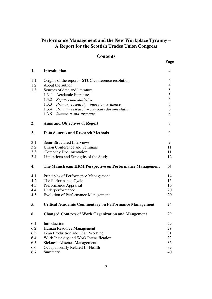# **Performance Management and the New Workplace Tyranny – A Report for the Scottish Trades Union Congress**

# **Contents**

| 1.  | <b>Introduction</b>                                           | $\overline{4}$ |  |
|-----|---------------------------------------------------------------|----------------|--|
| 1.1 | Origins of the report – STUC conference resolution            | 4              |  |
| 1.2 | About the author                                              |                |  |
| 1.3 | Sources of data and literature                                | 5              |  |
|     | 1.3.1 Academic literature                                     | 5              |  |
|     | 1.3.2 Reports and statistics                                  | 6              |  |
|     | 1.3.3 Primary research - interview evidence                   | 6              |  |
|     | 1.3.4 Primary research - company documentation                | 6              |  |
|     | 1.3.5 Summary and structure                                   | 6              |  |
| 2.  | <b>Aims and Objectives of Report</b>                          | 8              |  |
| 3.  | <b>Data Sources and Research Methods</b>                      | 9              |  |
| 3.1 | Semi-Structured Interviews                                    | 9              |  |
| 3.2 | <b>Union Conference and Seminars</b>                          | 11             |  |
| 3.3 | <b>Company Documentation</b>                                  | 11             |  |
| 3.4 | Limitations and Strengths of the Study                        | 12             |  |
| 4.  | The Mainstream HRM Perspective on Performance Management      | 14             |  |
| 4.1 | Principles of Performance Management                          | 14             |  |
| 4.2 | The Performance Cycle                                         | 15             |  |
| 4.3 | Performance Appraisal                                         | 16             |  |
| 4.4 | Underperformance                                              | 20             |  |
| 4.5 | <b>Evolution of Performance Management</b>                    | 20             |  |
| 5.  | <b>Critical Academic Commentary on Performance Management</b> | 24             |  |
| 6.  | <b>Changed Contexts of Work Organization and Mangement</b>    | 29             |  |
| 6.1 | Introduction                                                  | 29             |  |
| 6.2 | Human Resource Management                                     | 29             |  |
| 6.3 | Lean Production and Lean Working                              | 31             |  |
| 6.4 | Work Intensity and Work Intensification                       | 33             |  |
| 6.5 | <b>Sickness Absence Management</b>                            | 36             |  |
| 6.6 | Occupationally Related Ill-Health                             | 39             |  |
| 6.7 | Summary                                                       | 40             |  |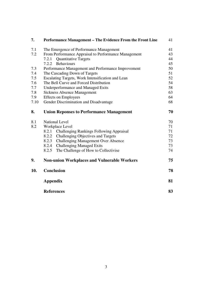| 7.   | <b>Performance Management – The Evidence From the Front Line</b> | 41 |
|------|------------------------------------------------------------------|----|
| 7.1  | The Emergence of Performance Management                          | 41 |
| 7.2  | From Performance Appraisal to Performance Management             | 43 |
|      | <b>Quantitative Targets</b><br>7.2.1                             | 44 |
|      | <b>Behaviours</b><br>7.2.2                                       | 45 |
| 7.3  | Performance Management and Performance Improvement               | 50 |
| 7.4  | The Cascading Down of Targets                                    | 51 |
| 7.5  | Escalating Targets, Work Intensification and Lean                | 52 |
| 7.6  | The Bell Curve and Forced Distribution                           | 54 |
| 7.7  | <b>Underperformance and Managed Exits</b>                        | 58 |
| 7.8  | <b>Sickness Absence Management</b>                               | 63 |
| 7.9  | <b>Effects on Employees</b>                                      | 64 |
| 7.10 | Gender Discrimination and Disadvantage                           | 68 |
| 8.   | <b>Union Reponses to Performance Management</b>                  | 70 |
| 8.1  | <b>National Level</b>                                            | 70 |
| 8.2  | Workplace Level                                                  | 71 |
|      | <b>Challenging Rankings Following Appraisal</b><br>8.2.1         | 71 |
|      | 8.2.2 Challenging Objectives and Targets                         | 72 |
|      | 8.2.3 Challenging Management Over Absence                        | 73 |
|      | 8.2.4 Challenging Managed Exits                                  | 73 |
|      | 8.2.5<br>The Challenge of How to Collectivise                    | 74 |
| 9.   | <b>Non-union Workplaces and Vulnerable Workers</b>               | 75 |
| 10.  | Conclusion                                                       | 78 |
|      | <b>Appendix</b>                                                  | 81 |
|      | <b>References</b>                                                | 83 |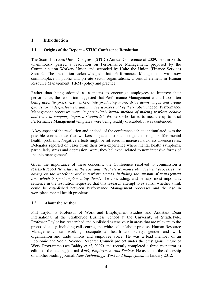# **1. Introduction**

# **1.1 Origins of the Report – STUC Conference Resolution**

The Scottish Trades Union Congress (STUC) Annual Conference of 2009, held in Perth, unanimously passed a resolution on Performance Management, proposed by the Communication Workers Union and seconded by Unite the Union (Finance Services Sector). The resolution acknowledged that Performance Management was now commonplace in public and private sector organisations, a central element in Human Resource Management (HRM) policy and practice.

Rather than being adopted as a means to encourage employees to improve their performance, the resolution suggested that Performance Management was all too often being used *'to pressurise workers into producing more, drive down wages and create quotas for underperformers and manage workers out of their jobs'.* Indeed, Performance Management processes were *'a particularly brutal method of making workers behave and react to company imposed standards'.* Workers who failed to measure up to strict Performance Management templates were being readily discarded, it was contended.

A key aspect of the resolution and, indeed, of the conference debate it stimulated, was the possible consequence that workers subjected to such exigencies might suffer mental health problems. Negative effects might be reflected in increased sickness absence rates. Delegates reported on cases from their own experience where mental health symptoms, particularly stress and depression, were, they believed, related to new intensive forms of 'people management'.

Given the importance of these concerns, the Conference resolved to commission a research report *'to establish the cost and affect Performance Management processes are having on the workforce and in various sectors, including the amount of management time which is spent implementing them'*. The concluding, and perhaps most important, sentence in the resolution requested that this research attempt to establish whether a link could be established between Performance Management processes and the rise in workplace mental health problems.

# **1.2 About the Author**

Phil Taylor is Professor of Work and Employment Studies and Assistant Dean International at the Strathclyde Business School at the University of Strathclyde. Professor Taylor has researched and published extensively in areas that are relevant to the proposed study, including call centres, the white collar labour process, Human Resource Management, lean working, occupational health and safety, gender and work organization and trade unions and employee voice. He was a lead member of an Economic and Social Science Research Council project under the prestigious Future of Work Programme (see Baldry *et al*, 2007) and recently completed a three-year term as editor of the leading journal *Work, Employment and Society*. He assumed the editorship of another leading journal, *New Technology, Work and Employment* in January 2012.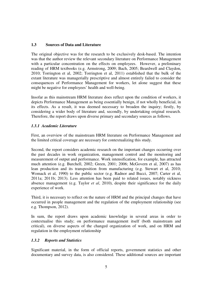### **1.3 Sources of Data and Literature**

The original objective was for the research to be exclusively desk-based. The intention was that the author review the relevant secondary literature on Performance Management with a particular concentration on the effects on employees. However, a preliminary reading of HRM textbooks (e.g. Armstrong, 2009; Bach, 2005; Beardwell and Claydon, 2010; Torrington et al, 2002; Torrington et al, 2011) established that the bulk of the extant literature was managerially prescriptive and almost entirely failed to consider the consequences of Performance Management for workers, let alone suggest that these might be negative for employees' health and well-being.

Insofar as this mainstream HRM literature does reflect upon the condition of workers, it depicts Performance Management as being essentially benign, if not wholly beneficial, in its effects. As a result, it was deemed necessary to broaden the inquiry; firstly, by considering a wider body of literature and, secondly, by undertaking original research. Therefore, the report draws upon diverse primary and secondary sources as follows.

## *1.3.1 Academic Literature*

First, an overview of the mainstream HRM literature on Performance Management and the limited critical coverage are necessary for contextualizing this study.

Second, the report considers academic research on the important changes occurring over the past decades in work organization, management control and the monitoring and measurement of output and performance. Work intensification, for example, has attracted much attention (e.g. Burchell, 2002; Green, 2001; 2006; McGovern et al, 2007) as has lean production and its transposition from manufacturing (e.g. Stewart et al, 2010; Womack et al, 1990) to the public sector (e.g. Radnor and Bucci, 2007; Carter et al, 2011a; 2011b; 2013). Less attention has been paid to related issues, notably sickness absence management (e.g. Taylor *et al*, 2010), despite their significance for the daily experience of work.

Third, it is necessary to reflect on the nature of HRM and the principal changes that have occurred in people management and the regulation of the employment relationship (see e.g. Thompson, 2012).

In sum, the report draws upon academic knowledge in several areas in order to contextualise this study; on performance management itself (both mainstream and critical), on diverse aspects of the changed organization of work, and on HRM and regulation in the employment relationship

# *1.3.2 Reports and Statistics*

Significant material, in the form of official reports, government statistics and other documentary and survey data, is also considered. These additional sources are important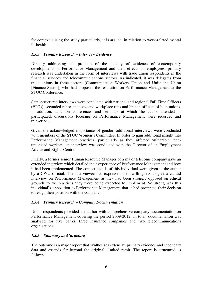for contextualising the study particularly, it is argued, in relation to work-related mental ill-health.

# *1.3.3 Primary Research – Interview Evidence*

Directly addressing the problem of the paucity of evidence of contemporary developments in Performance Management and their effects on employees, primary research was undertaken in the form of interviews with trade union respondents in the financial services and telecommunications sectors. As indicated, it was delegates from trade unions in these sectors (Communication Workers Union and Unite the Union [Finance Sector]) who had proposed the resolution on Performance Management at the STUC Conference

Semi-structured interviews were conducted with national and regional Full Time Officers (FTOs), seconded representatives and workplace reps and branch officers of both unions. In addition, at union conferences and seminars at which the author attended or participated, discussions focusing on Performance Management were recorded and transcribed.

Given the acknowledged importance of gender, additional interviews were conducted with members of the STUC Women's Committee. In order to gain additional insight into Performance Management practices, particularly as they affected vulnerable, nonunionised workers, an interview was conducted with the Director of an Employment Advice and Rights Centre.

Finally, a former senior Human Resource Manager of a major telecoms company gave an extended interview which detailed their experience of Performance Management and how it had been implemented. The contact details of this individual were given to the author by a CWU official. The interviewee had expressed their willingness to give a candid interview on Performance Management as they had been strongly opposed on ethical grounds to the practices they were being expected to implement. So strong was this individual's opposition to Performance Management that it had prompted their decision to resign their position with the company.

# *1.3.4 Primary Research – Company Documentation*

Union respondents provided the author with comprehensive company documentation on Performance Management covering the period 2009-2012. In total, documentation was analysed for five banks, three insurance companies and two telecommunications organisations.

# *1.3.5 Summary and Structure*

The outcome is a major report that synthesises extensive primary evidence and secondary data and extends far beyond the original, limited remit. The report is structured as follows.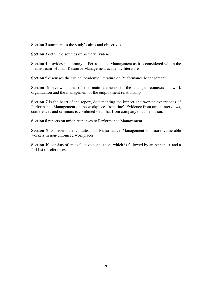**Section 2** summarises the study's aims and objectives.

**Section 3** detail the sources of primary evidence.

**Section 4** provides a summary of Perfromance Management as it is considered within the 'mainstream' Human Resource Management academic literature.

**Section 5** discusses the critical academic literature on Performance Management.

Section 6 reveiws some of the main elements in the changed contexts of work organization and the management of the employment relationship.

**Section 7** is the heart of the report, documenting the impact and worker experiences of Performance Management on the workplace 'front line'. Evidence from union interviews, conferences and seminars is combined with that from company documentation.

**Section 8** reports on union responses to Performance Management.

**Section 9** considers the condition of Performance Management on more vulnerable workers in non-unionised workplaces.

Section 10 consists of an evaluative conclusion, which is followed by an Appendix and a full list of references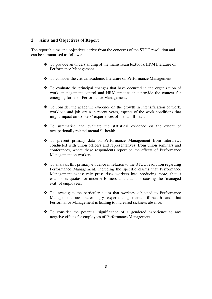### **2 Aims and Objectives of Report**

The report's aims and objectives derive from the concerns of the STUC resolution and can be summarised as follows:

- \* To provide an understanding of the mainstream textbook HRM literature on Performance Management.
- To consider the critical academic literature on Performance Management.
- $\hat{\cdot}$  To evaluate the principal changes that have occurred in the organization of work, management control and HRM practice that provide the context for emerging forms of Performance Management.
- $\cdot \cdot$  To consider the academic evidence on the growth in intensification of work, workload and job strain in recent years, aspects of the work conditions that might impact on workers' experiences of mental ill-health.
- To summarise and evaluate the statistical evidence on the extent of occupationally related mental ill-health.
- To present primary data on Performance Management from interviews conducted with union officers and representatives, from union seminars and conferences, where these respondents report on the effects of Performance Management on workers.
- To analysis this primary evidence in relation to the STUC resolution regarding Performance Management, including the specific claims that Performance Management excessively pressurises workers into producing more, that it establishes quotas for underperformers and that it is causing the 'managed exit' of employees.
- To investigate the particular claim that workers subjected to Performance Management are increasingly experiencing mental ill-health and that Performance Management is leading to increased sickness absence.
- $\div$  To consider the potential significance of a gendered experience to any negative effects for employees of Performance Management.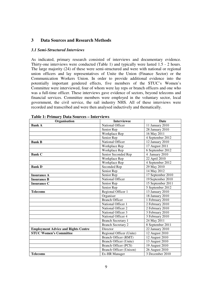# **3 Data Sources and Research Methods**

#### *3.1 Semi-Structured Interviews*

As indicated, primary research consisted of interviews and documentary evidence. Thirty-one interviews were conducted (Table 1) and typically were lasted 1.5 - 2 hours. The large majority (24) of these were semi-structured and were with national or regional union officers and lay representatives of Unite the Union (Finance Sector) or the Communication Workers Union. In order to provide additional evidence into the potentially important gendered effects, five members of the STUC's Women's Committee were interviewed, four of whom were lay reps or branch officers and one who was a full-time officer. These interviews gave evidence of sectors, beyond telecoms and financial services. Committee members were employed in the voluntary sector, local government, the civil service, the rail industry NHS. All of these interviews were recorded and transcribed and were then analysed inductively and thematically.

| Organisation                               | <b>Interviewee</b>             | Date                         |
|--------------------------------------------|--------------------------------|------------------------------|
| <b>Bank A</b>                              | National Officer               | 11 January 2010              |
|                                            | Senior Rep                     | 28 January 2010              |
|                                            | Workplace Rep                  | 16 May 2011                  |
|                                            | Senior Rep                     | 4 September 2012             |
| <b>Bank B</b>                              | National Officer               | 12 January 2010              |
|                                            | Workplace Rep                  | 17 August 2011               |
|                                            | Workplace Rep                  | 6 September 2012             |
| <b>Bank C</b>                              | Senior Seconded Rep            | 4 January 2010               |
|                                            | Workplace Rep                  | 22 April 2010                |
|                                            | Workplace Rep                  | 4 September 2012             |
| <b>Bank D</b>                              | Seconded Rep                   | 29 May 2010                  |
|                                            | Senior Rep                     | 14 May 2012                  |
| <b>Insurance A</b>                         | Senior Rep                     | 17 September 2010            |
| <b>Insurance B</b>                         | National Officer               | 19 September 2010            |
| <b>Insurance C</b>                         | Senior Rep                     | 15 September 2011            |
|                                            | Senior Rep                     | 5 September 2012             |
| <b>Telecoms</b>                            | Regional Officer 1             | 13 January 2010              |
|                                            | Organiser                      | 18 January 2010              |
|                                            | <b>Branch Officer</b>          | 1 February 2010              |
|                                            | National Officer 1             | 2 February 2010              |
|                                            | National Officer 2             | 2 February 2010              |
|                                            | National Officer 3             | 3 February 2010              |
|                                            | National Officer 4             | 3 February 2010              |
|                                            | <b>Branch Secretary 1</b>      | 24 May 2011                  |
|                                            | <b>Branch Secretary 2</b>      | 8 September 2011             |
| <b>Employment Advice and Rights Centre</b> | Director                       | $\overline{22}$ January 2010 |
| <b>STUC Women's Committee</b>              | Regional Officer (Unite)       | 12 August 2010               |
|                                            | Branch Officer (RMT)           | 12 August 2010               |
|                                            | Branch Officer (Unite)         | 13 August 2010               |
|                                            | Branch Officer (PCS)           | 19 August 2010               |
|                                            | <b>Branch Officer (Unison)</b> | 26 August 2010               |
| <b>Telecoms</b>                            | Ex-HR Manager                  | 3 December 2010              |

**Table 1: Primary Data Sources – Interviews**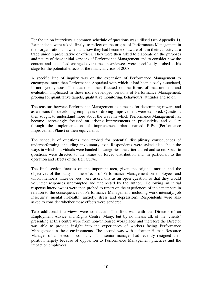For the union interviews a common schedule of questions was utilised (see Appendix 1). Respondents were asked, firstly, to reflect on the origins of Performance Management in their organisation and when and how they had become of aware of it in their capacity as a trade union representative or officer. They were then asked to elaborate on the purposes and nature of these initial versions of Performance Management and to consider how the content and detail had changed over time. Interviewees were specifically probed at his stage for the potential effects of the financial crisis of 2008.

A specific line of inquiry was on the expansion of Performance Management to encompass more than Performance Appraisal with which it had been closely associated, if not synonymous. The questions then focused on the forms of measurement and evaluation implicated in these more developed versions of Performance Management, probing for quantitative targets, qualitative monitoring, behaviours, attitudes and so on.

The tensions between Performance Management as a means for determining reward and as a means for developing employees or driving improvement were explored. Questions then sought to understand more about the ways in which Performance Management has become increasingly focused on driving improvements in productivity and quality through the implementation of improvement plans named PIPs (Performance Improvement Plans) or their equivalents.

The schedule of questions then probed for potential disciplinary consequences of underperforming, including involuntary exit. Respondents were asked also about the ways in which individuals were banded in categories, the criteria used and so on. Specific questions were directed to the issues of forced distribution and, in particular, to the operation and effects of the Bell Curve.

The final section focuses on the important area, given the original motion and the objectives of the study, of the effects of Performance Management on employees and union members. Interviewees were asked this as an open question so that they would volunteer responses unprompted and undirected by the author. Following an initial response interviewees were then probed to report on the experiences of their members in relation to the consequences of Performance Management, including work intensity, job insecurity, mental ill-health (anxiety, stress and depression). Respondents were also asked to consider whether these effects were gendered.

Two additional interviews were conducted. The first was with the Director of an Employment Advice and Rights Centre. Many, but by no means all, of the 'clients' presenting at this centre were from non-unionised workplaces and therefore the Director was able to provide insight into the experiences of workers facing Performance Management in these environments. The second was with a former Human Resource Manager of a Telecoms company. This senior manager had recently resigned their position largely because of opposition to Performance Management practices and the impact on employees.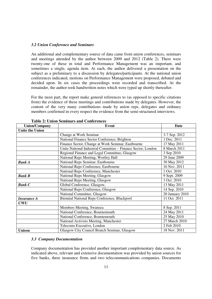#### *3.2 Union Conference and Seminars*

An additional and complementary source of data came from union conferences, seminars and meetings attended by the author between 2009 and 2012 (Table 2). There were twenty-one of these in total and Performance Management was an important, and sometimes a single, agenda item. At each, the author delivered a presentation on the subject as a preliminary to a discussion by delegates/participants. At the national union conferences indicated, motions on Performance Management were proposed, debated and decided upon. In six cases the proceedings were recorded and transcribed. At the remainder, the author took handwritten notes which were typed up shortly thereafter.

For the most part, the report make general references to (as opposed to specific citations from) the evidence of these meetings and contributions made by delegates. However, the content of the very many contributions made by union reps, delegates and ordinary members confirmed in every respect the evidence from the semi-structured interviews.

| <b>Union/Company</b>   | <b>Event</b>                                                 | <b>Date</b>     |
|------------------------|--------------------------------------------------------------|-----------------|
| <b>Unite the Union</b> |                                                              |                 |
|                        | Change at Work Seminar                                       | 3-7 Sep. 2012   |
|                        | National Finance Sector Conference, Brighton                 | 1 Dec. 2011     |
|                        | Finance Sector, Change at Work Seminar, Eastbourne           | 17 May 2011     |
|                        | Unite National Industrial Committee - Finance Sector, London | 8 March 2011    |
|                        | Regional Finance and Legal Committee, Glasgow                | 3 Sep 2010      |
|                        | National Reps Meeting, Wortley Hall                          | 29 June 2009    |
| <b>Bank A</b>          | National Reps Seminar, Eastbourne                            | 30 May 2012     |
|                        | National Reps Conference, Eastbourne                         | 16 Nov. 2011    |
|                        | National Reps Conference, Manchester                         | 1 Oct. 2010     |
| <b>Bank B</b>          | National Reps Meeting, Glasgow                               | 9 Sept. 2009    |
|                        | National Reps Meeting, Glasgow                               | 1 Oct. 2010     |
| <b>Bank C</b>          | Global Conference, Glasgow,                                  | 13 May 2011     |
|                        | National Reps Conference, Glasgow                            | 14 Sep. 2010    |
|                        | National Committee, Glasgow                                  | 20 January 2010 |
| <b>Insurance A</b>     | Biennial National Reps Conference, Blackpool                 | 11 Oct. 2011    |
| <b>CWU</b>             |                                                              |                 |
|                        | Members Meeting, Swansea                                     | 8 Sep. 2011     |
|                        | National Conference, Bournemouth                             | 24 May 2011     |
|                        | National Conference, Bournemouth                             | 25 May 2010     |
|                        | National Activists Meeting, Manchester                       | 27 March 2010   |
|                        | Telecoms Executive, London                                   | 2 Feb 2010      |
| <b>Unison</b>          | Glasgow City Council Branch Seminar, Glasgow                 | 18 Nov. 2011    |

**Table 2: Union Seminars and Conferences** 

#### *3.3 Company Documentation*

Company documentation has provided another important complementary data source. As indicated above, relevant and extensive documentation was provided by union sources for five banks, three insurance firms and two telecommunications companies. Documents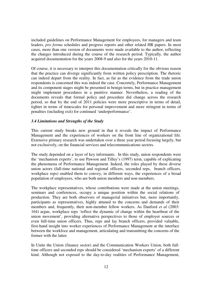included guidelines on Performance Management for employees, for managers and team leaders, *pro forma* schedules and progress reports and other related HR papers. In most cases, more than one version of documents were made available to the author, reflecting the changes introduced during the course of the research period. Typically, the author acquired documentation for the years 2008-9 and also for the years 2010-11.

Of course, it is necessary to interpret this documentation critically for the obvious reason that the practice can diverge significantly from written policy prescription. The rhetoric can indeed depart from the reality. In fact, as far as the evidence from the trade union respondents is concerned this was indeed the case. Concretely, Performance Management and its component stages might be presented in benign terms, but in practice management might implement procedures in a punitive manner. Nevertheless, a reading of the documents reveals that formal policy and procedure did change across the research period, so that by the end of 2011 policies were more prescriptive in terms of detail, tighter in terms of timescales for personal improvement and more stringent in terms of penalties (including exit) for continued 'underperformance'.

#### *3.4 Limitations and Strengths of the Study*

This current study breaks new ground in that it reveals the impact of Performance Management and the experiences of workers on the front line of organizational life. Extensive primary research was undertaken over a three year period focusing largely, but not exclusively, on the financial services and telecommunications sectors.

The study depended on a layer of key informants. In this study, union respondents were the 'mechanism experts', to use Pawson and Tilley's (1997) term, capable of explicating the phenomena of Performance Management. Indeed, the roles played by these diverse union actors (full-time national and regional officers, seconded reps, branch officers, workplace reps) enabled them to convey, in different ways, the experiences of a broad population of employees, who are both union members and non-members.

The workplace representatives, whose contributions were made at the union meetings, seminars and conferences, occupy a unique position within the social relations of production. They are both observers of managerial initiatives but, more importantly, participants as representatives, highly attuned to the concerns and demands of their members and, frequently, their non-member fellow workers. As Danford *et al* (2003: 164) argue, workplace reps 'reflect the dynamic of change within the heartbeat of the union movement', providing alternative perspectives to those of employer sources or even full-time union officers. Thus, reps and lay branch officers, provided valuable, first-hand insight into worker experiences of Performance Management at the interface between the workfoce and management, articulating and transmitting the concerns of the former with the latter.

In Unite the Union (finance sector) and the Communication Workers Union, both fulltime officers and seconded reps should be considered 'mechanism experts' of a different kind. Although not exposed to the day-to-day realities of Performance Management,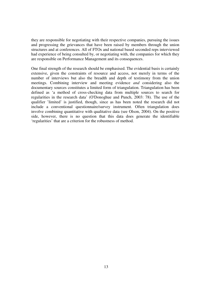they are responsible for negotiating with their respective companies, pursuing the issues and progressing the grievances that have been raised by members through the union structures and at conferences. All of FTOs and national based seconded reps interviewed had experience of being consulted by, or negotiating with, the companies for which they are responsible on Performance Management and its consequences.

One final strength of the research should be emphasised. The evidential basis is certainly extensive, given the constraints of resource and access, not merely in terms of the number of interviews but also the breadth and depth of testimony from the union meetings. Combining interview and meeting evidence *and* considering also the documentary sources constitutes a limited form of triangulation. Triangulation has been defined as 'a method of cross-checking data from multiple sources to search for regularities in the research data' (O'Donoghue and Punch, 2003: 78). The use of the qualifier 'limited' is justified, though, since as has been noted the research did not include a conventional questionnaire/survey instrument. Often triangulation does involve combining quantitative with qualitative data (see Olson, 2004). On the positive side, however, there is no question that this data does generate the identifiable 'regularities' that are a criterion for the robustness of method.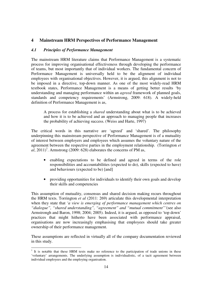# **4 Mainstream HRM Perspectives of Performance Management**

### *4.1 Principles of Performance Management*

The mainstream HRM literature claims that Performance Management is a systematic process for improving organisational effectiveness through developing the performance of teams, but most importantly that of individual workers. The fundamental concern of Performance Management is universally held to be the alignment of individual employees with organisational objectives. However, it is argued, this alignment is not to be imposed in a directive, top-down manner. As one of the most widely-read HRM textbook states, Performance Management is a means of getting better results 'by understanding and managing performance within an *agreed* framework of planned goals, standards and competency requirements' (Armstrong, 2009: 618). A widely-held definition of Performance Management is as,

A process for establishing a *shared* understanding about what is to be achieved and how it is to be achieved and an approach to managing people that increases the probability of achieving success. (Weiss and Harte, 1997)

The critical words in this narrative are 'agreed' and 'shared'. The philosophy underpinning this mainstream perspective of Performance Management is of a mutuality of interest between employers and employees which assumes the voluntary nature of the agreement between the respective parties in the employment relationship. (Torrington *et*   $al$ , 2011)<sup>1</sup>. Armstrong (2009: 628) elaborates the concerns of PM as,

- enabling expectations to be defined and agreed in terms of the role responsibilities and accountabilities (expected to do), skills (expected to have) and behaviours (expected to be) [and]
- providing opportunities for individuals to identify their own goals and develop their skills and competencies

This assumption of mutuality, consensus and shared decision making recurs throughout the HRM texts. Torrington *et al* (2011: 269) articulate this developmental interpretation when they state that *'a view is emerging of performance management which centres on "dialogue", "shared understanding", "agreement" and "mutual commitment"'*(see also Armstrongh and Baron, 1998; 2004; 2005). Indeed, it is argued, as opposed to 'top down' practices that might hitherto have been associated with performance appraisal, organisations are now increasingly emphasising that employees should take greater ownership of their performance management.

These assumptions are reflected in virtually all of the company documentation reviewed in this study.

<sup>&</sup>lt;sup>1</sup> It is notable that these HRM texts make no reference to the participation of trade unions in these 'voluntary' arrangements. The underlying assumption is individualistic, of a tacit agreement between individual employees and the employing organisation.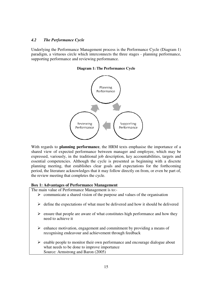### *4.2 The Performance Cycle*

Underlying the Performance Management process is the Performance Cycle (Diagram 1) paradigm, a virtuous circle which interconnects the three stages - planning performance, supporting performance and reviewing performance.

**Diagram 1: The Performance Cycle** 



With regards to **planning performance**, the HRM texts emphasise the importance of a shared view of expected performance between manager and employee, which may be expressed, variously, in the traditional job description, key accountabilities, targets and essential competencies. Although the cycle is presented as beginning with a discrete planning meeting, that establishes clear goals and expectations for the forthcoming period, the literature acknowledges that it may follow directly on from, or even be part of, the review meeting that completes the cycle.

# **Box 1: Advantages of Performance Management**

The main value of Performance Management is to:-

- > communicate a shared vision of the purpose and values of the organisation
- > define the expectations of what must be delivered and how it should be delivered
- > ensure that people are aware of what constitutes high performance and how they need to achieve it
- enhance motivation, engagement and commitment by providing a means of recognising endeavour and achievement through feedback
- > enable people to monitor their own performance and encourage dialogue about what needs to be done to improve importance Source: Armstrong and Baron (2005)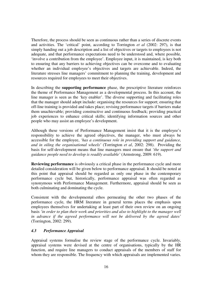Therefore, the process should be seen as continuous rather than a series of discrete events and activities. The 'critical' point, according to Torrington *et al* (2002: 297), is that simply handing out a job description and a list of objectives or targets to employees is not adequate, and that performance expectations need to be understood and, where possible, 'involve a contribution from the employee'. Employee input, it is maintained, is key both to ensuring that any barriers to achieving objectives can be overcome and to evaluating whether an individual employee's objectives and targets are achievable. Indeed, the literature stresses line managers' commitment to planning the training, development and resources required for employees to meet their objectives.

In describing the **supporting performance** phase, the prescriptive literature reinforces the theme of Performance Management as a developmental process. In this account, the line manager is seen as the 'key enabler'. The diverse supporting and facilitating roles that the manager should adopt include: organising the resources for support; ensuring that off-line training is provided and takes place; revising performance targets if barriers make them unachievable; providing constructive and continuous feedback; providing practical job experiences to enhance critical skills; identifying information sources and other people who may assist an employee's development.

Although these versions of Performance Management insist that it is the employee's responsibility to achieve the agreed objectives, the manager, who must always be accessible for the employee, *'has a continuous role in providing support and guidance, and in oiling the organisational wheels'* (Torrington *et al*, 2002: 298). Providing the basis for self-development means that line managers must ensure that *'the support and guidance people need to develop is readily available'* (Armstrong, 2009: 619).

**Reviewing performance** is obviously a critical phase in the performance cycle and more detailed consideration will be given below to performance appraisal. It should be noted at this point that appraisal should be regarded as only one phase in the contemporary performance cycle but, historically, performance appraisal was often regarded as synonymous with Performance Management. Furthermore, appraisal should be seen as both culminating and dominating the cycle.

Consistent with the developmental ethos permeating the other two phases of the performance cycle, the HRM literature in general terms places the emphasis upon employees themselves for undertaking at least part of their own review on an ongoing basis *'in order to plan their work and priorities and also to highlight to the manager well in advance if the agreed performance will not be delivered by the agreed dates'*  (Torrington, 2002: 299).

# *4.3 Performance Appraisal*

Appraisal systems formalise the review stage of the performance cycle. Invariably, appraisal systems were devised at the centre of organisations, typically by the HR function, and require line managers to conduct appraisals of the members of staff for whom they are responsible. The frequency with which appraisals are implemented varies.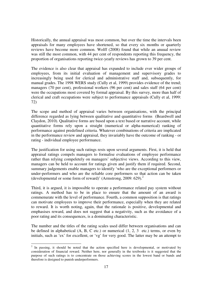Historically, the annual appraisal was most common, but over the time the intervals been appraisals for many employees have shortened, so that every six months or quarterly reviews have become more common. Wolff (2008) found that while an anuual review was still the most common, with 44 per cent of respondents reporting this frequency, the proportion of organisations reporting twice-yearly reviews has grown to 39 per cent.

The evidence is also clear that appraisal has expanded to include ever wider groups of employees, from its initial evaluation of management and supervisory grades to increasingly being used for clerical and administrative staff and, subsequently, for manual grades. The 1998 WERS study (Cully et al, 1999) provides evidence of the trend; managers (70 per cent), professional workers (96 per cent) and sales staff (64 per cent) were the occupations most covered by formal appraisal. By this survey, more than half of clerical and craft occupations were subject to performance appraisals (Cully et al, 1999: 72)

The scope and method of appraisal varies between organisations, with the principal difference regarded as lying between qualitative and quantitative forms (Beardwell and Claydon, 2010). Qualitative forms are based upon a text based or narrative account, while quantitative forms rely upon a straight (numerical or alpha-numerical) ranking of performance against predefined criteria. Whatever combinations of criteria are implicated in the performance review and appraisal, they invariably have the outcome of ranking - or rating - individual employee performance.

The justification for using such ratings rests upon several arguments. First, it is held that appraisal ratings compels managers to formalise evaluations of employee performance rather than relying compeletely on managers' subjective views. According to this view, managers can be held to account for ratings given and justify them if required. Second, summary judgements enable managers to identify 'who are the exceptional performers or under-performers and who are the reliable core performers so that action can be taken (developmental or some form of reward)' (Armstrong, 2009: 629). $^2$ 

Third, it is argued, it is impossible to operate a performance related pay system without ratings. A method has to be in place to ensure that the amount of an award is commenurate with the level of performance. Fourth, a common supposition is that ratings can motivate employees to improve their performance, especially when they are related to reward. It is worth noting, again, that the rationale is positive, developmental and emphasises reward, and does not suggest that a negativity, such as the avoidance of a poor rating and its consequences, is a dominating characteristic.

The number and the titles of the rating scales used differ between organisations and can be defined in alphabetical  $(A, B, C$  etc.) or numerical  $(1, 2, 3)$  etc.) terms, or even by initials, such as 'ex' for excellent, or 'vg' for very good. The latter may be an attempt to

<sup>&</sup>lt;sup>2</sup> In passing, it should be noted that the action specified here is developmental, or motivated by consideration of financial reward. Neither here, nor generally in the textbooks is it suggested that the purpose of such ratings is to concentrate on those achieving scores in the lowest band or bands and therefore is designed to punish underperformers.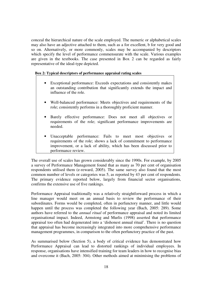conceal the hierarchical nature of the scale employed. The numeric or alphabetical scales may also have an adjective attached to them, such as a for excellent, b for very good and so on. Alternatively, or more commonly, scales may be accompanied by descriptors which specify the level of performance commensurate with the scale. Various examples are given in the textbooks. The case presented in Box 2 can be regarded as fairly representative of the ideal-type depicted.

#### **Box 2: Typical descriptors of performance appraisal rating scales**

- Exceptional performance: Exceeds expectations and consistently makes an outstanding contribution that significantly extends the impact and influence of the role.
- Well-balanced performance: Meets objectives and requirements of the role; consistently performs in a thoroughly proficient manner.
- Barely effective performance: Does not meet all objectives or requirements of the role; significant performance improvements are needed.
- Unacceptable performance: Fails to meet most objectives or requirements of the role; shows a lack of commitment to performance improvement, or a lack of ability, which has been discussed prior to performance review.

The overall use of scales has grown considerably since the 1990s. For example, by 2005 a survey of Performance Management found that as many as 70 per cent of organisation respondents utilised them (e-reward, 2005). The same survey also found that the most common number of levels or categories was 5, as reported by 43 per cent of respondents. The primary evidence reported below, largely from financial sector organisations, confirms the extensive use of five rankings.

Performance Appraisal traditionally was a relatively straightforward process in which a line manager would meet on an annual basis to review the performance of their subordinates. Forms would be completed, often in perfunctory manner, and little would happen until the process was completed the following year (Bach, 2005: 289). Some authors have referred to the *annual ritual* of performance appraisal and noted its limited organisational impact. Indeed, Armstong and Murlis (1998) asserted that performance appraisal too often had degenerated into a 'dishonest annual ritual'. There is no question that appraisal has become increasingly integrated into more comprehensive performance management programmes, in comparison to the often perfunctory practice of the past.

As summarised below (Section 5), a body of critical evidence has demonstrated how Performance Appraisal can lead to distorted rankings of individual employees. In response, organisations have intensified training for team leaders in how to recognise bias and overcome it (Bach, 2005: 304). Other methods aimed at minimising the problems of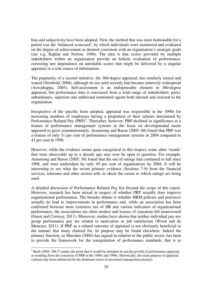bias and subjectivity have been adopted. First, the method that was most fashionable for a period was the 'balanced scorecard', by which individuals were monitored and evaluated on the degree of achievement as deemed consistent with an organisation's strategic goals (see e.g. Kaplan and Norton, 1996). The idea is that scores provided by multiple stakeholders within an organisation provide an holistic evaluation of performance, correcting any dependence on unreliable scores that might be delivered by a singular appraiser or a sole source of information.

The popularity of a second initiative, the 360-degree appraisal, has similarly waxed and waned (Newbold, 2008), although its use until recently had became relatively widespread (Aswathappa, 2005). Self-assessment is an indispensable element in 360-degree appraisal, but performance data is canvassed from a wide range of stakeholders; peers, subordinates, superiors and additional nominated agents both internal and external to the organisation.

Irrespective of the specific form adopted, appraisal was responsible in the 1990s for increasing numbers of employees having a proportion of their salaries determined by Performance Related Pay  $(PRP)^3$ . Thereafter, however, PRP declined in significance as a feature of performance management systems as the focus on developmental needs appeared to grow commensurately. Armstrong and Baron (2005: 68) found that PRP was a feature of only 31 per cent of performance management systems in 2004 compared to 43 per cent in 1998.

However, while the evidence seems quite categorical in this respect, some other 'trends' that were observable up to a decade ago may now be open to question. For example, Armstrong and Baron (2005: 58) found that the use of ratings had continued to fall since 1998, and were undertaken by only 49 per cent of organisations by 2004. It will be interesting to see what the recent primary evidence (Sections 7-9) from the financial services, telecoms and other sectors tells us about the extent to which ratings are being used.

A detailed discussion of Performance Related Pay lies beyond the scope of this report. However, research has been mixed in respect of whether PRP actually does improve organisational performance. The broader debate is whether HRM policies and practoces actually do lead to improvements in performance and, while an association has been confirmed between more extensive use of HR and various indicators of organisational performance, the associations are often modest and isssues of causation left unanswered (Guest and Conway, 2011). Moreover, studies have shown that neither individual pay nor group performance pay are related to motivation or job satisfaction (Wood and de Menezes, 2011). If PRP as a related outcome of appraisal is not obviously beneficial in the manner that many claimed for, its purpose may be found elsewhere. Indeed the primary function, as Marsden (2004) has argued in relation to the public sector, has been to provide the framework for the renegotiation of performance standards, that is to

<sup>&</sup>lt;sup>3</sup> Bach (2005: 296-7) makes the point that it would be mistaken to see the growth of performance appraisal as resulting from the extension of PRP in the 1980s and 1990s. Historically, the main purpose of appraisal schemes has been influenced by the dominant issues in personnel management practice.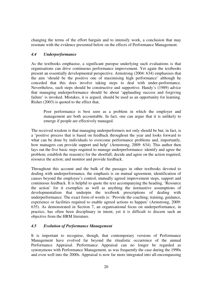changing the terms of the effort bargain and to intensify work, a conclusion that may resonate with the evidence presented below on the effects of Performance Management.

## *4.4 Underperformance*

As the textbooks emphasise, a significant puropse underlying such evaluations is that organisations can drive continuous performance improvement. Yet again the textbooks present an essentially developmental perspective. Armstrong (2004: 634) emphasises that the aim 'should be the positive one of maximising high performance' although he conceded that this does involve taking steps to deal with under-performance. Nevertheless, such steps should be constructive and supportive. Handy's (1989) advice that managing underperformance should be about 'applauding success and forgiving failure' is invoked. Mistakes, it is argued, should be used as an opportunity for learning. Risher (2003) is quoted to the effect that,

Poor performance is best seen as a problem in which the employer and management are both accountable. In fact, one can argue that it is unlikely to emerge if people are effectively managed.

The received wisdom is that managing underperformers not only should be but, in fact, is a 'positive process that is based on feedback throughout the year and looks forward to what can be done by individuals to overcome performance problems and, importantly, how managers can provide support and help' (Armstrong, 2009: 634). This author then lays out the five basic steps required to manage underperformance: identify and agree the problem; establish the reason(s) for the shortfall; decide and agree on the action required; resource the action; and monitor and provide feedback.

Throughout this account and the bulk of the passages in other textbooks devoted to dealing with underperformance, the emphasis is on mutual agreement, identification of causes beyond the employee's control, mutually agreed improvement steps, support and continuous feedback. It is helpful to quote the text accompanying the heading, 'Resource the action' for it exemplies as well as anything the normastive assumptions of developmentalism that underpin the textbook prescriptions of dealing with underperformance. The exact form of words is: 'Provide the coaching, training, guidance, experience or facilities required to enable agreed actions to happen' (Armstrong, 2009: 635). As demonstrated in Section 7, an organisational focus on underperformance, in practice, has often been disciplinary in intent, yet it is difficult to discern such an objective from the HRM literature.

# *4.5 Evolution of Performance Management*

It is important to recognise, though, that contemporary versions of Performance Management have evolved far beyond the ritualistic occurrence of the annual Performance Appraisal. Performance Appraisal can no longer be regarded as synonymous with Performance Management, as was frequently the case during the 1990s and even well into the 2000s. Appraisal is now far more integrated into all-encompassing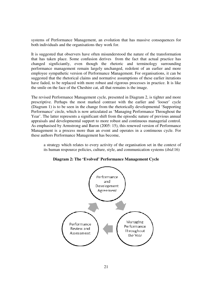systems of Performance Management, an evolution that has massive consequences for both individuals and the organisations they work for.

It is suggested that observers have often misunderstood the nature of the transformation that has taken place. Some confusion derives from the fact that actual practice has changed signficiantly, even though the rhetoric and terminology surrounding performance management remain largely unchanged, redolent of an earlier and more employee sympathetic version of Performance Management. For organisations, it can be suggested that the rhetorical claims and normative assumptions of these earlier iterations have faded, to be replaced with more robust and rigorous processes in practice. It is like the smile on the face of the Cheshire cat, all that remains is the image.

The revised Performance Management cycle, presented in Diagram 2, is tighter and more prescriptive. Perhaps the most marked contrast with the earlier and 'looser' cycle (Diagram 1) is to be seen in the change from the rhetorically developmental 'Supporting Performance' circle, which is now articulated as 'Managing Performance Throughout the Year'. The latter represents a significant shift from the episodic nature of previous annual appraisals and developmental support to more robust and continuous managerial control. As emphasised by Armstrong and Baron (2005: 15), this renewed version of Performance Management is a process more than an event and operates in a continuous cycle. For these authors Performance Management has become,

a strategy which relates to every activity of the organisation set in the context of its human respource policies, culture, style, and communication systems (*ibid*:16)



#### **Diagram 2: The 'Evolved' Performance Management Cycle**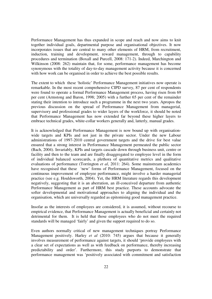Performance Management has thus expanded in scope and reach and now aims to knit together individual goals, departmental purpose and organisational objectives. It now incorporates issues that are central to many other elements of HRM, from recruitment, induction, training and development, reward management, through to capability procedures and termination (Boxall and Purcell, 2008: 171-2). Indeed, Marchington and Wilkinson (2008: 262) maintain that, for some, performance management has become synonymous with the totality of day-to-day management activity because it is concerned with how work can be organised in order to achieve the best possible results.

The extent to which these 'holistic' Performance Management initiatives now operate is remarkable. In the most recent comprehensive CIPD survey, 87 per cent of respondents were found to operate a formal Performance Management process, having risen from 69 per cent (Armstong and Baron, 1998; 2005) with a further 65 per cent of the remainder stating their intention to introduce such a programme in the next two years. Apropos the previous discussion on the spread of Performance Management from managerial, supervisory and professional grades to wider layers of the workforce, it should be noted that Performance Management has now extended far beyond these higher layers to embrace technical grades, white-collar workers generally and, latterly, manual grades.

It is acknowledged that Performance Management is now bound up with organisationwide targets and KPIs and not just in the private sector. Under the new Labour administrations of 1997-2010 central government targets and the drive for best value ensured that a strong interest in Performance Management permeated the public sector (Bach, 2004). Invariably, KPIs and targets cascade down through business unit, centre or facility and then to the team and are finally disaggregated to employee level in the form of individual balanced scorecards, a plethora of quantitative metrics and qualitative evaluations of performance (Torrington *et al*, 2011: 264). Some mainstream academics have recognised that these 'new' forms of Performance Management, focused on the continuous improvement of employee performance, might involve a harder managerial practice (see e.g. Houldsworth, 2004). Yet, the HRM literature regards this development negatively, suggesting that it is an aberration, an ill-conceived departure from authentic Performance Management as part of HRM best practice. These accounts advocate the softer developmental and motivational approaches to aligning the individual and the organisation, which are universally regarded as epitomising good management practice.

Insofar as the interests of employees are considered, it is assumed, without recourse to empirical evidence, that Performance Management is actually beneficial and certainly not detrimental for them. It is held that those employees who do not meet the required standards will be managed 'fairly' and given the support required to do so.

Even authors normally critical of new management techniques portray Performance Management positively. Harley *et al* (2010: 745) argues that because it generally involves measurement of performance against targets, it should 'provide employees with a clear set of expectations as well as with feedback on performance, thereby increasing predictability and order'. Furthermore, this study purports to demonstrate that performance management was 'positively associated with commitment and satisfaction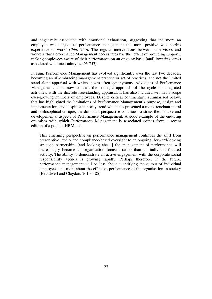and negatively associated with emotional exhaustion, suggesting that the more an employee was subject to performance management the more positive was her/his experience of work' (*ibid*: 750). The regular interventions between supervisors and workers that Performance Management necessitates has the 'effect of providing support', making employees aware of their performance on an ongoing basis [and] lowering stress associated with uncertainty' (*ibid*: 753).

In sum, Performance Management has evolved significantly over the last two decades, becoming an all-embracing management practice or set of practices, and not the limited stand-alone appraisal with which it was often synonymous. Advocates of Performance Management, thus, now contrast the strategic approach of the cycle of integrated activities, with the discrete free-standing appraisal. It has also included within its scope ever-growing numbers of employees. Despite critical commentary, summarised below, that has highlighted the limitations of Performance Management's purpose, design and implementation, and despite a minority trend which has presented a more trenchant moral and philosophical critique, the dominant perspective continues to stress the positive and developemental aspects of Performance Management. A good example of the enduring optimism with which Performance Management is associated comes from a recent edition of a popular HRM text.

This emerging perspective on performance management continues the shift from prescriptive, audit- and compliance-based oversight to an ongoing, forward-looking strategic partnership...[and looking ahead] the management of performance will increasingly become an organisation focused rather than an individual-focused activity. The ability to demonstrate an active engagement with the corporate social responsibility agenda is growing rapidly. Perhaps therefore, in the future, performance management will be less about quantifying the output of individual employees and more about the effective performance of the organisation in society (Beardwell and Claydon, 2010: 485).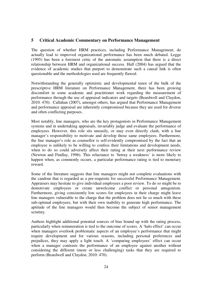#### **5 Critical Academic Commentary on Performance Management**

The question of whether HRM practices, including Performance Management, do actually lead to improved organizational performance has been much debated. Legge (1995) has been a foremost critic of the automatic assumption that there is a direct relationship between HRM and organizational success. Hall (2004) has argued that the evidence of academic studies that purport to demonstrate such a causal link is often questionable and the methodologies used are frequently flawed.

Notwithstanding the generally optimistic and developmental tenor of the bulk of the prescriptive HRM literature on Performance Management, there has been growing discomfort in some academic and practitioner work regarding the measurement of performance through the use of appraisal indicators and targets (Beardwell and Claydon, 2010: 470). Callahan (2007), amongst others, has argued that Performance Management and performance appraisal are inherently compromised because they are used for diverse and often conflicting purposes.

Most notably, line managers, who are the key protagonists in Performance Management systems and in undertaking appraisals, invariably judge and evaluate the performance of employees. However, this role sits uneasily, or may even directly clash, with a line manager's responsibility to motivate and develop those same employees. Furthermore, the line manager's role as counsellor is self-evidently compromised by the fact that an employee is unlikely to be willing to confess their limitations and development needs, when to do so could adversely affect their rating at their next performance review (Newton and Findlay, 1996). This reluctance to 'betray a weakness' is more likely to happen when, as commonly occurs, a particular performance rating is tied to monetary reward.

Some of the literature suggests that line managers might not complete evaluations with the candour that is regarded as a pre-requisite for successful Performance Management. Appraisers may hesitate to give individual employees a poor review. To do so might be to demotivate employees or create unwelcome conflict or personal antagonism. Furthermore, giving consistently low scores for employees in their charge might leave line managers vulnerable to the charge that the problem does not lie so much with these sub-optimal employees, but with their own inability to generate high performance. The aptitude of the line managers would then become the subject of senior management scrutiny.

Authors highlight additional potential sources of bias bound up with the rating process, particularly when remuneration is tied to the outcome of scores. A 'halo effect' can occur when managers overlook problematic aspects of an employee's performance that might require development and for various reasons, including personal preferences and prejudices, they may apply a light touch. A 'comparing employees' effect can occur when a manager contrasts the performance of an employee against another without considering the different (more or less challenging) tasks that they are required to perform (Beardwell and Claydon, 2010: 470).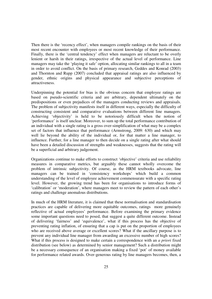Then there is the 'recency effect', when managers compile rankings on the basis of their most recent encounter with employees or most recent knowledge of their performance. Finally, there is the 'central tendency' effect when managers are reluctant to be overly lenient or harsh in their ratings, irrespective of the actual level of performance. Line managers may take the 'playing it safe' option, allocating similar rankings to all in a team in order to avoid conflict. On the basis of primary research, Geddes and Konrad (2003) and Thornton and Rupp (2007) concluded that appraisal ratings are also influenced by gender, ethnic origins and physical appearance and subjective perceptions of attractiveness.

Underpinning the potential for bias is the obvious concern that employee ratings are based on pseudo-scientific criteria and are arbitrary, dependent ultimately on the predispositions or even prejudices of the managers conducting reviews and appraisals. The problem of subjectivity manifests itself in different ways, especially the difficulty of constructing consistent and comparative evaluations between different line managers. Achieving 'objectivity' is held to be notoriously difficult when the notion of 'performance' is itself unclear. Moreover, to sum up the total performance contribution of an individual with a single rating is a gross over-simplification of what may be a complex set of factors that influence that performance (Armstrong, 2009: 630) and which may well lie beyond the ability of the individual or, for that matter a line manager, to influence. Further, for a line manager to then decide on a single rating after what should have been a detailed discussion of strengths and weaknesses, suggests that the rating will be a superficial and arbitrary judgement.

Organizations continue to make efforts to construct 'objective' criteria and use reliability measures in comparative metrics, but arguably these cannot wholly overcome the problem of intrinsic subjectivity. Of course, as the HRM textbooks advocate, line managers can be trained in 'consistency workshops' which build a common understanding of the level of employee achievement commensurate with a specific rating level. However, the growing trend has been for organisations to introduce forms of 'calibration' or 'moderation', where managers meet to review the pattern of each other's ratings and challenge anomalous distributions.

In much of the HRM literature, it is claimed that these normalisation and standardisation practices are capable of delivering more equitable outcomes, ratings more genuinely reflective of actual employees' performance. Before examining the primary evidence some important questions need to posed, that suggest a quite different outcome. Instead of delivering 'fairness' and 'equivalence', what if this process has the objective of preventing rating inflation, of ensuring that a cap is put on the proportion of employees who are received above average or excellent scores? What if the ancillary purpose is to prevent any individual line manager from awarding an excessive number of high scores? What if this process is designed to make certain a correspondence with an *a priori* fixed distribution (see below) as determined by senior management? Such a distribution might be a necessary consequence of an organisation making a fixed 'pot' of money available for performance related awards. Over-generous rating by line managers becomes, then, a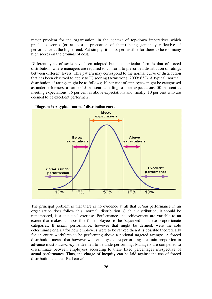major problem for the organisation, in the context of top-down imperatives which precludes scores (or at least a proportion of them) being genuinely reflective of performance at the higher end. Put simply, it is not permissible for there to be too many high scores on the grounds of cost.

Different types of scale have been adopted but one particular form is that of forced distribution, where managers are required to conform to prescribed distribution of ratings between different levels. This pattern may correspond to the normal curve of distribution that has been observed to apply to IQ scoring (Armstrong, 2009: 632). A typical 'normal' distribution of ratings might be as follows; 10 per cent of employees might be categorised as underperformers, a further 15 per cent as failing to meet expectations, 50 per cent as meeting expectations, 15 per cent as above expectations and, finally, 10 per cent who are deemed to be excellent performers.





The principal problem is that there is no evidence at all that *actual* performance in an organisation does follow this 'normal' distribution. Such a distribution, it should be remembered, is a statistical exercise. Performance and achievement are variable to an extent that makes it impossible for employees to be 'squeezed' in these proportionate categories. If *actual* performance, however that might be defined, were the sole determining criteria for how employees were to be ranked then it is possible theoretically for an entire workforce to be performing above a notional targeted average. A forced distribution means that however well employees are performing a certain proportion in advance must *necessarily* be deemed to be underperforming. Managers are compelled to discriminate between employees according to these fixed percentages irrespective of actual performance. Thus, the charge of inequity can be laid against the use of forced distribution and the 'Bell curve'.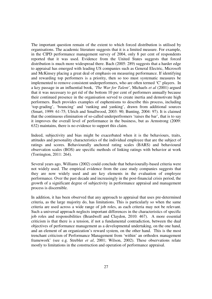The important question remain of the extent to which forced distribution is utilised by organisations. The academic literature suggests that it is a limited measure. For example, in the CIPD performance management survey of 2004, only 8 per cent of respondents reported that it was used. Evidence from the United States suggests that forced distribution is much more widespread there. Bach (2005: 289) suggests that a harder edge to appraisal has emerged with leading US companies such as General Electric, Microsoft and McKinsey placing a great deal of emphasis on measuring performance. If identifying and rewarding top performers is a priority, then so too must systematic measures be implemented to remove consistent underperformers, who are often termed 'C' players. In a key passage in an influential book, *'The War for Talent'*, Michaels *et al* (2001) argued that it was necessary to get rid of the bottom 10 per cent of performers annually because their continued presence in the organisation served to create inertia and demotivate high performers. Bach provides examples of euphemisms to describe this process, including 'top-grading', 'bouncing' and 'ranking and yanking', drawn from additional sources (Smart, 1999: 61-75; Ulrich and Smallwood, 2003: 90; Bunting, 2004: 97). It is claimed that the continuous elimination of so-called underperfromers 'raises the bar', that is to say it improves the overall level of performance in the business, but as Armstrong (2009: 632) maintains, there is no evidence to support this claim.

Indeed, subjectivity and bias might be exacerbated when it is the behaviours, traits, attitudes and personality characteristics of the individual employee that are the subject of ratings and scores. Behaviourally anchored rating scales (BARS) and behavioural observation scales (BOS) are specific methods of linking ratings with behavior at work (Torrington, 2011: 264).

Several years ago, Williams (2002) could conclude that behaviourally-based criteria were not widely used. The empirical evidence from the case study companies suggests that they are now widely used and are key elements in the evaluation of employee performance. Over the past decade and increasingly in the post-financial crisis period, the growth of a significant degree of subjectivity in performance appraisal and management process is discernible.

In addition, it has been observed that any approach to appraisal that uses pre-determined criteria, as the large majority do, has limitations. This is particularly so when the same criteria are used across a wide range of job roles, as each criteria may not be relevant. Such a universal approach neglects important differences in the characteristics of specific job roles and responsibilities (Beardwell and Claydon, 2010: 467). A more essential criticism is that there is a tension, if not a fundamental contradiction, between the dual objectives of performance management as a developmental undertaking, on the one hand, and an element of an organization's reward system, on the other hand. This is the most trenchant criticism of Performance Management from 'within' an orthodox management framework' (see e.g. Strebler *et al*, 2001; Wilson, 2002). These observations relate mostly to limitations in the construction and operation of performance appraisal.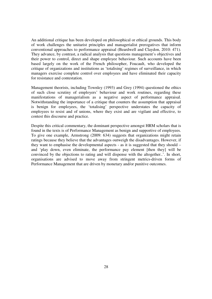An additional critique has been developed on philosophical or ethical grounds. This body of work challenges the unitarist principles and managerialist prerogatives that inform conventional approaches to performance appraisal (Beardwell and Claydon, 2010: 471). They advance, by contrast, a radical analysis that questions management's objectives and their power to control, direct and shape employee behaviour. Such accounts have been based largely on the work of the French philosopher, Foucault, who developed the critique of organizations and institutions as 'totalising' regimes of surveillance, in which managers exercise complete control over employees and have eliminated their capacity for resistance and contestation.

Management theorists, including Townley (1993) and Grey (1994) questioned the ethics of such close scrutiny of employers' behaviour and work routines, regarding these manifestations of managerialism as a negative aspect of performance appraisal. Notwithstanding the importance of a critique that counters the assumption that appraisal is benign for employees, the 'totalising' perspective understates the capacity of employees to resist and of unions, where they exist and are vigilant and effective, to contest this discourse and practice.

Despite this critical commentary, the dominant perspective amongst HRM scholars that is found in the texts is of Performance Management as benign and supportive of employees. To give one example, Armstrong (2009: 634) suggests that organizations might retain ratings because they believe that the advantages outweigh the disadvantages. However, if they want to emphasise the developmental aspects - as it is suggested that they should – and 'play down, even eliminate, the performance pay element [then they] will be convinced by the objections to rating and will dispense with the altogether..'. In short, organisations are advised to move away from stringent metrics-driven forms of Performance Management that are driven by monetary and/or punitive outcomes.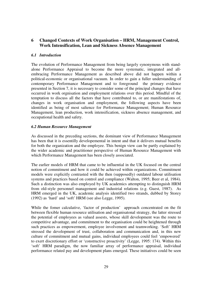# **6 Changed Contexts of Work Organisation – HRM, Management Control, Work Intensification, Lean and Sickness Absence Management**

# *6.1 Introduction*

The evolution of Performance Management from being largely synonymous with standalone Performance Appraisal to become the more systematic, integrated and allembracing Performance Management as described above did not happen within a political-economic or organisational vacuum. In order to gain a fuller understanding of contemporary Performance Management and to foreground the primary evidence presented in Section 7, it is necessary to consider some of the principal changes that have occurred in work orgnisation and employment relations over this period. Mindful of the temptation to discuss all the factors that have contributed to, or are manifestations of, changes in work organisation and employment, the following aspects have been identified as being of most salience for Performance Management; Human Resource Management, lean production, work intensification, sickness absence management, and occupational health and safety.

#### *6.2 Human Resource Management*

As discussed in the preceding sections, the dominant view of Performance Management has been that it is essentilly developemental in intent and that it delivers mutual benefits for both the organization and the employee. This benign view can be partly explained by the wider academic and practitioner perspective of Human Resource Management with which Performance Management has been closely associated.

The earlier models of HRM that came to be influential in the UK focused on the central notion of commitment and how it could be achieved within organizations. Commitment models were explicitly contrasted with the then (supposedly) outdated labour utilisation systems and practices based on control and compliance (Walton, 1995; Beer et al, 1984). Such a distinction was also employed by UK academics attempting to distinguish HRM from old-style personnel management and industrial relations (e.g. Guest, 1987). As HRM emerged in the UK, academic analysis identified two strands, dubbed by Storey (1992) as 'hard' and 'soft' HRM (see also Legge, 1995).

While the fomer calculative, 'factor of production' approach concentrated on the fit between flexible human resource utilisation and organisatonal strategy, the latter stressed the potential of employees as valued assests, whose skill development was the route to competitive advantage, and commitment to the organisation could be heightened through such practices as empowerment, employee involvement and teamworking. 'Soft' HRM stressed the development of trust, collaboration and communication and, in this new culture of commitment and mutual gains, individual employees could feel 'empowered' to exert discretionary effort or 'constructive proactivity' (Legge, 1995: 174). Within this 'soft' HRM paradigm, the now familiar array of performance appraisal, individual performance related pay and development plans emerged. These initiatives could be seen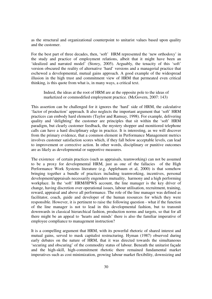as the structural and organizational counterpoint to unitarist values based upon quality and the customer.

For the best part of three decades, then, 'soft' HRM represented the 'new orthodoxy' in the study and practice of employment relations, albeit that it might have been an 'idealized and narrated model' (Storey, 2005). Arguably, the tenacity of this 'soft' version obscured the reality of alternative 'hard' versions and a managerial practice that eschewed a developmental, mutual gains approach. A good example of the widespread illusion in the high trust and commitment view of HRM that permeated even critical thinking, is this quote from what is, in many ways, a critical text.

Indeed, the ideas at the root of HRM are at the opposite pole to the ideas of marketized or commodified employment practice. (McGovern, 2007: 143)

This assertion can be challenged for it ignores the 'hard' side of HRM, the calculative 'factor of production' approach. It also neglects the important argument that 'soft' HRM practices can embody hard elements (Taylor and Ramsay, 1998). For example, delivering quality and 'delighting' the customer are principles that sit within the 'soft' HRM paradigm, but clearly customer feedback, the mystery shopper and monitiored telephone calls can have a hard disciplinary edge in practice. It is interesting, as we will discover from the primary evidence, that a common element in Performance Management metrics involves customer satisfaction scores which, if they fall below acceptable levels, can lead to improvement or corrective action. In other words, disciplinary or punitive outcomes are as likely as developmental or supportive measures.

The existence of certain practices (such as appraisals, teamworking) can not be assumed to be a proxy for developmental HRM, just as one of the fallacies of the High Performance Work Systems literature (e.g. Applebaum et al, 2000) is that somehow bringing together a bundle of practices including teamworking, incentives, personal development/appraisals necessarily engenders mutuality, harmony and a high performing workplace. In the 'soft' HRM/HPWS account, the line manager is the key driver of change, having discretion over operational issues, labour utilisation, recruitment, training, reward, appraisal and above all performance. The role of the line manager was defined as facilitator, coach, guide and developer of the human resources for which they were responsible. However, it is pertinent to raise the following question - what if the function of the line manager is not to lead in this developmental fashion, but to transmit downwards in classical hierarchical fashion, production norms and targets, so that for all there might be an appeal to 'hearts and minds' there is also the familiar imperative of employee compliance to management instruction?

It is a compelling argument that HRM, with its powerful rhetoric of shared interest and mutual gains, served to mask capitalist restructuring. Hyman (1987) observed during early debates on the nature of HRM, that it was directed towards the simultaneous 'securing and obscuring' of the commodity status of labour. Beneath the unitarist façade and the high-skill, high-commitment rhetotic there remained fundamental market imperatives such as cost minimization, growing labour market flexibility, downsizing and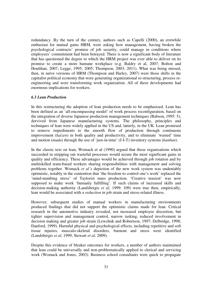redundancy. By the turn of the century, authors such as Capelli (2000), an erstwhile enthusiast for mutual gains HRM, were asking how management, having broken the psychological contracts' promise of job security, could manage in conditions where employees' commitment had been betrayed. There is now a significant body of literature that has questioned the degree to which the HRM project was ever able to deliver on its promise to create a more humane workplace (e.g. Baldry et al, 2007; Bolton and Houlihan, 2007; Legge, 1995; 2005; Thompson, 2003; 2011). What was being missed, then, in naïve versions of HRM (Thompson and Harley, 2007) were those shifts in the capitalist political economy that were generating organizational re-structuring, process reengineering and were transforming work organization. All of these developments had enormous implications for workers.

#### *6.3 Lean Production*

In this restructuring the adoption of lean production needs to be emphasized. Lean has been defined as an 'all-encompassing model' of work process reconfiguration, based on the integration of diverse Japanese production management techniques (Babson, 1995: 5), dervived from Japanese manufacturing systems. The philosophy, principles and techniques of lean were widely applied in the US and, latterly, in the UK. Lean promised to remove impediments to the smooth flow of production through continuous improvement (*kaizen*) in both quality and productivity, and to eliminate 'wasted' time and motion (*muda*) through the use of 'just-in-time' (J-I-T) inventory systems (*kanban*).

In the classic text on lean, Womack et al (1990) argued that those organisations which succeeded in stripping out wasteful processes would secure the most significant gains in quality and efficiency. These advantages would be achieved through job rotation and by multiskilled team-based workers sharing responsibilities with management and solving problems together. Womack *et al's* depiction of the new work system was undeniably optimistic, notably in the contention that 'the freedom to control one's work' replaced the 'mind-numbing stress' of Taylorist mass production. 'Creative tension' was now supposed to make work 'humanly fulfilling'. If such claims of increased skills and decision-making authority (Landsbergis *et al*, 1999: 109) were true then, empirically, lean would be associated with a *reduction* in job strain and stress-related illness.

However, subsequent studies of manual workers in manufacturing environments produced findings that did not support the optimistic claims made for lean. Critical research in the automotive industry revealed, not increased employee discretion, but tighter supervision and management control, narrow tasking, reduced involvement in decision making and greater job strain (Lewchuk and Robertson, 1997; Delbridge, 1998; Danford, 1999). Harmful physical and psychological effects, including repetitive and soft tissue injuries, musculo-skeletal disorders, burnout and stress were identified (Landsbergis *et al*, 1999; Stewart *et al*, 2009).

Despite this evidence of bleaker outcomes for workers, a number of authors maintained that lean could be universally and non-problematically applied to clerical and servicing work (Womack and Jones, 2003). Business school consultants were quick to propagate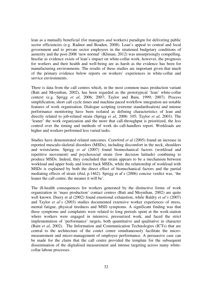lean as a mutually beneficial (for managers *and* workers) paradigm for delivering public sector efficiencies (e.g. Radnor and Boaden, 2008). Lean's appeal to central and local government and to private sector employers in the straitened budgetary conditions of austerity and the post-2008 'new normal' (Kliman, 2012) was unsurprisingly compelling. Insofar as evidence exists of lean's impact on white-collar work, however, the prognosis for workers and their health and well-being are as harsh as the evidence has been for manufacturing environments. The results of these studies are important given that much of the primary evidence below reports on workers' experiences in white-collar and service environments.

There is data from the call centres which, in the most common mass production variant (Batt and Moynihan, 2002), has been regarded as the prototypical 'lean' white-collar context (e.g. Sprigg *et al*, 2006; 2007; Taylor and Bain, 1999; 2007). Process simplification, short call cycle times and machine paced workflow integration are notable features of work organisation. Dialogue scripting (extreme standardisation) and intense performance monitoring have been isolated as defining characteristics of lean and directly related to job-related strain (Sprigg *et al*, 2006: 105; Taylor *et al*, 2003). The 'leaner' the work organization and the more that call-throughput is prioritized, the less control over the timing and methods of work do call-handlers report. Workloads are higher and workers performed less varied tasks.

Studies have demonstrated related outcomes. Crawford *et al* (2005) found an increase in reported musculo-skeletal disorders (MSDs), including discomfort in the neck, shoulders and wrists/arms. Sprigg *et al* (2007) found biomechanical factors (workload and repetitive movement) and psychosocial strain (low decision latitude) combining to produce MSDs. Indeed, they concluded that strain appears to be a mechanism between workload and upper body and lower back MSDs, while the relationship of workload with MSDs is explained by both the direct effect of biomechanical factors and the partial mediating effects of strain (*ibid*, p.1462). Sprigg et al's (2006) concise verdict was, 'the leaner the call centre, the meaner it will be'.

The ill-health consequences for workers generated by the distinctive forms of work organization in 'mass production' contact centres (Batt and Moynihan, 2002) are quite well known. Deery et al (2002) found emotional exhaustion, while Baldry *et al's* (2007) and Taylor *et al's* (2003) studies documented extensive worker experiences of stress, mental fatigue, physical tiredness and MSD symptoms. A significant finding was that these symptoms and complaints were related to long periods spent at the work-station where workers were engaged in intensive, pressurized work, and faced the strict implementation of 'performance' targets, both quantitative and qualitative in character (Bain *et al*, 2002). The Information and Communication Technologies (ICTs) that are central to the architecture of the contct centre simultaneously facilitate the micromeasurement and micro-management of employee performance. A persuasive case can be made for the claim that the call centre provided the template for the subsequent dissemination of the digitalised measurement and intense targeting across many whitecollar labour processes.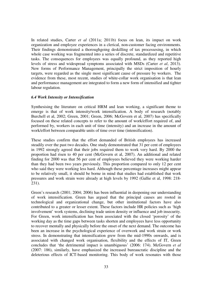In related studies, Carter *et al* (2011a; 2011b) focus on lean, its impact on work organization and employee experiences in a clerical, non-customer facing environments. Their findings demonstrated a thoroughgoing deskilling of tax processesing, in which whole case working was fragmented into a series of discrete, standardized and repetitive tasks. The consequences for employees was equally profound, as they reported high levels of stress and widespread symptoms associated with MSDs (Carter *et al*, 2013). New forms of Performance Management, principally the strict imposition of hourly targets, were regarded as the single most significant cause of pressure by workers. The evidence from these, most recent, studies of white-collar work organisation is that lean and performance management are integrated to form a new form of intensified and tighter labour regulation.

#### *6.4 Work Intensity or Intensification*

Synthesising the literature on critical HRM and lean working, a significant theme to emerge is that of work intensity/work intensification. A body of research (notably Burchell et al, 2002; Green, 2001; Green, 2006; McGovern et al, 2007) has specifically focused on these related concepts to refer to the amount of work/effort required of, and performed by, workers in each unit of time (intensity) and an increase in the amount of work/effort between comparable units of time over time (intensification).

These studies confirm that the effort demanded of British employees has increased steadily over the past two decades. One study demonstrated that 31 per cent of employees in 1992 strongly agreed that their jobs required them to work very hard. By 2000 the proportion had risen to 40 per cent (McGovern et al, 2007). An additional and related finding for 2000 was that 56 per cent of employees believed they were working harder than they had been two years previously. This proportion compared to only 12 per cent who said they were working less hard. Although these percentage increases might appear to be relatively small, it should be borne in mind that studies had established that work pressures and work strain were already at high levels by 1992 (Gallie et al, 1998: 218- 231).

Green's research (2001; 2004; 2006) has been influential in deepening our understanding of work intensification. Green has argued that the principal causes are rooted in technological and organizational change, but other institutional factors have also contributed to a greater or lesser extent. These factors include HR policies such as 'high involvement' work systems, declining trade union density or influence and job insecurity. For Green, work intensification has been associated with the closed 'porosity' of the working day as the time gaps between tasks shorten and employees have less opportunity to recover mentally and physically before the onset of rhe next demand. The outcome has been an increase in the psychological experience of overwork and work strain or work stress. In demonstrating that intensification grew from the mid-1990s onwards, and is associated with changed work organisation, flexibility and the effects of IT, Green concludes that 'the detrimental impact is unambiguous' (2006: 174). McGovern *et al* (2007: 186), similarly, have emphasized the increased bureaucratic discipline and the deleterious effects of ICT-based monitoring. This body of work resonates with those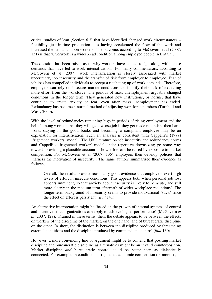critical studies of lean (Section 6.3) that have identified changed work circumstances – flexibility, just-in-time production - as having accelerated the flow of the work and increased the demands upon workers. The outcome, according to McGovern et al (2007: 151) is that 'Overwork is a widespread condition among employed people in Britain'.

The question has been raised as to why workers have tended to 'go along with' these demands that have led to work intensification. For many commentators, according to McGovern et al (2007), work intensification is closely associated with market uncertainty, job insecurity and the transfer of risk from employer to employee. Fear of job loss has compelled individuals to accept a ratcheting up of work demands. Therefore, employers can rely on insecure market conditions to simplify their task of extracting more effort from the workforce. The periods of mass unemployment arguably changed conditions in the longer term. They generated new institutions, or norms, that have continued to create anxiety or fear, even after mass unemployment has ended. Redundancy has become a normal method of adjusting workforce numbers (Turnbull and Wass, 2000).

With the level of redundancies remaining high in periods of rising employment and the belief among workers that they will get a worse job if they get made redundant then hardwork, staying in the good books and becoming a compliant employee may be an explanation for intensification. Such an analysis is consistent with Cappelli's (1999) 'frightened workers' model'. The UK literature on job insecurity and redundancy norms and Cappelli's 'frightened worker' model under repetitive downsizing go some way towards providing a plausible account of how effort can be raised by exposure to market competition. For McGovern et al (2007: 135) employers then develop policies that 'harness the motivation of insecurity'. The same authors summarised their evidence as follows,

Overall, the results provide reasonably good evidence that employers exert high levels of effort in insecure conditions. This appears both when personal job loss appears imminent, so that anxiety about insecurity is likely to be acute, and still more clearly in the medium-term aftermath of wider workplace reductions'. The longer-term background of insecurity seems to provide motivational 'stick' since the effect on effort is persistent. (*ibid*:141)

An alternative interpretation might be 'based on the growth of internal systems of control and incentives that organizations can apply to achieve higher performance' (McGovern *et al*, 2007: 129). Framed in these terms, then, the debate appears to be between the effects on workers of the discipline of the market, on the one hand, and of bureaucratic discipline on the other. In short, the distinction is between the discipline produced by threatening external conditions and the discipline produced by command and control (*ibid*:130).

However, a more convincing line of argument might be to contend that positing market discipline and bureaucratic discipline as alternatives might be an invalid counterposition. Market discipline *and* bureaucratic control could be better seen as dialectically connected. For example, in conditions of tightened economic competition or, more so, of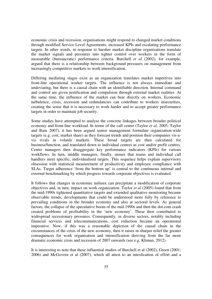economic crisis and recession, organisations might respond to changed market conditions through modified Service Level Agreements, increased KPIs and escalating performance targets. In other words, in response to harsher market discipline organisations translate the market signals and pressures into tighter control over workers in the form of measurable (bureaucratic) performance criteria. Burchell *et al* (2002), for example, argued that there is a relationship between background pressures on management from increasingly competitive markets to work intensification.

Differing mediating stages exist as an organization translates market impertives into front-line operational worker targets. The influence is not always immediate and undeviating, but there is a causal chain with an identifiable direction. Internal command and control are given justification and compulsion through external market realities. At the same time, the influence of the market can bear directly on workers. Economic turbulence, crisis, recession and redundancies can contribute to workers insecurities, creating the sense that it is necessary to work harder and to accept greater performance targets in order to maintain job security.

Some studies have attempted to analyse the concrete linkages between broader political economy and front-line workload. In terms of the call centre (Taylor *et al*, 2005; Taylor and Bain 2007), it has been argued senior management formulate organization-wide targets (e.g. cost, market share) as they forecast trends and position their companies vis-avis rivals in volatile markets. These broad targets are then calculated for business/function, and translated down to individual centres as cost and/or profit centres. Centre managers then disaggregate key performance indicators (KPIs) for various workflows. In turn, middle managers, finally, ensure that teams and individual call handlers meet specific, individualised targets. This sequence helps explain supervisory obsession with statistical measurement of productivity and employee compliance with SLAs. Target adherence 'from the bottom up' is central to the continuous internal and external benchmarking by which progress towards corporate objectives is evaluated.

It follows that changes in economic milieux can precipitate a modification of corporate objectives and, in turn, impact on work organization. Taylor *et al* (2005) found that from the mid-1990s tightened quantitative targets and extended qualitative monitoring became observable trends, developments that could be understood more fully by reference to prevailing conditions in the broader economy and also at sectoral levels. As general factors, the collapse of the speculative boom of the mid-1990s and then the dot.com crash created problems of profitability in the 'new economy'. These then contributed to widespread recessionary pressures. Consequently, in diverse sectors, notably including financial services and telecommunications, cost reduction became an operational imperative. Now, if this was a reasonable depiction of the causal chain in the circumstances of the crisis of the new economy, then it raises in sharper relief the greater consequences for work organisation and intensification deriving from the far more dramatic economic crisis and recession of 2007 onwards (see e.g. Kliman, 2012).

It is interesting to note that these influential studies of Burchell et al (2002), Green (2001; 2006) and McGovern et al (2007), which all attest to an intesfication of effort and a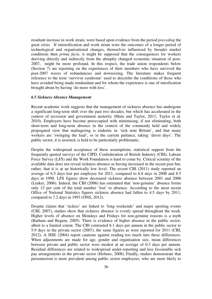resultant increase in work strain, were based upon evidence from the period *preceding* the great crisis. If intensification and work strain were the outcomes of a longer period of technological and organisational changes, themselves influenced by broader market conditions then *prima facie*, it might be supposed that the consequences for workers deriving directly and indirectly from the abruptly changed economic situation of post-2007, might be more profound. In this respect, the trade union respondents below (Section 7) are reporting on the experiences of their members who have survived the post-2007 waves of redundancies and downsizing. The literature makes frequent reference to the term 'survivor syndrome' used to desciribe the conditions of those who have avoided being made rendundant and for whom the experience is one of intesfication brought about by having 'do more with less'.

#### *6.5 Sickness Absence Management*

Recent academic work suggests that the management of sickness absence has undergone a significant long-term shift over the past two decades, but which has accelerated in the context of recession and government austerity (Main and Taylor, 2011; Taylor et al, 2010). Employers have become preoccupied with minimising, if not eliminating, both short-term and long-term absence in the context of the commonly held and widely propogated view that malingering is endemic in 'sick note Britain', and that many workers are 'swinging the lead', or in the current parlance, taking 'duvet days'. The public sector, it is asserted, is held to be particularly problematic.

Despite the widespread acceptance of these assumptions, statistical support from the frequently quoted surveys of the CIPD, Confederation of British Industry (CBI), Labour Force Survey (LFS) and the Work Foundation is hard to come by. Critical scrutiny of the available data does not reveal sickness absence as having increased in the recent past but, rather, that it is at an historically low level. The recent CBI (2011) study reported an average of 6.5 days lost per employee for 2011, compared to 6.8 days in 2008 and 8.5 days in 1998. LFS figures show decreased sickness absence between 2001 and 2006 (Leaker, 2006). Indeed, the CBI (2006) has estimated that 'non-genuine' absence forms only 12 per cent of the total number 'lost' to absence. According to the most recent Office of National Statistics figures sickness absence had fallen to 4.5 days by 2011, compared to 7.2 days in 1993 (ONS, 2012).

Despite claims that 'sickies' are linked to 'long weekends' and major sporting events (CBI, 2007), studies show that sickness absence is evenly spread throughout the week. Higher levels of absence on Mondays and Fridays for non-genuine reasons is a myth (Barham and Begum, 2005). There is evidence of higher absence in the public sector, albeit to a limited extent. The CBI contrasted 8.1 days per annum in the public sector to 5.9 days in the private sector (2007), the same figures as were reported for 2011 (CBI, 2012). A HSE (2004) report cautions against reading too much into these differences. When adjustments are made for age, gender and organisation size, mean differences between private and public sector were modest at an average of 0.3 days per annum. Residual differences are related to widespread under-reporting and less favourable sick pay arrangements in the private sector (Holmes, 2008). Finally, studies demonstrate that presenteeism is more prevalent among public sector employees, who are more likely to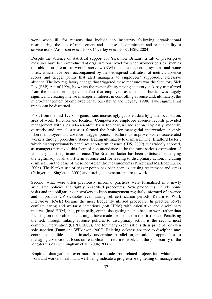work when ill, for reasons that include job insecurity following organisational restructuring, the lack of replacement and a sense of commitment and responsibility to service users (Aronsson *et al*., 2000; Caverley *et al*., 2007; HSE, 2004).

Despite the absence of statistical support for 'sick note Britain', a raft of prescriptive measures have been introduced at organisational level for when workers go sick, such as the ubiquitous 'return to work' interview (RWI), detailed reporting systems and home visits, which have been accompanied by the widespread utilisation of metrics, absence scores and trigger points that alert managers to employees' supposedly excessive absence. The key regulatory change that triggered these measures was the Statutory Sick Pay (SSP) Act of 1994, by which the responsibility paying statutory sick pay transferred from the state to employer. The fact that employers assumed this burden was hugely significant, creating intense managerial interest in controlling absence and, ultimately, the micro-management of employee behaviour (Bevan and Heyday, 1998). Two significamnt trends can be discerned.

First, from the mid-1990s, organisations increasingly gathered data by grade, occupation, area of work, function and location. Computerised employee absence records provided management with a pseudo-scientific basis for analysis and action. Typically, monthly, quarterly and annual statistics formed the basis for managerial intervention, notably where employees hit absence 'trigger points'. Failure to improve scores accelerated workers through procedural stages, leading ultimately to dismissal. The 'Bradford factor', which disproportionately penalises short-term absence (IDS, 2009), was widely adopted, as managers perceived this form of non-attendance to be the most serious expression of voluntary and illegitimate absence. The Bradford factor has been criticised for denying the legitimacy of all short-term absence and for leading to disciplinary action, including dismissal, on the basis of these non-scientific measurements (Perrett and Martinez Lucio, 2006). The blanket use of trigger points has been seen as causing resentment and stress (Grinyer and Singleton, 2001) and forcing a premature return to work.

Second, what were often previously informal practices were formalised into newly articulated policies and tightly prescribed procedures. New procedures include home visits and the obligations on workers to keep management regularly informed of absence and to provide GP sicknotes even during self-certification periods. Return to Work Interviews (RWIs) became the most frequently utilised procedure. In practice, RWIs conflate caring and welfarist intentions (soft HRM) with calculative and disciplinary motives (hard HRM), but, principally, emphasise getting people back to work rather than focusing on the problems that might have made people sick in the first place. Penalising the sick through linking absence policies to disciplinary action is the second most common intervention (CIPD, 2008), and for many organisations their principal or even sole sanction (Dunn and Wilkinson, 2002). Relating sickness absence to discipline may contradict, collide and ultimately undermine parallel organisational approaches to managing absence that focus on rehabilitation, return to work and the job security of the long-term sick (Cunningham et al., 2004; 2006).

Empirical data gathered over more than a decade from related projects into white collar work and workers health and well-being indicate a progressive tightening of management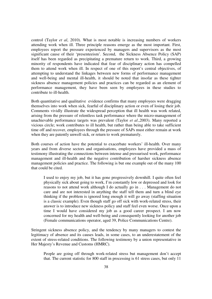control (Taylor *et al*, 2010). What is most notable is increasing numbers of workers attending work when ill. Three principle reasons emerge as the most important. First, employees report the pressure experienced by managers and supervisors as the most significant cause of their 'presenteeism'. Second, the Sickness Absence Policy (SAP) itself has been regarded as precipitating a premature return to work. Third, a growing minority of respondents have indicated that fear of disciplinary action has compelled them to attend work when ill. In respect of one of this report's central objectives, of attempting to understand the linkages between new forms of performance management and well-being and mental ill-health, it should be noted that insofar as these tighter sickness absence management policies and practices can be regarded as an element of performance management, they have been seen by employees in these studies to contribute to ill-health.

Both quantitative and qualitative evidence confirms that many employees were dragging themselves into work when sick, fearful of disciplinary action or even of losing their job. Comments vividly illustrate the widespread perception that ill health was work related, arising from the pressure of relentless task performance where the micro-management of unachievable performance targets was prevalent (Taylor *et al*.,2003). Many reported a vicious circle; work contributes to ill health, but rather than being able to take sufficient time off and recover, employees through the pressure of SAPs must either remain at work when they are patently unwell sick, or return to work prematurely.

Both courses of action have the potential to exacerbate workers' ill-health. Over many years and from diverse sectors and organisations, employees have provided a mass of testimony illustrating the connections between intense and pressurised work, performance management and ill-health and the negative contribution of harsher sickness absence management policies and practice. The following is but one example out of the many 100 that could be cited.

I used to enjoy my job, but it has gone progressively downhill. I quite often feel physically sick about going to work, I'm constantly low or depressed and look for reasons to not attend work although I do actually go in . . . Management do not care and are not interested in anything the staff tell them and turn a blind eye thinking if the problem is ignored long enough it will go away (staffing situation is a classic example). Even though staff go off sick with work-related stress, their answer is to introduce new sickness policy and staff feel even worse. Once upon a time I would have considered my job as a good career prospect. I am now concerned for my health and well-being and consequently looking for another job (Female communications operator, aged 39, Police Communications Centre).

Stringent sickness absence policy, and the tendency by many managers to contest the legitimacy of absence and its causes leads, in some cases, to an underestatement of the extent of stress-related conditions. The following testimony by a union representative in Her Majesty's Revenue and Customs (HMRC).

People are going off through work-related stress but management don't accept that. The current statistic for 800 staff in processing is 61 stress cases, but only 11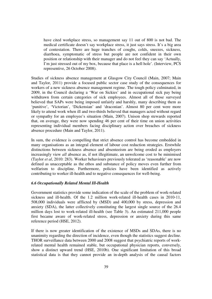have cited workplace stress, so management say 11 out of 800 is not bad. The medical certificate doesn't say workplace stress, it just says stress. It's a big area of contestation. There are huge tranches of coughs, colds, sneezes, sickness, diarrhoea, symptomatic of stress but people are not confident in their own position or relationship with their manager and do not feel they can say 'Actually, I'm just stressed out of my box, because that place is a hell hole'. (Interview, PCS representive, 26 October 2008).

Studies of sickness absence management at Glasgow City Council (Main, 2007; Main and Taylor, 2011) provide a focused public sector case study of the consequences for workers of a new sickness absence management regime. The tough policy culminated, in 2009, in the Council declaring a 'War on Sickies' and in occupational sick pay being withdrawn from certain categories of sick employees. Almost all of those surveyed believed that SAPs were being imposed unfairly and harshly, many describing them as 'punitive', 'Victorian', 'Dickensian' and 'draconian'. Almost 80 per cent were more likely to attend work when ill and two-thirds believed that managers acted without regard or sympathy for an employee's situation (Main, 2007). Unison shop stewards reported that, on average, they were now spending 46 per cent of their time on union activities representing individual members facing disciplinary action over breaches of sickness absence procedure (Main and Taylor, 2011).

In sum, the evidence is compelling that strict absence control has become embedded in many organisations as an integral element of labour cost reduction strategies. Erstwhile distinctions between sickness absence and absenteeism are being eroded as employers increasingly view *all* absence as, if not illegitimate, an unwelcome cost to be minimised (Taylor *et al*, 2010: 283). Worker behaviours previously tolerated as 'reasonable' are now defined as unacceptable as the ethos and substance of policy moves even further from welfarism to discipline. Furthermore, policies have been identified as actively contributing to worker ill-health and to negative consequences for well-being.

# *6.6 Occupationally Related Mental Ill-Health*

Government statistics provide some indication of the scale of the problem of work-related sickness and ill-health. Of the 1.2 million work-related ill-health cases in 2010-11, 508,000 individuals were afflicted by (MSD) and 400,000 by stress, depression and anxiety (SDA), the latter collectively constituting the largest single source of the 26.4 million days lost to work-related ill-health (see Table 3). An estimated 211,000 people first became aware of work-related stress, depression or anxiety during this same reference period (HSE, 2012).

If there is now greater identification of the existence of MSDs and SDAs, there is no unanimity regarding the direction of incidence, even though the statistics suggest decline. THOR surveillance data between 2000 and 2008 suggest that psychiatric reports of workrelated mental health remained stable, but occupational physician reports, conversely, show a distinct upward trend (HSE, 2010b). One significant limitation of this broad statistical data is that they cannot provide an in-depth analysis of the causal factors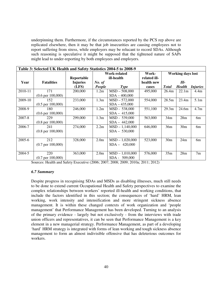underpinning them. Furthermore, if the circumstances reported by the PCS rep above are replicated elsewhere, then it may be that job insecurities are causing employees not to report suffering from stress, while employers may be relucant to record SDAs. Although such reasoning is speculative it might be supposed that the tightened nature of SAPs might lead to under-reporting by both employees and employers.

| Table 3: Selected UK Health and Safety Statistics 2004-5 to 2008-9 |                              |                 |                     |                   |              |                          |                 |                  |
|--------------------------------------------------------------------|------------------------------|-----------------|---------------------|-------------------|--------------|--------------------------|-----------------|------------------|
|                                                                    |                              |                 | <b>Work-related</b> |                   | Work-        | <b>Working days lost</b> |                 |                  |
|                                                                    |                              | Reportable      | ill-health          |                   | related ill- |                          |                 |                  |
| Year                                                               | <b>Fatalities</b>            | <b>Injuries</b> | No. of              |                   | health new   | Ill-                     |                 |                  |
|                                                                    |                              | (LFS)           | People              | <b>Type</b>       | cases        | <b>T</b> otal            | <b>Health</b>   | <i>Injuries</i>  |
| 2010-11                                                            | 171                          | 200,000         | 1.2m                | $MSD - 508,000$   | 495,000      | 26.4m                    | 22.1m           | 4.4 <sub>m</sub> |
|                                                                    | $(0.6 \text{ per } 100,000)$ |                 |                     | $SDA - 400,000$   |              |                          |                 |                  |
| 2009-10                                                            | 152                          | 233,000         | 1.3 <sub>m</sub>    | $MSD - 572,000$   | 554,000      | 28.5m                    | 23.4m           | 5.1 <sub>m</sub> |
|                                                                    | $(0.5 \text{ per } 100,000)$ |                 |                     | $SDA - 435,000$   |              |                          |                 |                  |
| 2008-9                                                             | 180                          | 246,000         | 1.2m                | MSD - 538,000     | 551,100      | 29.3m                    | 24.6m           | 4.7 <sub>m</sub> |
|                                                                    | $(0.6 \text{ per } 100,000)$ |                 |                     | $SDA - 415,000$   |              |                          |                 |                  |
| 2007-8                                                             | 229                          | 299,000         | 1.3 <sub>m</sub>    | MSD - 539,000     | 563,000      | 34m                      | 28m             | 6 <sub>m</sub>   |
|                                                                    | $(0.8 \text{ per } 100,000)$ |                 |                     | $SDA - 442,000$   |              |                          |                 |                  |
| 2006-7                                                             | 241                          | 274,000         | 2.2m                | $MSD - 1,140,000$ | 646,000      | 36m                      | 30 <sub>m</sub> | 6 <sub>m</sub>   |
|                                                                    | $(0.8 \text{ per } 100,000)$ |                 |                     | $SDA - 530,000$   |              |                          |                 |                  |
|                                                                    |                              |                 |                     |                   |              |                          |                 |                  |
| 2005-6                                                             | 212                          | 328,000         | 2.0 <sub>m</sub>    | $MSD - 1,020,000$ | 523,000      | 30 <sub>m</sub>          | 24m             | 6 <sub>m</sub>   |
|                                                                    | $(0.7 \text{ per } 100,000)$ |                 |                     | $SDA - 420,000$   |              |                          |                 |                  |
|                                                                    |                              |                 |                     |                   |              |                          |                 |                  |
| 2004-5                                                             | 220                          | 363,000         | 2.0 <sub>m</sub>    | $MSD - 1,010,000$ | 576,000      | 35m                      | 28m             | 7 <sub>m</sub>   |
|                                                                    | $(0.7 \text{ per } 100,000)$ |                 |                     | SDA - 509,000     |              |                          |                 |                  |

Sources: Health and Safety Executive (2006; 2007; 2008; 2009; 2010a; 2011; 2012)

#### *6.7 Summary*

Despite progress in recognising SDAs and MSDs as disabling illnesses, much still needs to be done to extend current Occupational Health and Safety perspectives to examine the complex relationships between workers' reported ill-health and working conditions, that include the factors identified in this section; the consequences of 'hard' HRM, lean working, work intensity and intensification and more stringent sickness absence management. It is within these changed contexts of work organization and 'people management' that Performance Management has been developed. Turning to an analysis of the primary evidence - largely but not exclusively - from the interviews with trade union officers and representatives, it can be seen that Performance Management is a key element in a new managerial strategy. Performance Management, as part of a developing 'hard' HRM strategy is integrated with forms of lean working and tough sickness absence management to form an almost indivisible offensive that has deleterious outcomes for workers.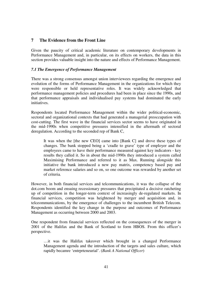# **7 The Evidence from the Front Line**

Given the paucity of critical academic literature on contemporary developments in Performance Management and, in particular, on its effects on workers, the data in this section provides valuable insight into the nature and effects of Performance Management.

### *7.1 The Emergence of Performance Management*

There was a strong consensus amongst union interviewees regarding the emergence and evolution of the forms of Performance Management in the organizations for which they were responsible or held representative roles. It was widely acknowledged that performance management policies and procedures had been in place since the 1990s, and that performance appraisals and individualised pay systems had dominated the early initiatives.

Respondents located Performance Management within the wider political-economic, sectoral and organizational contexts that had generated a managerial preoccupation with cost-cutting. The first wave in the financial services sector seems to have originated in the mid-1990s when competitive pressures intensified in the aftermath of sectoral deregulation. According to the seconded rep of Bank C,

It was when the [the new CEO] came into [Bank C] and drove these types of changes. The bank stopped being a 'cradle to grave' type of employer and the employees came to have their performance measured against key indicators - key results they called it. So in about the mid-1990s they introduced a system called Maximising Performance and referred to it as Max. Running alongside this initiative the bank introduced a new pay matrix, competency based pay and market reference salaries and so on, so one outcome was rewarded by another set of criteria*.*

However, in both financial services and telcommunications, it was the collapse of the dot.com boom and ensuing recessionary pressures that precipitated a decisive ratcheting up of competition in the longer-term context of increasingly de-regulated markets. In financial services, competition was heightened by merger and acquisition and, in telceommunications, by the emergence of challenges to the incumbent British Telecom. Respondents identified the key change in the purpose and outcomes of Performance Management as occurring between 2000 and 2003.

One respondent from financial services reflected on the consequences of the merger in 2001 of the Halifax and the Bank of Scotland to form HBOS. From this officer's perspective.

…it was the Halifax takeover which brought in a changed Performance Management agenda and the introduction of the targets and sales culture, which rapidly becamre 'entrprteneurial'. (*Bank A National Officer*)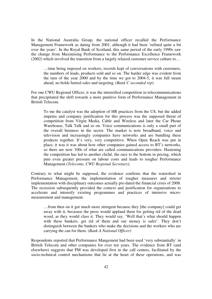In the National Australia Group, the national officer recalled the Performance Management Framework as dating from 2001, although it had been 'refined quite a bit over the years'. In the Royal Bank of Scotland, this same period of the early 1990s saw the change from Maximising Performance to the Performance Excellence Framework (2002) which involved the transition from a largely relaxed customer service culture to…

…time being imposed on workers, records kept of conversations with customers, the numbers of leads, products sold and so on. The harder edge was evident from the turn of the year 2000 and by the time we got to 2004-5, it was full steam ahead, no holds barred sales and targeting. *(Bank C seconded rep*)

For one CWU Regional Officer, it was the intensified competition in telecommunications that precipitated the shift towards a more punitive form of Performance Management in British Telecom.

To me the catalyst was the adoption of HR practices from the US, but the added impetus and company justification for this process was the supposed threat of competition from Virgin Media, Cable and Wireless and later the Car Phone Warehouse, Talk Talk and so on. Voice communications is only a small part of the overall business in the sector. The market is now broadband, voice and television and increasingly companies have networks and are bundling these products together. It's very, very competitive. When Open Reach was put in place, it was it was about how other companies gained access to BT's networks, so there are now 100s of what are called communications providers. Hastening the competition has led to another cliché, the race to the bottom in pricing, which puts even greater pressure on labour costs and leads to tougher Performance Management (*Telecoms, CWU Regional Secretary*).

Contrary to what might be supposed, the evidence confirms that the watershed in Performance Management, the implementation of tougher measures and stricter implementation with disciplinary outcomes actually pre-dated the financial crisis of 2008. The recession subsequently provided the context and justification for organizations to accelerate and intensify existing programmes and practices of intensive micromeasurement and management.

…from then on it got much more stringent because they [the company] could get away with it, becasuse the press would applaud them for getting rid of the dead wood, as they would class it. They would say, 'Well that's what should happen with these bankers, get rid of them and our money is safer'. They don't distinguish between the bankers who make the decisions and the workers who are carrying the can for them. (*Bank A National Officer*)

Respondents reported that Performance Mangement had been used 'very substantially' in British Telecom and other companies for over ten years. The evidence from BT (and elsewhere) suggests that PM was developed first in the call centres, facilitated by the socio-technical control mechanisms that lie at the heart of these operations, and was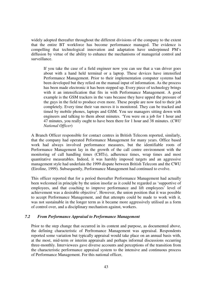widely adopted thereafter throughout the different divisions of the company to the extent that the entire BT workforce has become performance managed. The evidence is compelling that technological innovation and adaptation have underpinned PM's diffusion by virtue of the ability to enhance the mechanisms of managerial control and surveillance.

If you take the case of a field engineer now you can see that a van driver goes about with a hand held terminal or a laptop. These devices have intensified Performance Management. Prior to their implementation computer systems had been developed but they relied on the manual input of information. As the process has been made electronic it has been stepped up. Every piece of technology brings with it an intensification that fits in with Performance Management. A good example is the GSM trackers in the vans because they have upped the pressure of the guys in the field to produce even more. These people are now tied to their job completely. Every time their van moves it is monitored. They can be tracked and timed by mobile phones, laptops and GSM. You see managers sitting down with engineers and talking to them about minutes. 'You were on a job for 1 hour and 47 minutes, you really ought to have been there for 1 hour and 38 minutes. (*CWU National Officer*)

A Branch Officer responsible for contact centres in British Telecom reported, similarly, that the company had operated Peformance Management for many years. Office based work had always involved performance measures, but the identifiable roots of Performance Management lay in the growth of the call centre environment with the monitoring of call handling times (CHTs), adherence times, wrap times and most quantitative measurables. Indeed, it was harshly imposed targets and an aggressive management style had underlain the 1999 dispute between British Telecom and the CWU (Eiroline, 1999). Subsequently, Performance Management had continued to evolve.

This officer reported that for a period thereafter Performance Management had actually been welcomed in principle by the union insofar as it could be regarded as 'supportive of employees, and that coaching to improve performance and lift employees' level of achievement was a desirable objective'. However, the union position that it was possible to accept Performance Management, and that attempts could be made to work with it, was not sustainable in the longer term as it became more aggressively utilised as a form of control over, and a disciplinary mechanism against, workers.

#### *7.2 From Performance Appraisal to Performance Management*

Prior to the step change that occurred in its content and purpose, as documented above, the defining characteristic of Perfromance Management was appraisal. Respondents reported some variation but typically appraisal would take place on an annual basis with, at the most, mid-term or interim appraisals and perhaps informal discussions occurring three-monthly. Interviewees gave diverse accounts and perceptions of the transition from the characteristic performance appraisal system to the intensive and continuous process of Performance Management. For this national officer,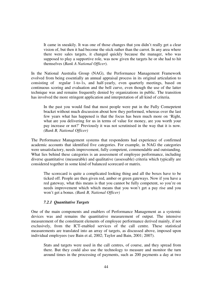It came in sneakily. It was one of those changes that you didn't really get a clear vision of, but then it had become the stick rather than the carrot. In any area where there were sales targets, it changed quickly because the manager, who was supposed to play a supportive role, was now given the targets he or she had to hit themselves (*Bank A National Officer*).

In the National Australia Group (NAG), the Performance Management Framework evolved from being essentially an annual appraisal process in its original articulation to consisting of regular 1-to-1s, and half-yearly, even quarterly meetings, based on continuous scoring and evaluation and the bell curve, even though the use of the latter technique was and remains frequently denied by organizations in public. The transition has involved the more stringent application and interpretation of all kind of criteria.

In the past you would find that most people were put in the Fully Comepetent bracket without much discussion about how they performed, whereas over the last few years what has happened is that the focus has been much more on 'Right, what are you delivering for us in terms of value for money, are you worth your pay increase or not?' Previously it was not scrutinised in the way that it is now. *(Bank B, National Officer)*

The Performance Management systems that respondents had experience of confirmed academic accounts that identified five categories. For example, in NAG the categories were unsatisfactory, needs improvement, fully competent, commendable and outstanding. What lies behind these categories is an assessment of employee performance, including diverse quantitative (measurable) and qualitative (assessable) criteria which typically are considered together in some kind of balanced scorecard or matrix.

The scorecard is quite a complicated looking thing and all the boxes have to be ticked off. People are then given red, amber or green gateways. Now if you have a red gateway, what this means is that you cannot be fully competent, so you're on needs improvement which which means that you won't get a pay rise and you won't get a bonus. *(Bank B, National Officer)*

#### *7.2.1 Quantitative Targets*

One of the main components and enablers of Performance Management as a systemic devices was and remains the quantitative measurement of output. The intensive measurement of the constituent elements of employee performance derived mainly, if not exclusively, from the ICT-enabled services of the call centre. These statistical measurements are translated into an array of targets, as discussed above, imposed upon individual employees (see Bain et al, 2002; Taylor and Bain, 2001; 2007).

Stats and targets were used in the call centres, of course, and they spread from there. But they could also use the technology to measure and monitor the turn around times in the processing of payments, such as 200 payments a day at two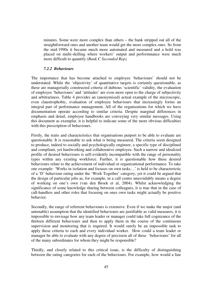minutes. Some were more complex than others – the bank stripped out all of the straightforward ones and another team would get the more complex ones. So from the mid-1990s it became much more automated and measured and a hold was placed on multi-skilling where workers' output and performnance were much more difficult to quantify *(Bank C Seconded Rep).* 

#### *7.2.2 Behaviours*

The importance that has become attached to employee 'behaviours' should not be understated. While the 'objectivity' of quantitative targets is certainly questionable, as these are managerially constructed criteria of dubious 'scientific' validity, the evaluation of employee 'behaviours' and 'attitudes' are even more open to the charge of subjectivity and arbitrariness. Table 4 provides an (anonymised) actual example of the microscopic, even claustrophobic, evaluation of employee behaviours that increasingly forms an integral part of performance management. All of the organizations for which we have documentation operate according to similar criteria. Despite marginal differences in emphasis and detail, employee handbooks are conveying very similar messages. Using this document as exemplar, it is helpful to indicate some of the more obvious difficulties with this prescription of behaviours.

Firstly, the traits and characteristics that organisations purport to be able to evaluate are questionable. It is reasonable to ask what is being measured. The criteria seem designed to produce, indeed to socially and psychologically engineer, a specific type of disciplined and compliant, yet hardworking and collaborative employee. Such a narrow and idealized profile of desired behaviours is self-evidently incompatible with the range of personality types within any existing workforce. Further, it is questionable how these desired behaviours relate to the achievement of individual or organizational performance. To take one example: 'Works in isolation and focuses on own tasks…' is held to be characterictic of a 'D' behaviour rating under the 'Work Together' category, yet it could be argued that the design of particular jobs as, for example, in a call centre unavoidably means a degree of working on one's own (van den Broek et al, 2004). Whilst acknowledging the significance of some knowledge sharing between colleagues, it is true that in the case of call-handlers and other roles that focusing on ones own tasks might actually be positive behavior.

Secondly, the range of referrent behaviours is extensive. Even if we make the major (and untenable) assumption that the identified behaviours are justifiable as valid measures, it is impossible to envisage how any team leader or manager could take full cognizance of the thirteen different behaviours and then to apply them in the course of the continuous supervision and monitoring that is required. It would surely be an impossible task to apply these criteria to each and every individual worker. How could a team leader or manager be able to evaluate with any degree of precision all of these 'behaviours' for all of the many subordinates for whom they might be responsible?

Thirdly, and closely related to this critical issue, is the difficulty of distinguishing between the rating categories for each of the behaviours. For example, how would a line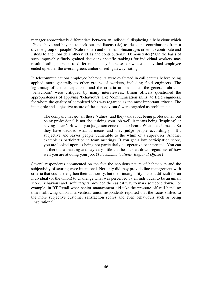manager appropriately differentiate between an individual displaying a behaviour which 'Goes above and beyond to seek out and listens (sic) to ideas and contributions from a diverse group of people' (Role model) and one that 'Encourages others to contribute and listens to and considers others' ideas and contributions' (Demonstrates)? On the basis of such impossibly finely-grained decisions specific rankings for individual workers may result, leading perhaps to differentiated pay increases or where an invidual employee ended up either the overall green, amber or red 'gateway' rating.

In telecommunications employee behaviours were evaluated in call centres before being applied more generally to other groups of workers, including field engineers. The legitimacy of the concept itself and the criteria utilised under the general rubric of 'behaviours' were critiqued by many interviewees. Union officers questioned the appropriateness of applying 'behaviours' like 'communication skills' to field engineers, for whom the quality of completed jobs was regarded as the most important criteria. The intangible and subjective nature of these 'behaviours' were regarded as problematic.

The company has got all these 'values' and they talk about being professional, but being professional is not about doing your job well, it means being 'inspiring' or having 'heart'. How do you judge someone on their heart? What does it mean? So they have decided what it means and they judge people accordingly. It's subjective and leaves people vulnerable to the whim of a supervisor. Another example is participation in team meetings. If you get a low participation score, you are looked upon as being not particularly co-operative or interested. You can sit there ar a meeting and say very little and be marked down regardless of how well you are at doing your job. (*Telecommunications, Regional Officer*)

Several respondents commented on the fact the nebulous nature of behaviours and the subjectivity of scoring were intentional. Not only did they provide line management with criteria that could strengthen their authortity, but their intangibility made it difficult for an individual (or the union) to challenge what was perceived by an individual to be an unfair score. Behavious and 'soft' targets provided the easiest way to mark someone down. For example, in BT Retail when senior management did take the pressure off call handling times following union intervention, union respondents reported that the focus shifted to the more subjective customer satisfaction scores and even behaviours such as being 'inspirational'.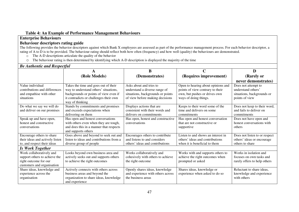# **Table 4: An Example of Performance Management Behaviours**

# **Enterprise Behaviours**

# **Behaviour descriptors rating guide**

The following provides the behavior descriptors against which Bank X employees are assessed as part of the performance management process. For each behavior descriptor, a rating of A to D is to be provided. The behaviour rating should reflect both how often (frequency) and how well (quality) the behaviours are demonstrated.

- o The A-D descriptions articulate the quality of the behavior
- oThe behaviour rating is then determined by identifying which A-D description is displayed the majority of the time

| <b>Be Authentic and Respectful</b>                                                                               |                                                                                                                                                                                     |                                                                                                                                  |                                                                                                                                  |                                                                                           |  |  |
|------------------------------------------------------------------------------------------------------------------|-------------------------------------------------------------------------------------------------------------------------------------------------------------------------------------|----------------------------------------------------------------------------------------------------------------------------------|----------------------------------------------------------------------------------------------------------------------------------|-------------------------------------------------------------------------------------------|--|--|
|                                                                                                                  | A                                                                                                                                                                                   | B                                                                                                                                | C                                                                                                                                | D                                                                                         |  |  |
|                                                                                                                  | (Role Models)                                                                                                                                                                       | (Demonstrates)                                                                                                                   | (Requires improvement)                                                                                                           | (Rarely or                                                                                |  |  |
|                                                                                                                  |                                                                                                                                                                                     |                                                                                                                                  |                                                                                                                                  | never demonstrates)                                                                       |  |  |
| Value individual<br>contributions and differences<br>and empathise with other<br>situations                      | Takes the time and goes out of their<br>way to understand others' situations,<br>backgrounds or points of view even if<br>it contradicts or challenges their own<br>way of thinking | Asks about and tries to<br>understand a diverse range of<br>situations, backgrounds or points<br>of view before making decisions | Open to hearing about opinions and<br>points of view contrary to their<br>own, but pushes or drives own<br>ways of doing things. | Does not attempt to<br>understand others'<br>situations, backgrounds or<br>points of view |  |  |
| Do what we say we will do<br>and deliver on our promises                                                         | Stands by commitments and promises<br>and exceeds expectations when<br>delivering on them                                                                                           | Displays actions that are<br>consistent with their words and<br>delivers on commitments                                          | Keeps to their word some of the<br>time and delivers on some<br>commitments                                                      | Does not keep to their word,<br>and fails to deliver on<br>commitments                    |  |  |
| Speak up and have open,<br>honest and constructive<br>conversations                                              | Has open and honest conversations<br>with others even when they are tough,<br>and does this in a manner that respects<br>and supports others                                        | Has open, honest and constructive<br>conversations                                                                               | Has open and honest conversation<br>that are not constructive or<br>supportive                                                   | Does not have open and<br>honest conversations with<br>others                             |  |  |
| Encourage others to share<br>their ideas and actively listen<br>to, and respect their ideas                      | Goes above and beyond to seek out and<br>listen to ideas and contributions from a<br>diverse group of people                                                                        | Encourages others to contribute<br>and listens to and considers<br>others' ideas and contributions                               | Listen to and shows an interest in<br>others' ideas and contributions<br>when it is beneficial to them                           | Does not listen to or respect<br>others' ideas or encourage<br>others to share            |  |  |
| <b>Is Work Together</b>                                                                                          |                                                                                                                                                                                     |                                                                                                                                  |                                                                                                                                  |                                                                                           |  |  |
| Work collaboratively and<br>support others to achieve the<br>right outcome for our<br>customers and organisation | Looks beyond own business area and<br>actively seeks out and supports others<br>to achieve the right outcomes                                                                       | Works collaboratively and<br>cohesively with others to achieve<br>the right outcome                                              | Works with and supports others to<br>achieve the right outcomes when<br>prompted or asked                                        | Works in isolation and<br>focuses on own tasks and<br>rarely offers to help others        |  |  |
| Share ideas, knowledge and<br>experience across the<br>organisation                                              | Actively connects with others across<br>business areas and beyond the<br>organization to share ideas, knowledge<br>and experience                                                   | Openly shares ideas, knowledge<br>and experience with others across<br>the business areas                                        | Shares ideas, knowledge or<br>experience when asked to do so                                                                     | Reluctant to share ideas,<br>knowledge and experience<br>with others                      |  |  |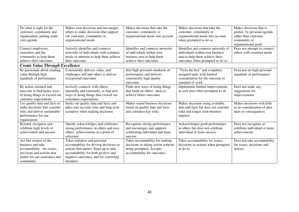| Do what is right for the<br>customer, community and<br>organization, putting aside<br>own agenda<br>Connect employees,<br>customers and the          | Makes own decisions and encourages<br>others to make decisions that support<br>our customer, community or<br>organizational needs<br>Actively identifies and connects<br>networks of individuals with common   | Makes decisions that take the<br>customer, community or<br>organisational needs into account<br>Identifies and connects networks<br>of individuals within own | Makes decisions that take the<br>customer, community or<br>organisational needs into account<br>when prompted to do so<br>Identifies and connects networks of<br>individuals within own business | Makes decisions that is<br>guided by personal agenda<br>rather than customer,<br>community or<br>organisational goals<br>Does not attempt to connect<br>others with common needs |
|------------------------------------------------------------------------------------------------------------------------------------------------------|----------------------------------------------------------------------------------------------------------------------------------------------------------------------------------------------------------------|---------------------------------------------------------------------------------------------------------------------------------------------------------------|--------------------------------------------------------------------------------------------------------------------------------------------------------------------------------------------------|----------------------------------------------------------------------------------------------------------------------------------------------------------------------------------|
| community to help them<br>achieve their outcomes                                                                                                     | needs or interests to help them achieve<br>their outcomes                                                                                                                                                      | business area to help them<br>achieve their outcomes                                                                                                          | area to help them achieve their<br>outcomes when prompted to do so                                                                                                                               |                                                                                                                                                                                  |
| <b>Create Value Through Excellence</b>                                                                                                               |                                                                                                                                                                                                                |                                                                                                                                                               |                                                                                                                                                                                                  |                                                                                                                                                                                  |
| Be passionate about creating<br>value through high<br>standards of performance                                                                       | Consistently delivers value, and<br>challenges self and others to deliver<br>exceptional outcomes                                                                                                              | Sets high personal standards of<br>performance and delivers<br>consistently high quality<br>outcomes                                                          | "Ticks the box" and completes<br>assigned tasks with limited<br>consideration for the outcome or<br>standard of work                                                                             | Does not set high personal<br>standards of performance                                                                                                                           |
| Be action oriented and<br>innovate to find better ways<br>of doing things to exceed our<br>customer expectations                                     | Actively connects with others,<br>internally and externally, to find new<br>ways of doing things that exceed our<br>customers expectations                                                                     | Finds new ways of doing things<br>that build on others' ideas to<br>achieve better outcomes                                                                   | Implements limited improvements<br>in own area when prompted to do                                                                                                                               | Does not make any<br>suggestions for<br>improvements                                                                                                                             |
| Use quality data and facts to<br>make decisions that consider<br>risks and deliver sustainable<br>performance for our<br>organisation                | Seeks out quality data and facts and<br>takes into account risks and long term<br>scenarios when making decisions                                                                                              | Makes sound business decisions<br>based on quality data and facts<br>and considers key risks                                                                  | Makes decisions using available<br>data and facts but does not consider<br>risks and longer term business<br>impacts                                                                             | Makes decisions with little<br>or no consideration of data,<br>facts or consequences                                                                                             |
| Reward, recognise and<br>celebrate high levels of<br>achievement and success                                                                         | Openly acknowledges and celebrates<br>strong performance in others and uses<br>others' achievements as a point of<br>reference                                                                                 | Recognises strong performance<br>and encourages and supports<br>celebrating individual and team<br>success                                                    | Acknowledges good performance<br>in others but does not celebrate<br>individual or team success                                                                                                  | Does not recognise or<br>celebrate individual or team<br>achievements                                                                                                            |
| Act like owners of the<br>business and take<br>accountability for issues,<br>decisions and actions that<br>matter for our customers and<br>community | Takes initiative and personal<br>accountability for driving decisions or<br>actions that matter; Steps up to take<br>accountability for both positive and<br>negative outcomes, and for correcting<br>mistakes | Takes accountability for making<br>decisions or taking action without<br>being prompted; Accepts<br>accountability for outcomes                               | Takes accountability for issues,<br>decisions or actions when prompted<br>to do so                                                                                                               | Does not take accountability<br>for issues, decisions and<br>actions                                                                                                             |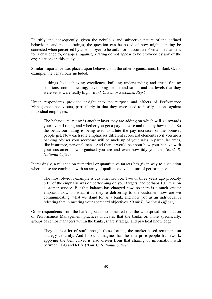Fourthly and consequently, given the nebulous and subjective nature of the defined behaviours and related ratings, the question can be posed of how might a rating be contested when perceived by an employee to be unfair or inaccurate? Formal mechanisms for a challenge to, or appeal against, a rating do not appear to be provided by any of the organisations in this study.

Similar importance was placed upon behaviours in the other organisations. In Bank C, for example, the behaviours included,

…things like achieving excellence, building understanding and trust, finding solutions, communicating, developing people and so on, and the levels that they were set at were really high. (*Bank C, Senior Seconded Rep.*)

Union respondents provided insight into the purpose and effects of Performance Management behaviours, particularly in that they were used to justify actions against individual employees.

The behaviours' rating is another layer they are adding on which will go towards your overall rating and whether you get a pay increase and then by how much. So the behaviour rating is being used to dilute the pay increases or the bonuses people get. Now each role emphasises different scorecard elements so if you are a banking adviser your scorecard will be made up of your sales in particular areas, like insurance, personal loans. And then it would be about how your behave with your customer, how organised you are and even how tidy you are. *(Bank B, National Officer)*

Increasingly, a reliance on numerical or quantitative targets has given way to a situation where these are combined with an array of qualitative evaluations of performance.

The most obvious example is customer service. Two or three years ago probably 80% of the emphasis was on performing on your targets, and perhaps 10% was on customer service. But that balance has changed now, so there is a much greater emphasis now on what it is they're delivering to the customer, how are we communicating, what we stand for as a bank, and how you as an individual is relecting that in meeting your scorecard objectives. *(Bank B, National Officer)*

Other respondents from the banking sector commented that the widespread introduction of Performance Management practices indicates that the banks or, more specifically, groups of senior managers within the banks, share strategic and practical knowledge.

They share a lot of stuff through these forums, the market-based remuneration strategy certainly. And I would imagine that the enterprise people framework, applying the bell curve, is also driven from that sharing of information with between LBG and RBS. (*Bank C, National Officer*)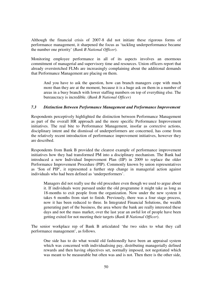Although the financial crisis of 2007-8 did not initiate these rigorous forms of performance management, it sharpened the focus as 'tackling underperformance became the number one priority' (*Bank B National Officer*).

Monitoring employee performance in all of its aspects involves an enormous commitment of managerial and supervisory time and resources. Union officers report that already overstretched FLMs are increasingly complaining about the additional demands that Performance Management are placing on them.

And you have to ask the question, how can branch managers cope with much more than they are at the moment, because it is a huge ask on them in a number of areas in a busy branch with lower staffing numbers on top of everything else. The bureaucracy is incredible. (*Bank B National Officer)* 

# *7.3 Distinction Between Performance Management and Performance Improvement*

Respondents perceptively highlighted the distinction between Performance Management as part of the overall HR approach and the more specific Performance Improvement initiatives. The real bite to Performance Management, insofar as corrective actions, disciplinary intent and the dismissal of underperformers are concerned, has come from the relatively recent introduction of performance improvement initiatives, however they are described.

Respondents from Bank B provided the clearest example of performance improvement initiatives how they had transformed PM into a disciplinary mechanism. The Bank had introduced a new Individual Improvement Plan (IIP) in 2009 to replace the older Performance Improvement Procedure (PIP). Commonly known by union representatives as 'Son of PIP', it represented a further step change in managerial action against individuals who had been defined as 'underperformers'.

Managers did not really use the old procedure even though we used to argue about it. If individuals were pursued under the old programme it might take as long as 18-months to exit people from the organization. Now under the new system it takes 6 months from start to finish. Previously, there was a four stage process, now it has been reduced to three. In Integrated Financial Solutions, the wealth generating part of the business, the area where the bank are really interested these days and not the mass market, over the last year an awful lot of people have been getting exited for not meeting their targets (*Bank B National Officer*).

The senior workplace rep of Bank B articulated 'the two sides to what they call performance management', as follows.

One side has to do what would old fashionedly have been an appraisal system which was concerned with individualising pay, distributing managerially defined rewards and then having objectives set, normally imposed, not negotiated which was meant to be measurable but often was and is not. Then there is the other side,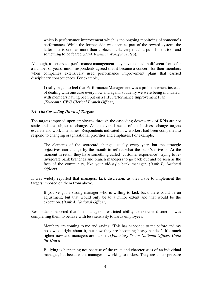which is performance improvement which is the ongoing monitoing of someone's performance. While the former side was seen as part of the reward system, the latter side is seen as more than a black mark, very much a punishment tool and something to be feared (*Bank B Senior Workplace Rep*).

Although, as observed, performance management may have existed in different forms for a number of years, union respondents agreed that it became a concern for their members when companies extensively used performance improvement plans that carried disciplinary consequences. For example,

I really began to feel that Performance Management was a problem when, instead of dealing with one case every now and again, suddenly we were being inundated with members having been put on a PIP, Performance Improvement Plan. (*Telecoms, CWU Clerical Branch Officer*)

# *7.4 The Cascading Down of Targets*

The targets imposed upon employees through the cascading downwards of KPIs are not static and are subject to change. As the overall needs of the business change targets escalate and work intensifies. Respondents indicated how workers had been compelled to respond to changing oragnisational priorities and emphases. For example,

The elements of the scorecard change, usually every year, but the strategic objectives can change by the month to reflect what the bank's drive is. At the moment in retail, they have something called 'customer experience', trying to reinvigorate bank branches and branch manegers to go back out and be seen as the face of the community, like your old-style bank manager. *(Bank B, National Officer)* 

It was widely reported that managers lack discretion, as they have to implement the targets imposed on them from above.

If you've got a strong manager who is willing to kick back there could be an adjustment, but that would only be to a minor extent and that would be the exception. (*Bank A, National Officer*).

Respondents reported that line managers' restricted ability to exercise discretion was complelling them to behave with less sensivity towards employees.

Members are coming to me and saying, 'This has happened to me before and my boss was alright about it, but now they are becoming heavy-handed'. It's much tighter now and managers are harsher, (*Voluntary Sector National Officer, Unite the Union*)

Bullying is happening not because of the traits and charcteristics of an individual manager, but because the manager is working to orders. They are under pressure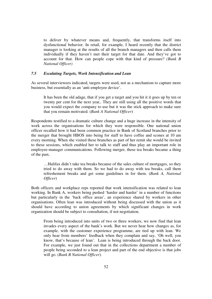to deliver by whatever means and, frequently, that transforms itself into dysfunctional behavior. In retail, for example, I heard recently that the district manager is looking at the results of all the branch managers and then calls them individually if they haven't met their target for that date. And they've got to account for that. How can people cope with that kind of pressure? *(Bank B National Officer)*

# *7.5 Escalating Targets, Work Intensification and Lean*

As several interviewees indicated, targets were used, not as a mechanism to capture more business, but essentially as an 'anti-employee device'.

It has been the old adage, that if you get a target and you hit it it goes up by ten or twenty per cent for the next year,. They are still using all the positive words that you would expect the company to use but it was the stick approach to make sure that you remain motivated. (*Bank A National Officer*)

Respondents testified to a dramatic culture change and a huge increase in the intensity of work across the organisations for which they were responsible. One national union officer recalled how it had been common practice in Bank of Scotland branches prior to the merger that brought HBOS into being for staff to have coffee and scones at 10 am every morning. When she visited these branches as part of her remit she would be invited to these sessions, which enabled her to talk to staff and thus play an important role in employee-manager communications. Following merger, these tea breaks became a thing of the past,

…Halifax didn't take tea breaks because of the sales culture of mortgages, so they tried to do away with them. So we had to do away with tea breaks, call them refreshement breaks and get some guidelines in for them. (*Bank A, National Officer*)

Both officers and workplace reps reported that work intensification was related to lean working. In Bank A, workers being pushed 'harder and harder' in a number of functions but particularly in the 'back office areas', an experience shared by workers in other organisations. Often lean was introduced without being discussed with the union as it should have according to union agreements by which significant changes in work organization should be subject to consultation, if not negotiation.

From being introduced into units of two or three workers, we now find that lean invades every aspect of the bank's work. But we never hear how changes as, for example, with the customer experience programme, are tied up with lean. We only hear from members' feedback when they complain and say, 'Oh well, you know, that's because of lean'. Lean is being introduced through the back door. For example, we just found out that in the collections department a number of people being seconded to a lean project and part of the end objective is that jobs will go. (*Bank B National Officer*).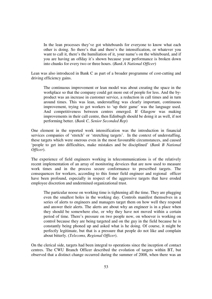In the lean processes they've got whiteboards for everyone to know what each other is doing. So there's that and there's the intensification, or whatever you want to call it, there's the humiliation of it, your name's on the whiteboard, and if you are having an offday it's shown because your performance is broken down into chunks for every two or three hours. (*Bank A National Officer*)

Lean was also introduced in Bank C as part of a broader programme of cost-cutting and driving efficiency gains.

The continuous improvement or lean model was about creating the space in the workplace so that the company could get more out of people for less. And the byproduct was an increase in customer service, a reduction in call times and in turn around times. This was lean, understaffing was clearly important, continuous improvement, trying to get workers to 'up their game' was the language used. And competitiveness between centres emerged. If Glasgow was making improvements in their call centre, then Edinbugh should be doing it as well, if not performing better. (*Bank C, Senior Seconded Rep*)

One element in the reported work intensification was the introduction in financial services companies of 'stretch' or 'stretching targets'. In the context of understaffing, these targets which were onerous even in the most favourable circumstances, and caused 'people to get into difficulties, make mistakes and be disciplined' (*Bank B National Officer*).

The experience of field engineers working in telecommunications is of the relatively recent implementation of an array of monitoring deveices that are now used to measure work times and in the process secure conformance to prescribed targets. The consequences for workers, according to this fomer field engineer and regional officer have been profound, especially in respect of the aggressive targets that have eroded employee discretion and undermined organizational trust.

The particular noose on working time is tightening all the time. They are plugging even the smallest holes in the working day. Controls manifest themselves in a series of alerts to engineers and managers target them on how well they respond and answer their alerts. The alerts are about why an engineer is in a place when they should be somewhere else, or why they have not moved within a certain period of time. There's pressure on two people now, on whoever is working on control because they are being targeted and on the guy in the field because he is constantly being phoned up and asked what is he doing. Of course, it might be perfectly legitimate, but that is a pressure that people do not like and complain about bitterly. (*Telecoms, Regional Officer*).

On the clerical side, targets had been integral to operations since the inception of contact centres. The CWU Branch Officer described the evolution of targets within BT, but observed that a distinct change occurred during the summer of 2008, when there was an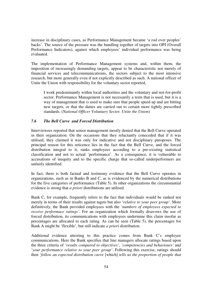increase in disciplinary cases, as Performance Management became 'a rod over peoples' backs'. The source of the pressure was the bundling together of targets into OPI (Overall Performance Indicators), against which employees' individual performance was being evaluated.

The implementation of Performance Management systems and, within them, the imposition of increasingly demanding targets, appear to be characteristic not merely of financial services and telecommunicatioins, the sectors subject to the most intensive research, but more generally even if not explicitly described as such. A national officer of Unite the Union with responsibility for the voluntary sector reported,

I work predominantly within local authorities and the voluntary and not-for-profit sector. Performance Management is not necessarily a term that is used, but it is a way of management that *is* used to make sure that people speed up and are hitting new targets, or that the duties are carried out to certain more tightly prescribed standards. (*National Officer Voluntary Sector, Unite the Union*)

#### *7.6 The Bell Curve and Forced Distribution*

Interviewees reported that senior management mostly denied that the Bell Curve operated in their organization. On the occasions that they reluctantly coneceded that if it was utilised, they claimed it was only for indicative and not disciplinary puroposes. The principal reason for this reticence lies in the fact that the Bell Curve, and the forced distribution integral to it, ranks employees according to a pre-existing statistical classification and not to actual 'performance'. As a consequence, it is vulnerable to accusations of inequity and to the specific charge that so-called underperformers are unfairly identified.

In fact, there is both factual and testimony evidence that the Bell Curve operates in organizations, such as in Banks B and C, as is evidenced by the numerical distributions for the five categories of performance (Table 5). In other organizations the circumstantial evidence is strong that *a priori* distributions are utilised.

Bank C, for example, frequently refers to the fact that individuals would be ranked not merely in terms of their results against tagets but also '*relative to your peer group'*. More definitively, the Bank provided employees with the '*numbers of employees expected to receive performace ratings'*. For an organization which formally disavows the use of forced distribution, its communications with employees undermine this claim insofar as percentages are allocated to each rating. As can be seen (Table 5), the percentages for Bank A might be 'flexible', but still indicate *a priori* distribution.

Additional evidence attesting to this practice comes from Bank C's employee communications. Here the Bank specifies that line managers allocate ratings based upon the three criteria of '*results compared to objectives'*, *'competencies and behaviours'* and '*your performance relative to your peer group'*. Following this exercise, ratings should then *'follow an expected distribution curve* [which] *tells us the proportion of people that*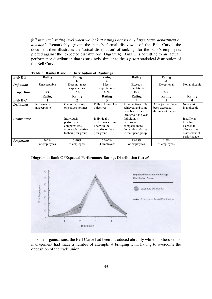*fall into each rating level when we look at ratings across any large team, department or division'*. Remarkably, given the bank's formal disavowal of the Bell Curve, the document then illustrates the 'actual distribution' of rankings for the bank's employees plotted against the 'expected distribution' (Digram 4). Bank C is admitting to an 'actual' performance distribution that is strikingly similar to the *a priori* statistical distribution of the Bell Curve.

| <b>BANK B</b>     | Rating       | Rating              | Rating             | Rating               | Rating              |                |
|-------------------|--------------|---------------------|--------------------|----------------------|---------------------|----------------|
|                   | Е            | D                   | C                  | в                    |                     |                |
| <b>Definition</b> | Unacceptable | Does not meet       | Meets              | Exceeds              | Exceptional         | Not applicable |
|                   |              | expectations        | expectations       | expectations         |                     |                |
| <b>Proportion</b> | $5\%$        | 15%                 | 60%                | 15%                  | $5\%$               |                |
|                   | Rating       | Rating              | Rating             | Rating               | Rating              | Rating         |
| <b>BANK C</b>     |              |                     |                    |                      |                     |                |
| <b>Definition</b> | Performance  | One or more key     | Fully achieved key | All objectives fully | All objectives have | New start or   |
|                   | unacceptable | objectives not met  | objectives         | achieved and some    | been exceeded       | inapplicable   |
|                   |              |                     |                    | have been exceeded   | throughout the year |                |
|                   |              |                     |                    | throughout the year  |                     |                |
| <b>Comparator</b> |              | Individuals         | Individual's       | <b>Individuals</b>   |                     | Insufficient   |
|                   |              | performance         | performance is in  | performance          |                     | time has       |
|                   |              | compares less       | line with the      | compares more        |                     | elapsed to     |
|                   |              | favourably relative | majority of their  | favourably relative  |                     | allow a true   |
|                   |              | to their peer group | peer group         | to their peer group  |                     | assessment of  |
|                   |              |                     |                    |                      |                     | performance    |
| <b>Proportion</b> | $0 - 5\%$    | $5 - 20%$           | 55-65%             | 15-25%               | $0 - 5\%$           |                |
|                   | of employees | of employees        | Of employees       | of employees         | of employees        |                |

**Diagram 4: Bank C 'Expected Performance Ratings Distribution Curve'** 



In some organisations, the Bell Curve had been introduced abruptly while in others senior management had made a number of attempts at bringing it in, having to overcome the opposition of the trade union.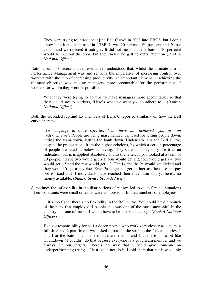They were trying to introduce it [the Bell Curve] in 2008 into HBOS, but I don't know long it has been used in LTSB. It was 20 per cent, 60 per cent and 20 per cent – and we rejected it outright. It did not mean that the bottom 20 per cent would be put out the door, but they would be getting extra attention (*Bank A National Officer*)

National union officers and representatives understood that, whilst the ultimate aim of Performance Management was and remains the imperative of increasing control over workers with the aim of increasing productivity, an important element in achieving the ultimate objective was making managers more accountable for the performance of workers for whom they were responsible.

What they were trying to do was to make managers more accountable, so that they would say to workers, 'Here's what we want you to adhere to'. (*Bank A National Officer*)

Both the seconded rep and lay members of Bank C reported similarly on how the Bell curve operates.

The language is quite specific. *'You have not achieved, you are an underachiever'*. People are being marginalized, criticsed for letting people down, letting the team down, letting the bank down. Undeneath it is the Bell Curve, despite the protestations from the higher echelons, by which a certain percentage of people are rated as below achieving. They state that they only use it as an indication, but is is applied absolutely and to the letter. If you looked at a team of 20 people, maybe two would get a 1, four would get a 2, four would get a 4, two would get a 5 and the rest would get a 3. The 1s and the 2s would get kicked and they wouldn't get a pay rise. Even 3s might not get an increase because the pay pot is fixed and if individuals have reached their maximum salary, there's no money available. (*Bank C Senior Seconded Rep*)

Sometimes the inflexibility in the distributions of ratings led to quite farcical situations when work units were small or teams were composed of limited numbers of employees.

…it's too fixed, there's no flexibility in the Bell curve. You could have a branch of the bank that employed 5 people that was one of the most successful in the country, but one of the staff would have to be 'not satisfactory'. (*Bank A National Officer*)

I've got responsibility for half a dozen people who work very closely as a team, 4 full-time and 2 part-time. I was asked to put put the six into the five categories, 1 and 1 at the bottom, 2 in the middle and then 1 and 1 at the top  $-$  a bit like Countdown!! I couldn't do that because everyone is a good team member and we always hit our targets. There's no way that I could give someone an underperformaing rating  $- I$  just could not do it. I told them that but it was a big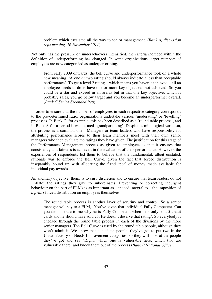problem which escalated all the way to senior management. (*Bank A, discussion reps meeting, 16 November 2011*)

Not only has the pressure on underachievers intensified, the criteria included within the definition of underperforming has changed. In some organizations larger numbers of employees are now categorsied as underperforming.

From early 2009 onwards, the bell curve and underperformance took on a whole new meaning. 'A one *or* two rating should always indicate a less than acceptable performance'. To get a level 2 rating – which means you haven't achieved – all an employee needs to do is have one or more key objectives not achieved. So you could be a star and exceed in all areras but in that one key objective, which is probably sales, you go below target and you become an underperformer overall. (*Bank C Senior Seconded Rep*).

In order to ensure that the number of employees in each respective category corresponds to the pre-determined ratio, organizations undertake various 'moderating' or 'levelling' processes. In Bank C, for example, this has been described as a 'round table process', and in Bank A for a period it was termed 'grandparenting'. Despite terminological variation, the process is a common one. Managers or team leaders who have responsibility for attributing performance scores to their team members meet with their own senior managers who then evaluate the ratings they have given. The justification for this stage of the Performance Management process as given to employees is that it ensures that consistency and fairness is achieved in the evaluation of their performance. However, the experiences of respondents led them to believe that the fundamental, albeit unstated, rationale was to enforce the Bell Curve, given the fact that forced distribution is inseparably bound up with allocating the fixed 'pot' of money made available for individual pay awards.

An ancillary objective, them, is to curb discretion and to ensure that team leaders do not 'inflate' the ratings they give to subordinates. Preventing or correcting indulgent behaviour on the part of FLMs is as important as – indeed integral to – the imposition of *a priori* forced distribution on employees themselves.

The round table process is another layer of scrutiny and control. So a senior manager will say to a FLM, 'You've given that individual Fully Competent. Can you demonstrate to me why he is Fully Competent when he's only sold 5 credit cards and he should have sold 25. He doesn't deserve that rating'. So everybody is checked through the round table process in each of the divisions by the more senior managers. The Bell Curve is used by the round table people, although they won't admit it. We know that out of ten people, they've got to put two in the Unsatisfactory or Needs Improvement categories, so they will look at the people they've got and say 'Right, which one is vulnerable here, which two are vulnerable there' and knock them out of the process (*Bank B National Officer*)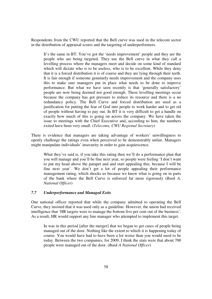Respondents from the CWU reported that the Bell curve was used in the telecom sector in the distribution of appraisal scores and the targeting of underperformers.

It's the same in BT. You've got the 'needs improvement' people and they are the people who are being targeted. They use the Bell curve in what they call a levelling process where the managers meet and decide on some kind of standard which will dictate who is to be useless, who is to be excellent. While they deny that it is a forced distribution it is of course and they are lying through their teeth. It is fair enough if someone genuinely needs improvement and the company uses this to make sure managers put in place what needs to be done to improve performance. But what we have seen recently is that 'generally satisfactory' people are now being deemed not good enough. These levelling meetings occur because the company has got pressure to reduce its resource and there is a no redundancy policy. The Bell Curve and forced distribution are used as a justification for putting the fear of God into people to work harder and to get rid of people without having to pay out. In BT it is very difficult to get a handle on exactly how much of this is going on across the company. We have taken the issue to meetings with the Chief Executive and, according to him, the numbers exited have been very small. (*Telecoms, CWU Regional Secretary*)

There is evidence that managers are taking advantage of workers' unwillingness to openly challenge the ratings even when perceived to be demonstrably unfair. Managers might manipulate individuals' insecurity in order to gain acquiescence.

What they've said is, if you take this rating then we'll do a performance plan that you will manage and you'll be fine next year, so people were feeling 'I don't want to put my head above the parapet and and start appealing this, because I will be fine next year'. We don't get a lot of people appealing their performance management rating, which shocks us because we know what is going on in parts of the bank where the Bell Curve is enforced far more rigorously (*Bank A, National Officer*)

# *7.7 Underperformance and Managed Exits*

One national officer reported that while the company admitted to operating the Bell Curve, they insisted that it was used only as a guideline. However, the union had received intelligence that 'HR targets were to manage the bottom five per cent out of the business'. As a result, HR would support any line manager who attempted to implement this target.

In was in this period [after the merger] that we began to get cases of people being managed out of the door. Nothing like the extent to which it is happening today of course. You would have had to have been a lot worse than you would need to be today. Between the two companies, for 2009, I think the stats were that about 700 people were managed out of the door. (*Bank A National Officer*)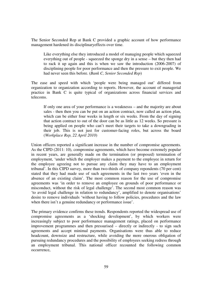The Senior Seconded Rep at Bank C provided a graphic account of how performance management hardened its disciplinaryeffects over time.

Like everything else they introduced a model of managing people which squeezed everything out of people - squeezed the sponge dry in a sense – but they then had to rack it up again and this is when we saw the introduction (2006-2007) of disciplining people for poor performance and then the pressure to exit people. We had never seen this before. (*Bank C, Senior Seconded Rep*)

The ease and speed with which 'people were being managed out' differed from organization to organization according to reports. However, the account of managerial practice in Bank C is quite typical of organizations across financial services and telecoms.

If only one area of your performance is a weaknesss – and the majority are about sales - then then you can be put on an action contract, now called an action plan, which can be either four weeks in length or six weeks. From the day of signing that action contract to out of the door can be as little as 12 weeks. So pressure is being applied on people who can't meet their targets to take a downgrading in their job. This is not just for customer-facing roles, but across the board (*Workplace Rep, 22 April 2010*)

Union officers reported a significant increase in the number of compromise agreements. As the CIPD (2011: 10), compromise agreements, which have become extremely popular in recent years, are generally made on the termination (or proposed) termination of employment, 'under which the employer makes a payment to the employee in return for the employee agreeing not to pursue any claim they may have to an employment tribunal'. In this CIPD survey, more than two-thirds of company repondents (70 per cent) stated that they had made use of such agreements in the last two years 'even in the absence of an existing claim'. The most common reason for the use of compromise agreements was 'in order to remove an employee on grounds of poor performance or misconduct, without the risk of legal challenge'. The second most common reason was 'to avoid legal challenge in relation to redundancy', amplified to denote organisations' desire to remove individuals 'without having to follow policies, procedures and the law when there isn't a genuine redundancy or performance issue'.

The primary evidence confirms these trends. Respondents reported the widespread use of compromise agreements as a 'shocking development', by which workers were increasingly subject to poor performance management ratings, placed on performance improvement programmes and then pressurised – directly or indirectly - to sign such agreements and accept minimal payments. Organisations were thus able to reduce headcount, downsize and restructure, while avoiding the more onerous obligation of pursuing redundancy procedures and the possibility of employees seeking redress through an employment tribunal. This national officer recounted the following common occurrence,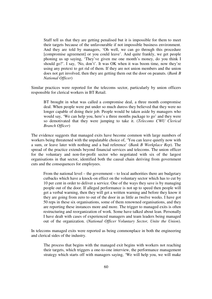Staff tell us that they are getting penalised but it is impossible for them to meet their targets because of the unfavourable if not impossible business environment. And they are told by managers, 'Oh well, we can go through this procedure [compromise agreement] or you could leave'. And quite frankly, we get people phoning us up saying, 'They've given me one month's money, do you think I should go?'. I say, 'No, don't'. It was OK when it was boom time, now they're using any pretext to get rid of them. If they are not union members and the union does not get involved, then they are getting them out the door on peanuts. (*Bank B National Officer*)

Similar practices were reported for the telecoms sector, particularly by union officers responsible for clerical workers in BT Retail.

BT brought in what was called a compromise deal, a three month compromise deal. When people were put under so much duress they believed that they were no longer capable of doing their job. People would be taken aside by managers who would say, 'We can help you, here's a three months package to go' and they were so demotivated that they were jumping to take it. (*Telecoms CWU Clerical Branch Officer*)

The evidence suggests that managed exits have become common with large numbers of workers being threatened with the unpalatable choice of, 'You can leave quietly now with a sum, or leave later with nothing and a bad reference' (*Bank B Workplace Rep*). The spread of the practice extends beyond financial services and telecoms. The union officer for the voluntary and non-for-profit sector who negotiated with six of the largest organisations in that sector, identified both the causal chain deriving from government cuts and the consequences for employees.

From the national level – the government – to local authorities there are budgetary cutbacks which have a knock-on effect on the voluntary sector which has to cut by 10 per cent in order to deliver a service. One of the ways they save is by managing people out of the door. If alleged performance is not up to speed then people will get a verbal warning, then they will get a written warning and before they know it they are going from zero to out of the door in as little as twelve weeks. I have got 50 reps in these six organisations, some of them renowned organisations, and they are reporting these instances more and more. The trigger to managed exits is often restructuring and reorganization of work. Some have talked about lean. Personally I have dealt with cases of experienced managers and team leaders being managed out of the organization. (*National Officer Voluntary Sector, Unite the Union*).

In telecoms managed exits were reported as being commonplace in both the engineering and clerical sides of the industry.

The process that begins with the managed exit begins with workers not reaching their targets, which triggers a one-to-one interview, the performance management strategy which starts off with managers saying, 'We will help you, we will make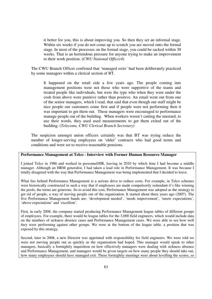it better for you, this is about improving you. So then they set an informal stage. Within six weeks if you do not come up to scratch you are moved onto the formal stage. In most of the processes on the formal stage, you could be sacked within 30 weeks. That is an horrendous pressure for anyone trying to make an improvement to their work position. (*CWU National Officer4*)

The CWU Branch Officer confirned that 'managed exits' had been deliberately practiced by some managers within a clerical section of BT.

It happened on the retail side a few years ago. The people coming into management positions were not those who were supportive of the teams and treated people like individuals, but were the type who when they were under the cosh from above were punitive rather than positive. An email went out from one of the senior managers, which I read, that said that even though our staff might be nice people our customers come first and if people were not performing then it was important to get them out. These managers were encouraged to performance manage people out of the building. When workers weren't cutting the mustard, to use their words, they used used measurements to get them exited out of the building. (*Telecoms, CWU Clerical Branch Secretary*)

The suspicion amongst union officers certainly was that BT was trying reduce the number of longer-serving employees on 'older' contracts who had good terms and conditions and were set to receive reasonable pensions.

# **Performance Management at Telco - Interview with Former Human Resource Manager**

I joined Telco in 1986 and worked in personnel/HR, leaving in 2010 by which time I had become a middle manager. Although an HRM generalist, I had taken a lead role in Performance Management. It was because I totally disagreed with the way that Performance Management was being implemented that I decided to leave.

What lies behind Performance Management is a serious drive to reduce costs. For example, in Telco schemes were historically constructed in such a way that if employees are made compulsorily redundant it's like winning the pools, the terms are generous. So to avoid this cost, Performance Management was adopted as the strategy to get rid of people, a way of moving people out of the organisation. It started about three years ago (2007). The five Performance Management bands are: 'development needed', 'needs improvement', 'meets expectations', 'above expectations' and 'excellent'.

First, in early 2008, the company started producing Performance Management league tables of different groups of employees. For example, there would be league tables for the 3,000 field engineers, which would include data on the numbers of sickness absence cases and Performance Management cases. We were able to see how well they were performing against other groups. We were at the bottom of the league table, a position that was exposed by this strategy.

Second, later in 2008, a new Director was appointed with responsibility for field engineers. We were told we were not moving people out as quickly as the organisation had hoped. This manager would speak to other managers, basically a fortnightly inquisition on how effectively managers were dealing with sickness absence and Performance Management, and managers would be given targets on how many people they should take out, how many employees should have managed exit. These fortnightly meetings were about levelling the scores, so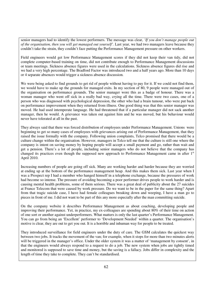senior managers had to identify the lowest performers. The message was clear, *'If you don't manage people out of the organisation, then you will get managed out yourself'.* Last year, we had two managers leave because they couldn't take the strain, they couldn't face putting the Performance Management pressure on other workers.

Field engineers would get low Performance Management scores if they did not keep their van tidy, did not complete computer-based training on time, did not contribute enough to Performance Management discussions or team meetings. Sickness absence figures were used in the calculations. Sickness absence figures did rise and we had a very high percentage. The Bradford Factor was introduced two and a half years ago. More than 10 days or 4 separate absences would trigger a sickness absence discussion.

We were being asked to find grounds to get rid of people without having to pay for it. If we could not find them, we would have to make up the grounds for managed exits. In my section of 80, 9 people were managed out of the organisation on performance grounds. The senior manager wore this as a badge of honour. There was a woman manager who went off sick in a really bad way, crying all the time. There were two cases, one of a person who was diagnosed with psychological depression, the other who had a brain tumour, who were put back on performance improvement when they returned from illness. One good thing was that this senior manager was moved. He had used intemperate language. He had threatened that if a particular manager did not sack another manager, then he would. A grievance was taken out against him and he was moved, but his behaviour would never have tolerated at all in the past.

They always said that there was forced distribution of employees under Performance Management. Unions were beginning to get so many cases of employees with grievances arising out of Performance Management, that they raised the issue formally with the company. Following union complaints, Telco promised that there would be a culture change within the organisation. However, managers in Telco tell me that the culture is still one where the company is intent on saving money by hoping people will accept a small payment and go, rather than wait and get a pension. There's a lot of people, including senior managers who do not believe that the company has changed its practices even though the supposed new approach to Performance Management came in after  $1<sup>st</sup>$ April 2010.

Increasing numbers of people are going off sick. Many are working harder and harder because they are worried at ending up at the bottom of the performance management heap. And this makes them sick. Last year when I was a Prospect rep I had a member who hanged himself in a telephone exchange, because the pressures of work had become so intense. The pressure of avoiding becoming a poor performer drives people to work harder and is causing mental health problems, some of them serious. There was a great deal of publicity about the 27 suicides at France Telecom that were caused by work pressure. Do we want to be in the paper for the same thing? Apart from that tragic suicide case, I have had female colleagues breaking down and weeping, I have a man go to pieces in front of me. I did not want to be part of this any more especially after the man committing suicide.

On the company website it describes Performance Management as about coaching, developing people and improving their performance. Yet, in practice, my ex-colleagues are spending about 80% of their time on action of one sort or another against underperformers. What matters is only the last quarter's Performance Management. You can go from being an 'Excellent' performer to 'Development Needed' within a quarter. The organisation's motive is clear, they are out to get you out. It is a horrible and inhuman way for people to be treated.

They introduced surveillance for field engineers under the duty of care. The GSM calculates the quickest way between two jobs. It tracks the movement of the van; for example, when it stops for more than two minutes alerts will be triggered in the manager's office. Under the older system it was a matter of 'management by consent', in that the engineers would always respond to a request to do a job. The new system when jobs are tightly timed and monitored is supposed to save time and money, but the saving is a fallacy. Jobs differ in complexity and the length of time they take to complete. They can't be standardised.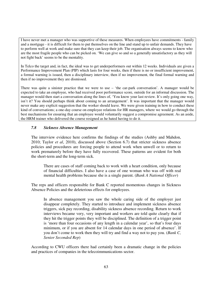I have never met a manager who was supportive of these measures. When employees have commitments - family and a mortgage - it is difficult for them to put themselves on the line and stand up to unfair demands. They have to perform well at work and make sure that they can keep their job. The organisation always seems to know who are the most fragile people who can be picked on. 'We can give so and so a generally unsatisfactory as they will not fight back' seems to be the mentality.

In Telco the target and, in fact, the ideal was to get underperformers out within 12 weeks. Individuals are given a Performance Improvement Plan (PIP) which lasts for four weeks, then if there is no or insufficient improvement, a formal warning is issued, then a disciplinary interview, then if no improvement, the final formal warning and then if no improvement they are dismissed.

There was quite a sinister practice that we were to use – 'the car-park conversation'. A manager would be expected to take an employee, who had received poor performance score, outside for an informal discussion. The manager would then start a conversation along the lines of, 'You know your last review. It's only going one way, isn't it? You should perhaps think about coming to an arrangement'. It was important that the manager would never make any explicit suggestion that the worker should leave. We were given training in how to conduct these kind of conversations; a one-day course on employee relations for HR managers, where we would go through the best mechanisms for ensuring that an employee would voluntarily suggest a compromise agreement. As an aside, the HRM trainer who delivered the course resigned as he hated having to do it.

# *7.8 Sickness Absence Management*

The interview evidence here confirms the findings of the studies (Ashby and Mahdon, 2010; Taylor *et al*, 2010), discussed above (Section 6.7) that stricter sickness absence policies and procedures are forcing people to attend work when unwell or to return to work prematurely before they have fully recovered. These patterns are evident for both the short-term and the long-term sick.

There are cases of staff coming back to work with a heart condition, only because of financial difficulties. I also have a case of one woman who was off with real mental health problems because she is a single parent. (*Bank A National Officer*)

The reps and officers responsible for Bank C reported momentous changes in Sickness Absence Policies and the deleterious effects for employees.

In absence management you saw the whole caring side of the employer just disappear completely. They started to introduce and implement sickness absence triggers, sick pay recording, disability sickness absence recording. Return to work interviews became very, very important and workers are told quite clearly that if they hit the trigger points they will be disciplined. The definition of a trigger point is 'more than four occasions of any length in a calendar year', so that's four days minimum, or if you are absent for 14 calendar days in one period of absence'. If you don't come to work then they will try and find a way not to pay you. (*Bank C, Senior Seconded Rep*)

According to CWU officers there had certainly been a dramatic change in the policies and practices of companies in the telecoimmunications sector.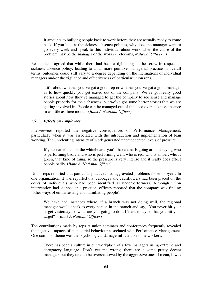It amounts to bullying people back to work before they are actually ready to come back. If you look at the sickness absence policies, why does the manager want to go every week and speak to this individual about work when the cause of the problem may be the manager or the work? (Telecoms, *National Officer 3*)

Respondents agreed that while there had been a tightening of the screw in respect of sickness absence policy, leading to a far more punitive managerial practice in overall terms, outcomes could still vary to a degree depending on the inclinations of individual managers and/or the vigilance and effectiveness of particular union reps.

...it's about whether you've got a good rep or whether you've got a good manager as to how quickly you get exited out of the company. We've got really good stories about how they've managed to get the company to see sense and manage people properly for their absences, but we've got some horror stories that we are getting involved in. People can be managed out of the door over sickness absence in as little as three months (*Bank A National Officer*)

# *7.9 Effects on Employees*

Interviewees reported the negative consequences of Performance Management, particularly when it was associated with the introduction and implementation of lean working. The unrelenting intensity of work generated unprecedented levels of pressure.

If your name's up on the whiteboard, you'll have emails going around saying who is performing badly and who is performing well, who is red, who is amber, who is green, that kind of thing, so the pressure is very intense and it really does effect people badly. (*Bank A, National Officer*)

Union reps reported that particular practices had aggravated problems for employees. In one organization, it was reported that cabbages and cauliflowers had been placed on the desks of individuals who had been identified as underperformers. Although union intervention had stopped this practice, officers reported that the company was finding 'other ways of embarrassing and humiliating people'.

We have had instances where, if a branch was not doing well, the regional manager would speak to every person in the branch and say, 'You never hit your target yesterday, so what are you going to do different today so that you hit your target?' (*Bank A National Officer*)

The contributions made by reps at union seminars and conferences frequently revealed the negative impacts of managerial behaviour associated with Performance Management. One common theme was the psychological damage inflicted on some workers.

There has been a culture in our workplace of a few managers using extreme and derogatory language. Don't get me wrong, there are a some pretty decent managers but they tend to be overshadowed by the aggressive ones. I mean, it was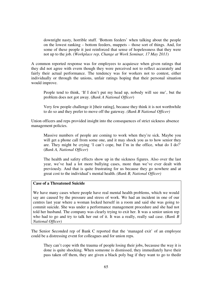downright nasty, horrible stuff. 'Bottom feeders' when talking about the people on the lowest ranking – bottom feeders, muppets – those sort of things. And, for some of these people it just reinforced that sense of hopelessness that they were not up to the job. (*Workplace rep, Change at Work Seminar, 17 May 2011*)

A common reported response was for employees to acquiesce when given ratings that they did not agree with evern though they were perceived not to reflect accurately and fairly their actual performance. The tendency was for workers not to contest, either individually or through the unions, unfair ratings hoping that their personal situation would improve.

People tend to think, 'If I don't put my head up, nobody will see me', but the problem does not got away. (*Bank A National Officer*)

Very few people challenge it [their rating], because they think it is not worthwhile to do so and they prefer to move off the gateway. *(Bank B National Officer)*

Union officers and reps provided insight into the consequences of strict sickness absence management policies.

Massive numbers of people are coming to work when they're sick. Maybe you will get a phone call from some one, and it may shock you as to how senior they are. They might be crying 'I can't cope, but I'm in the office, what do I do?' (*Bank A, National Officer*)

The health and safety effects show up in the sickness figures. Also over the last year, we've had a lot more bullying cases, more than we've ever dealt with previously. And that is quite frustrating for us because they go nowhere and at great cost to the individual's mental health. *(Bank B, National Officer)* 

# **Case of a Threatened Suicide**

We have many cases where people have real mental health problems, which we would say are caused by the pressure and stress of work. We had an incident in one of our centres last year where a woman locked herself in a room and said she was going to commit suicide. She was under a performance management procedure and she had not told her husband. The company was clearly trying to exit her. It was a senior union rep who had to go and try to talk her out of it. It was a really, really sad case. *(Bank B National Officer)*

The Senior Seconded rep of Bank C reported that the 'managed exit' of an employee could be a distressing event for colleagues and for union reps.

They can't cope with the trauma of people losing their jobs, becasuse the way it is done is quite shocking. When someone is dismissed, they immediately have their pass taken off them, they are given a black poly bag if they want to go to thedir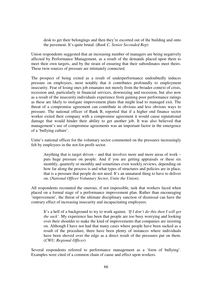desk to get their belongings and then they're escorted out of the building and onto the pavement. It's quite brutal. (*Bank C, Senior Seconded Rep*)

Union respondents suggested that an increasing number of managers are being negatively affected by Performance Management, as a result of the demands placed upon them to meet their own targets, and by the strain of ensuring that their subordinates meet theirs. These twin sources of pressure are intimately connected.

The prospect of being exited as a result of underperformance undoubtedly induces pressure on employees, most notably that it contributes profoundly to employment insecurity. Fear of losing ones job emanates not merely from the broader context of crisis, recession and, particularly in financial services, downsizing and recession, but also now as a result of the insecurity individuals experience from gaining poor performance ratings as these are likely to instigate improvement plans that might lead to managed exit. The threat of a compromise agreement can contribute in obvious and less obvious ways to pressure. The national officer of Bank B, reported that if a higher end finance sector worker exited their company with a compromise agreement it would cause reputational damage that would hinder their ability to get another job. It was also believed that management's use of compromise agreements was an important factor in the emergence of a 'bullying culture'.

Unite's national officer for the voluntary sector commented on the pressures increasingly felt by employees in the not-for-profit sector.

Anything that is target driven – and that involves more and more areas of work – puts huge pressure on people. And if you are getting appraisals or these six monthly, quarterly or monthly and sometimes even weekly reviews, depending on how far along the process is and what types of structures and policies are in place, that is a pressure that people do not need. It's an unnatural thing to have to deliver on. (*National Officer Voluntary Sector, Unite the Union*).

All respondents recounted the onerous, if not impossible, task that workers faced when placed on a formal stage of a performance improvement plan. Rather than encouraging 'improvement', the threat of the ultimate disciplinary sanction of dismissal can have the contrary effect of increasing insecurity and incapacitating employees.

It's a hell of a background to try to work against. *'If I don't do this then I will get the sack'.* My experience has been that people are too busy worrying and looking over their shoulder to make the kind of improvements that companies are insisting on. Although I have not had that many cases where people have been sacked as a result of the procedure, there have been plenty of instances where individuals have been shoved over the edge as a direct result of the pressures put on them. (*CWU, Regional Officer*)

Several respondents referred to performance management as a 'form of bullying'. Examples were cited of a common chain of cause and effect upon workers.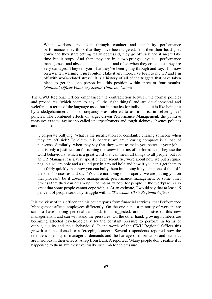When workers are taken through conduct and capability performance performance, they think that they have been targeted. And then their head goes down and they start getting really depressed, they go off sick and it might take time but it stops. And then they are in a two-pronged cycle – performance management and absence management – and often when they come to us they are very damaged. They tell you what they've been going through and say, 'I'm now on a written warning. I just couldn't take it any more. I've been to my GP and I'm off with work-related stress'. It is a history of all of the triggers that have taken place to get this one person into this position within three or four months. (*National Officer Voluntary Sector, Unite the Union*)

The CWU Regional Officer emphasised the contradiction between the formal policies and procedures 'which seem to say all the right things' and are developmental and welefarist in terms of the language used, but in practice for individuals 'it is like being hit by a sledgehammer'. This discrepancy was referred to as 'iron fist in velvet glove' policies. The combined effects of target driven Performance Management, the punitive measures exacted against so-called underperfromers and tough sickness absence policies amounted to…

…corporate bullying. What is the justification for constantly chasing someone when they are off sick? To claim it is because we are a caring company is a load of nonsense. Similarly, when they say that they want to make you better at your job – that is only a justification for turning the screw in terms of performance. They use the word behaviours, which is a great word that can mean all things to all people, but for an HR Manager it is a very specific, even scientific, word about how we put a square peg in a square hole and a round peg in a round hole and how if you can't get them to do it fairly quickly then how you can bully them into doing it by using one of the 'offthe-shelf' processes and say, 'You are not doing this properly, we are putting you on that process', be it absence management, performance management or some other process that they can dream up. The intensity now for people in the workplace is so great that some people cannot cope with it. At an estimate, I would say that at least 15 per cent of people seriously struggle with it. (*Telecoms, CWU Regional Officer*)

It is the view of this officer and his counterparts from financial services, that Performance Management affects employees differently. On the one hand, a minority of workers are seen to have 'strong personalities' and, it is suggested, are dismissive of this new managerialism and can withstand the pressures. On the other hand, growing numbers are becoming affected psychologically by the constant pressure to perform in terms of output, quality and their 'behavious'. In the words of the CWU Regional Officer this growth can be likened to a 'creeping cancer'. Several respondents reported how the relentless intensity of managerial demands and the barrage of information and statistics are insidious in their effects. A rep from Bank A reported, 'Many people don't realise it is happening to them, but they eventually succumb to the pressure'.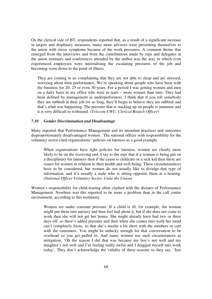On the clerical side of BT, respondents reported that, as a result of a significant increase in targets and displinary measures, many more advisors were presenting themselves to the union with stress symptoms because of the work pressures. A common theme that emerged from the interviews and from the contributions made by reps and delegates at the union seminars and conferences attended by the author was the way in which even experienced employees were internalising the escalating pressures of the job and becoming worn down to the point of illness.

They are coming to us complaining that they are not able to sleep and are stressed, worrying about their performance. We're speaking about people who have been with the business for 20, 25 or even 30 years. For a period I was getting women and men on a daily basis in my office who were in tears – more women than men. They had been defined by management as underperformers. I think that if you tell somebody they are rubbish at their job for so long, they'll begin to believe they are rubbish and that's what was happening. The pressure that is stacking up on people is immense and it is very difficult to withstand. (*Telecom CWU, Clerical Branch Officer*)

#### *7.10 Gender Discrimination and Disadvantage*

Many reported that Performance Management and its attendant practices and outcomes disproportionately disadvantaged women . The national officer with responsibility for the voluntary sector cited organisations' policies on lateness as a good example.

When organisations have tight policies for lateness, women are clearly more likely to be on the receiving end. I say to the reps that if a woman is being put on a disciplinary for lateness then if the cause is childcare or a sick kid then these are issues for women in relation to their health and well-being. These circumstamnces have to be considered, but women do not usually like to divulge that type of information, and it's usually a male who is sitting opposite them at a hearing. (*National Officer Voluntary Sector, Unite the Union*)

Women's responsibility for child-rearing often clashed with the dictates of Performance Management. Nowhere was this reported to be more a problem than in the call centre environment, according to this testimony.

Women are under constant pressure. If a child is ill, for example, the woman might put them into nursery and then feel bad about it, but if she does not come to work then she will not get her bonus. She might already have had two or three days off, so there's added pressure and then when she comes into work her mind can't completely focus, so that she's maybe a bit short with the numbers or curt with the customers. You might be unlucky enough for that conversation to be overhead so you get pulled in. And many women use such circumstances as mitigation, 'Oh the reason I did that was because my boy's not well and my daughter's not well and I'm feeling really awful and I dragged myself into work today'. They don't acknowledge the validity of these reasons so they say, 'Just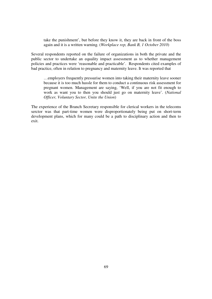take the punishment', but before they know it, they are back in front of the boss again and it is a written warning. (*Workplace rep, Bank B, 1 October 2010*)

Several respondents reported on the failure of organizations in both the private and the public sector to undertake an equality impact assessment as to whether management policies and practices were 'reasonable and practicable'. Respondents cited examples of bad practice, often in relation to pregnancy and maternity leave. It was reported that

…employers frequently pressurise women into taking their maternity leave sooner because it is too much hassle for them to conduct a continuous risk assessment for pregnant women. Management are saying, 'Well, if you are not fit enough to work as want you to then you should just go on maternity leave'. (*National Officer, Voluntary Sector, Unite the Union*)

The experience of the Branch Secretary responsible for clerical workers in the telecoms serctor was that part-time women were disproportionately being put on short-term development plans, which for many could be a path to disciplinary action and then to exit.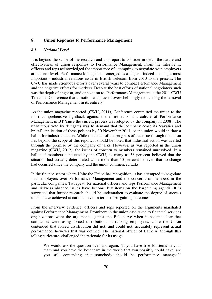# **8. Union Reponses to Performance Management**

#### *8.1 National Level*

It is beyond the scope of the research and this report to consider in detail the nature and effectiveness of union responses to Performance Management. From the interviews, officers and reps acknowledged the importance of attempting to negotiate with employers at national level. Performance Management emerged as a major - indeed the single most important - industrial relations issue in British Telecom from 2010 to the present. The CWU has made strenuous efforts over several years to combat Perfomance Management and the negative effects for workers. Despite the best efforts of national negotiators such was the depth of anger at, and opposition to, Performance Management at the 2011 CWU Telecoms Conference that a motion was passed overwhelmingly demanding the removal of Performance Management in its entirety.

As the union magazine reported (CWU, 2011), Conference committed the union to the most comprehensive fightback against the entire ethos and culture of Performance Management in BT 'since the current process was adopted by the company in 2008'. The unanimous vote by delegates was to demand that the company cease its 'cavalier and brutal' application of these policies by 30 November 2011, or the union would initiate a ballot for industrial action. While the detail of the progress of the issue through the union lies beyond the scope of this report, it should be noted that industrial action was averted through the promise by the company of talks. However, as was reported in the union magazine (CWU, 2012), the issues of concern to members remained unresolved. In a ballot of members conducted by the CWU, as many as 38 per cent believed that the situation had actually deteriorated while more than 50 per cent believed that no change had occurred since the company and the union commenced talks.

In the finance sector where Unite the Union has recognition, it has attempted to negotiate with employers over Performance Management and the concerns of members in the particular companies. To repeat, for national officers and reps Performance Management and sickness absence issues have become key items on the bargaining agenda. It is suggested that further research should be underataken to evaluate the degree of success unions have achieved at national level in terms of bargaining outcomes.

From the interview evidence, officers and reps reported on the arguments marshaled against Performance Management. Prominent in the union case taken to financial services organizations were the arguments against the Bell curve when it became clear that companies were using forced distributions in ranking employees. Unite the Union contended that forced distrtibution did not, and could not, accurately represent actual performance, however that was defined. The national officer of Bank A, through this telling caricature, challenged the rationale for its usage.

We would ask the question over and again. 'If you have five Einsteins in your team and you have the best team in the world that you possibly could have, are you still contending that somebody should be performance managed?'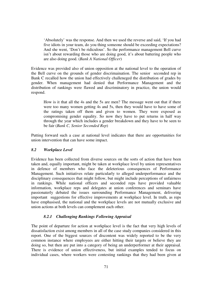'Absolutely' was the response. And then we used the reverse and said, 'If you had five idiots in your team, do you thing someone should be exceeding expectations? And she went, 'Don't be ridiculous'. So the performance management Bell curve isn't about rewarding those who are doing good, it's about battering people who are also doing good. (*Bank A National Officer*)

Evidence was provided also of union opposition at the national level to the operation of the Bell curve on the grounds of gender discrimaination. The senior seconded rep in Bank C recalled how the union had effectively challeneged the distribution of grades by gender. When management had denied that Performance Management and the distribution of rankings were flawed and discriminatory in practice, the union would respond.

How is it that all the 4s and the 5s are men? The message went out that if there were too many women getting 4s and 5s, then they would have to have some of the ratings taken off them and given to women. They were exposed as compromising gender equality. So now they have to put returns in half way through the year which includes a gender breakdown and they have to be seen to be fair (*Bank C, Senior Seconded Rep*)

Putting forward such a case at national level indicates that there are opportunities for union intervention that can have some impact.

### *8.2 Workplace Level*

Evidence has been collected from diverse sources on the sorts of action that have been taken and, equally important, might be taken at workplace level by union representatives in defence of members who face the deleterious consequences of Performance Management. Such initiatives relate particularly to alleged underperformance and the disciplinary consequences that might follow, but might include perceptions of unfairness in rankings. While national officers and seconded reps have provided valuable information, workplace reps and delegates at union conferences and seminars have passionaterly debated the issues surrounding Performance Management, delivering important suggestions for effective improvements at workplace level. In truth, as reps have emphasised, the national and the workplace levels are not mutually exclusive and union actions at both levels can complement each other.

#### *8.2.1 Challenging Rankings Following Appraisal*

The point of departure for action at workplace level is the fact that very high levels of dissatisfaction exist among members in all of the case study companies considered in this report. One of the biggest sources of discontent was widely reported to be the very common instance where employees are either hitting their targets or believe they are doing so, but then are put into a category of being an underperformer at their appraisal. There is evidence of union effectiveness, but initial examples tended to focus on individual cases, where workers were contesting rankings that they had been given at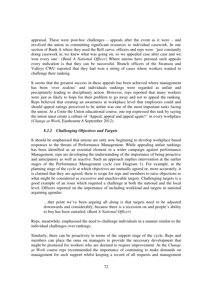appraisal. These were post-hoc challenges – appeals after the event as it were – and involved the union in committing significant resources to individual casework. In one section of Bank A where they used the Bell curve, officers and reps were 'just constantly doing casework in..we knew what was going on, so we appealed case after case and we won every one'. (*Bank A National Officer*) Where unions have pursued such appeals every indication is that they can be successful. Branch officers of the Swansea and Valleys CWU reported that they had won a string of cases where workers wanted to challenge their ranking.

It seems that the greatest success in these appeals has been achieved where management has been 'over zealous' and individuals rankings were regarded as unfair and precipitately leading to disciplinary action. However, reps reported that many workers were just as likely to hope for their problem to go away and not to appeal the ranking. Reps believed that creating an awareness at workplace level that employees could and should appeal ratings perceived to be unfair was one of the most important tasks facing the union. At a Unite the Union educational course, one rep expressed this task by saying the union must create a culture of 'Appeal, appeal and appeal again!!' in every workplace (*Change at Work*, Eastbourne 6 September 2012).

#### *8.2.2 Challenging Objectives and Targets*

It should be emphasised that unions are only now beginning to develop workplace based responses to the threats of Performance Management. While appealing unfair rankings has been identified as an essential element in a wider campaign against performance Management, reps are developing the understanding of the importance of being proactive and anticipatory as well as reactive. Such an approach implies intervention at the earlier stages of the Performance Management cycle (see Diagram 1). For example, at the planning stage of the cycle at which objectives are mutually agreed or, more accurately, it is claimed that they are agreed, there is scope for reps and members to raise objections to what might be considered as excessive and unachievable targets. Challenging targets is a good example of an issue which required a challenge at both the national and the local level. Officers reported on the importance of including workload and targets in national argaining agendas.

…ther point we've been arguing all along is that targets need to be adjusted downwards and considerably, because there is a recession on and people's ability to buy has been curtailed. (*Bank A National Officer*)

Reps, meanwhile, emphasised the need to challenge individuals in a manner similar to the individual challenges over rankings.

Similarly, there can be proactivity in terms of the support stage of the cycle. Reps and members can place the onus on managers to provide the necessary development that might be promised for workers who are deemed to require improvement. At the *Change at Work* course reps recommended the importance of continuing to make demands on management for such support whilst keeping a record of all requests and management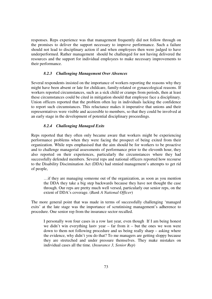responses. Reps experience was that management frequently did not follow through on the promises to deliver the support necessary to improve performance. Such a failure should not lead to disciplinary action if and when employees then were judged to have underperformed. Rather management should be challenged for not having delivered the resources and the support for individual employees to make necessary improvements to their performance.

## *8.2.3 Challenging Management Over Absences*

Several respondents insisted on the importance of workers reporting the reasons why they might have been absent or late for childcare, family-related or gynaecological reasons. If workers reported circumstances, such as a sick child or cramps from periods, then at least these circumstances could be cited in mitigation should that employee face a disciplinary. Union officers reported that the problem often lay in individuals lacking the confidence to report such circumstances. This reluctance makes it imperative that unions and their represerntatives were visible and acceesible to members, so that they could be involved at an early stage in the development of potential disciplinary proceedings.

## *8.2.4 Challenging Managed Exits*

Reps reported that they often only became aware that workers might be experiencing performance problems when they were facing the prospect of being exited from their organization. While reps emphasised that the aim should be for workers to be proactive and to challenge managerial assessments of performance prior to the eleventh hour, they also reported on their experiences, particularly the circumstances where they had successfully defended members. Several reps and national officers reported how recourse to the Disability Discimination Act (DDA) had stmied management's attempts to get rid of people,

…if they are managing someone out of the organization, as soon as you mention the DDA they take a big step backwards because they have not thought the case through. Our reps are pretty much well versed, particularly our senior reps, on the extent of DDA's coverage. (*Bank A National Officer*)

The more general point that was made in terms of successfully challenging 'managed exits' at the late stage was the importance of scrutinising management's adherence to procedure. One senior rep from the insurance sector recalled.

I personally won four cases in a row last year, even though If I am being honest we didn't win everything lastv year – far from it – but the ones we won were down to them not following procedure and us being really sharp – asking where the evidence, why didn't you do that? To me managers are getting sloppy because they are streteched and under pressure themselves. They make mistakes on individual cases all the time. (*Insurance 3, Senior Rep*)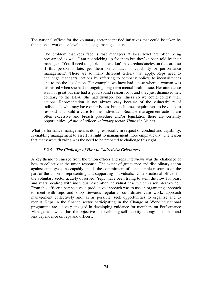The national officer for the voluntary sector identified intiatives that could be taken by the union at workplace level to challenge managed exits.

The problem that reps face is that managers at local level are often being pressurised as well. I am not sticking up for them but they've been told by their managers, 'You'll need to get rid and we don't have redundancies on the cards so if this person is late, get them on conduct or capability or performance management', There are so many different criteria that apply. Reps need to challenge managers' actions by referring to company policy, to inconsistences and to the the legislation. For example, we have had a case where a woman was dismissed when she had an ongoing long-term mental health issue. Her attendance was not great but she had a good sound reason for it and they just dismissed her, contrary to the DDA. She had divulged her illness so we could contest their actions. Representation is not always easy because of the vulnerability of individuals who may have other issues, but such cases require reps to be quick to respond and build a case for the individual. Because management actions are often excessive and breach procedure and/or legislation there are certainly opportunities. (*National officer, voluntary sector, Unite the Union*)

What performance management is doing, especially in respect of conduct and capability, is enabling management to assert its right to management more emphatically. The lesson that many were drawing was the need to be prepared to challenge this right.

## *8.2.5 The Challenge of How to Collectivise Grievances*

A key theme to emerge from the union officer and reps interviews was the challenge of how to collectivise the union response. The extent of greievance and disciplinary action against employees inescapably entails the commitment of considerable resources on the part of the union in representing and supporting individuals. Unite's national officer for the voluntary sector acutely observed, 'reps have been trying to stem the flow for years and years, dealing with individual case after individual case which is soul destroying'. From this officer's perspective, a productive approach was to use an organizing approach to meet with reps and shop stewards regularly, co-ordinate case work, approach management collectively and, as as possible, seek opportunities to organize and to recruit. Reps in the finance sector participating in the Change at Work educational programme are actively engaged in developing guidance for members on Performance Management which has the objective of developing self-activity amongst members and less dependence on reps and officers.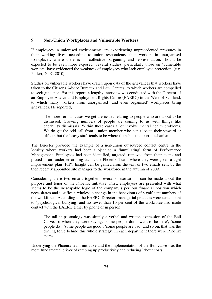## **9. Non-Union Workplaces and Vulnerable Workers**

If employees in unionised environments are experiencing unprecedented pressures in their working lives, according to union respondents, then workers in unorganised workplaces, where there is no collective bargaining and representation, should be expected to be even more exposed. Several studies, particularly those on 'vulnerable workers' have evidenced the weakness of employees who lack employee protection. (e.g. Pollert, 2007; 2010).

Studies on vulnerable workers have drawn upon data of the grievances that workers have taken to the Citizens Advice Bureaux and Law Centres, to which workers are compelled to seek guidance. For this report, a lengthy interview was conducted with the Director of an Employee Advice and Employment Rights Centre (EAERC) in the West of Scotland, to which many workers from unorganised (and even organised) workplaces bring grievances. He reported,

The more serious cases we get are issues relating to people who are about to be dismissed. Growing numbers of people are coming to us with things like capability dismissals. Within these cases a lot involve mental health problems. We do get the odd call from a union member who can't locate their steward or officer, but the heavy stuff tends to be where there's no support mechanism.

The Director provided the example of a non-union outsourced contact centre in the locality where workers had been subject to a 'humiliating' form of Performance Management. Employees had been identified, targeted, removed from their teams and placed in an 'underperforming team', the Phoenix Team, where they were given a tight improvement plan (PIP). Insight can be gained from the text of two emails sent by the then recently appointed site manager to the workforce in the autumn of 2009.

Considering these two emails together, several obeservations can be made about the purpose and tenor of the Phoenix initiative. First, employees are presented with what seems to be the inescapable logic of the company's perilous financial position which necessitates and justifies a wholesale change in the behaviours of significant numbers of the workforce. According to the EAERC Director, managerial practices were tantamount to 'psychological bullying' and no fewer than 10 per cent of the workforce had made contact with the EAERC either by phone or in person.

The tall ships analogy was simply a verbal and written expression of the Bell Curve, so when they were saying, 'some people don't want to be here', 'some people do', 'some people are good', 'some people are bad' and so on, that was the driving force behind this whole strategy. In each department there were Phoenix teams.

Underlying the Phoenix team initiative and the implementation of the Bell curve was the more fundamental driver of ramping up productivity and reducing labour costs.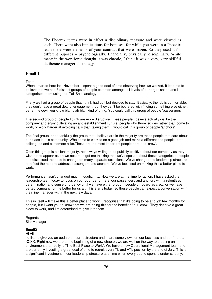The Phoenix teams were in effect a disciplinary measure and were viewed as such. There were also implications for bonuses, for while you were in a Phoenix team there were elements of your contract that were frozen. So they used it for different puposes – psychologically, financially, physically, disciplinary. While many in the workforce thought it was chaotic, I think it was a very, very skillful deliberate managerial strategy.

# **Email 1**

Team,

When I started here last November, I spent a good deal of time observing how we worked. It lead me to believe that we had 3 distinct groups of people common amongst all levels of our organisation and I categorised them using the 'Tall Ship' analogy.

Firstly we had a group of people that I think had quit but decided to stay. Basically, the job is comfortable, they don't have a great deal of engagement, but they can't be bothered with finding something else either, better the devil you know blah blah blah kind of thing. You could call this group of people 'passengers'.

The second group of people I think are more disruptive. These people I believe actually dislike the company and enjoy cultivating an anti-establishment culture, people who throw sickies rather than come to work, or work harder at avoiding calls than taking them. I would call this group of people 'anchors'.

The final group, and thankfully the group that I believe are in the majority are those people that care about our place in this community. Who come to work to do a good job and make a difference to people, both colleagues and customers alike.These are the most important people here, the 'crew'.

Often this group is a silent majority, not always willing to be publicly positive about our company as they wish not to appear as brown nosers. It got me thinking that we've spoken about these categories of people and discussed the need to change on many separate occasions. We've changed the leadership structure to reflect the need to address passengers and anchors. We've focussed on making this a better place to work.

Performance hasn't changed much though………Now we are at the time for action. I have asked the leadership team today to focus on our poor performers, our passengers and anchors with a relentless determination and sense of urgency until we have either brought people on board as crew, or we have parted company for the better for us all. This starts today, so these people can expect a conversation with their line manager within the next few days.

This in itself will make this a better place to work. I recognise that it's going to be a tough few months for people, but I want you to know that we are doing this for the benefit of our 'crew'. They deserve a great place to work, and I'm determined to give it to them.

Regards, Site Manager

# ----------------------------------------------------------------------------------------------------

# **Email2**

# Hi All,

I'd like to give you an update on our restructure and share some views on our business and our future at XXXX. Right now we are at the beginning of a new chapter, we are well on the way to creating an environment that really is "The Best Place to Work". We have a new Operational Management team and are currently investing a great deal of time to recruit every TL and ATL position by the end of July. This is a significant investment in our leadership structure at a time when every pound spent is under scrutiny.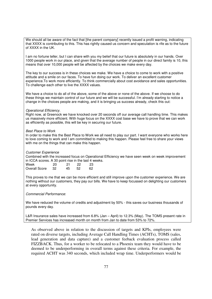We should all be aware of the fact that [the parent company] recently issued a profit warning, indicating that XXXX is contributing to this. This has rightly caused us concern and speculation is rife as to the future of XXXX in the UK.

I am no fortune teller, but I can share with you my belief that our future is absolutely in our hands. Over 1000 people work in our place, and given that the average number of people in our direct family is 10, this means that over 10,000 people will be affected by the choices we make every day.

The key to our success is in these choices we make. We have a choice to come to work with a positive attitude and a smile on our faces. To have fun doing our work. To deliver an excellent customer experience.To work more efficiently. To think commercially about cost avoidance and sales opportunities. To challenge each other to live the XXXX values.

We have a choice to do all of the above, some of the above or none of the above. If we choose to do these things we maintain control of our future and we will be successful. I'm already starting to notice a change in the choices people are making, and it is bringing us success already, check this out:

### Operational Efficiency.

Right now, at Greenock we have knocked over 20 seconds off our average call handling time. This makes us massively more efficient. With huge focus on the XXXX cost base we have to prove that we can work as efficiently as possible, this will be key in securing our future.

### Best Place to Work

In order to make this the Best Place to Work we all need to play our part. I want everyone who works here to love coming to work and I am committed to making this happen. Please feel free to share your views with me on the things that can make this happen.

Customer Experience

Combined with the increased focus on Operational Efficiency we have seen week on week improvement in ICCA scores. A 30 point rise in the last 4 weeks.

| Week             | 20 | 21 | 22  | 23 |
|------------------|----|----|-----|----|
| Overall Score 32 |    | 45 | -52 | 62 |

This proves to me that we can be more efficient and still improve upon the customer experience. We are nothing without our customers, they pay our bills. We have to keep focussed on delighting our customers at every opportunity.

Commercial Performance:

We have reduced the volume of credits and adjustment by 50% - this saves our business thousands of pounds every day.

L&R Insurance sales have increased from 6.8% (Jan – April) to 12.3% (May). The TOMS present rate in Premier Services has increased month on month from Jan to date from 53% to 72%.

As observed above in relation to the discussion of targets and KPIs, employees were rated on diverse targets, including Average Call Handling Times (ACHTs), TOMS (sales, lead generation and data capture) and a customer feeback evaluation process called FIZZBACK. Thus, for a worker to be relocated to a Phoenix team they would have to be deemed to be underperforming in overall terms against these criteria. For example, the required ACHT was 340 seconds, which included wrap time. Underperformers would be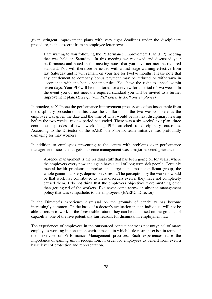given stringent improvement plans with very tight deadlines under the disciplinary procedure, as this excerpt from an employee letter reveals.

I am writing to you following the Performance Improvement Plan (PiP) meeting that was held on Saturday…In this meeting we reviewed and discussed your performance and noted in the meeting notes that you have not met the required standard. You will therefore be issued with a first stage warning effective from last Saturday and it will remain on your file for twelve months. Please note that any entitlement to company bonus payment may be reduced or withdrawn in accordance with the bonus scheme rules. You have the right to appeal within seven days. Your PIP will be monitored for a review for a period of two weeks. In the event you do not meet the required standard you will be invited to a further improvement plan. (*Excerpt from PIP Letter to X-Phone employee*)

In practice, at X-Phone the performance improvement process was often inseparable from the displinary procedure. In this case the conflation of the two was complete as the employee was given the date and the time of what would be his next disciplinary hearing before the two weeks' review period had ended. There was a six weeks' exit plan; three continuous episodes of two week long PIPs attached to disciplinary outcomes. According to the Dirtector of the EAER, the Phoenix team initiative was profoundly damaging for may workers

In addition to employees presenting at the centre with problems over performance management issues and targets, absence management was a major reported grievance.

Absence management is the residual stuff that has been going on for years, where the employers every now and again have a cull of long term sick people. Certainly mental health problems comprises the largest and most significant group, the whole gamut – anxiety, depression, stress...The perception by the workers would be that work has contributed to these disorders even if they have not completely caused them. I do not think that the employers objectives were anything other than getting rid of the workers. I've never come across an absence management policy that was sympathetic to the employees. (EAERC, Director)

In the Director's experience dismissal on the grounds of capability has become increasingly common. On the basis of a doctor's evaluation that an individual will not be able to return to work in the foreseeable future, they can be dismissed on the grounds of capability, one of the five potentially fair reasons for dismissal in employment law.

The experiences of employees in the outsourced contact centre is not untypical of many employees working in non-union environments, in which little restraint exists in terms of their exercise of Performance Management practices. Such experiences raise the importance of gaining union recognition, in order for employees to benefit from even a basic level of protection and representation.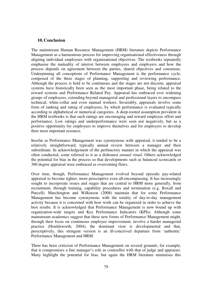### **10.Conclusion**

The mainstream Human Resource Management (HRM) literature depicts Performance Management as a harmonious process for improving organisational effectiveness through aligning individual employees with organizational objectives. The textbooks repeatedly emphasise the mutuality of interest between employees and employers and how the process depends on agreement between the parties, shared objectives and consensus. Underpinning all conceptions of Performance Management is the performance cycle, composed of the three stages of planning, supporting and reviewing performance. Although the process is held to be continuous and the stages are not discrete, appraisal systems have historically been seen as the most important phase, being related to the reward systems and Performance Related Pay. Appraisal has embraced ever widening groups of employees, extending beyond managerial and professional layers to encompass technical, white-collar and even manual workers. Invariably, appraisals involve some form of ranking and rating of employees, by which performance is evaluated typically according to alphabetical or numerical categories. A deep-rooted assumption prevalent in the HRM textbooks is that such ratings are encouraging and reward employee effort and performance. Low ratings and underperformance were seen not negatively, but as a positive opportunity for employees to improve themelves and for employers to develop their most important resource.

Insofar as Performance Management was synonymous with appraisal, it tended to be a relatively straightforward, typically annual review between a manager and their subordinate. In acknowledgement of the perfunctory manner in which the appraisal was often conducted, some referred to it as a dishonest *annual ritual*. Others acknowledged the potential for bias in the process so that developments such as balanced scorecards or 360 degree appraisal were embraced as overcoming flaws.

Over time, though, Performance Management evolved beyond episodic pay-related appraisal to become tighter, more prescriptive even all-encompassing. It has increasingly sought to incorporate issues and stages that are central to HRM more generally, from recruitment, through training, capability procedures and termination (e.g. Boxall and Purcell). Marchington and Wilkinson (2008) maintain that for some Performance Management has become synonymous with the totality of day-to-day management activity because it is concerned with how work can be organized in order to achieve the best results. It is acknowledged that Performance Management is now bound up with organization-wide targets and Key Performance Indicators (KPIs). Although some mainstream academics suggest that these new forms of Performance Management might, through their focus on continuous employee improvement, involve a harder managerial practice (Houldsworth, 2004), the dominant view is developmental and that, prescriptively, this stringent version is an ill-conceived departure from 'authentic' Performance Management and HRM.

There has been criticism of Performance Management on several grounds; for example, that it compromises a line manager's role as counsellor with that of judge and appraiser. Many highlight the potential for bias, but again the HRM literature minimises this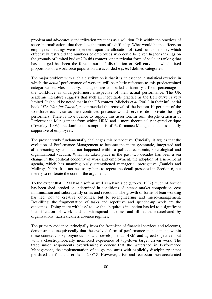problem and advocates standardization practices as a solution. It is within the practices of score 'normalisation' that there lies the roots of a difficulty. What would be the effects on employees if ratings were dependent upon the allocation of fixed sums of money which effectively restricted the numbers of employees who could be given higher rankings on the grounds of limited budget? In this context, one particular form of scale or ranking that has emerged has been the forced 'normal' distribution or Bell curve, in which fixed proportions of a workforce population are accorded *a priori* defined categories.

The major problem with such a distribution is that it is, in essence, a statistical exercise in which the *actual* performance of workers will bear little reference to this predetermined categorization. Most notably, managers are compelled to identify a fixed percentage of the workforce as underperformers irrespective of their actual performance. The UK academic literature suggests that such an inequitable practice as the Bell curve is very limited. It should be noted that in the US context, Michels *et al* (2001) in their influential book '*The War for Talent'*, recommended the removal of the bottom 10 per cent of the workforce each year as their continued presence would serve to de-motivate the high performers. There is no evidence to support this assertion. In sum, despite criticism of Performance Management from within HRM and a more theoretically inspired critique (Townley, 1993), the dominant assumption is of Performance Management as essentially supportive of employees.

The present study fundamentally challenges this perspective. Crucially, it argues that the evolution of Performance Management to become the more systematic, integrated and all-embracing system has not happened within a political-economic, soiciological and organizational vacuum. What has taken place in the past two decades has been a sea change in the political economy of work and employment, the adoption of a neo-liberal agenda, which has unambiguously strengthened managerial prerogative (Daniels and McIlroy, 2009). It is not necessary here to repeat the detail presented in Section 6, but merely to re-iterate the core of the argument.

To the extent that HRM had a soft as well as a hard side (Storey, 1992) much of former has been shed, eroded or undermined in conditions of intense market competition, cost minimisation and subsequently crisis and recession. The growth of forms of lean working has led, not to creative outcomes, but to re-engineering and micro-management. Deskilling, the fragmentation of tasks and repetitive and speeded-up work are the outcomes. 'Doing more with less' to use the ubiquitous injunction has led to a significant intensification of work and to widespread sickness and ill-health, exacerbated by organisations' harsh sickness absence regimes.

The primary evidence, principally from the front-line of financial services and telecoms, demonstrates unequivocally that the evolved form of performance management, within these contexts, is synonymous not with developmental HRM and agreed objectives but with a claustrophobically monitored experience of top-down target driven work. The trade union respondents overwlemingly concur that the watershed in Performance Management, the implementation of tough measures with explicitly disciplinary intent pre-dated the financial crisis of 2007-8. However, crisis and recession then accelerated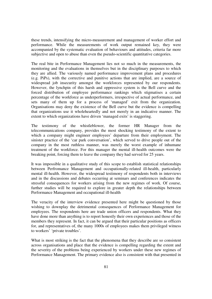these trends, intensifying the micro-measurement and management of worker effort and performance. While the measurements of work output remained key, they were accompanied by the systematic evaluation of behaviours and attitudes, criteria far more subjective and open to abuse than even the pseudo-scientific quantitative categories.

The real bite in Performance Management lies not so much in the measurements, the monitoring and the evaluations in themselves but in the disciplinary purposes to which they are allied. The variously named performance improvement plans and procedures (e.g. PiPs), with the corrective and punitive actions that are implied, are a source of widespread job insecurity amongst the workforces represented by our respondents. However, the lynchpin of this harsh and oppressive system is the Bell curve and the forced distribution of employee performance rankings which stigmatises a certain percentage of the workforce as underperformers, irrespective of actual performance, and sets many of them up for a process of 'managed' exit from the organization. Organisations may deny the existence of the Bell curve but the evidence is compelling that organizations use it wholeheartedly and not merely in an indicative manner. The extent to which organizations have driven 'managed exits' is staggering.

The testimony of the whistleblower, the former HR Manager from the telecommunications company, provides the most shocking testimony of the extent to which a company might engineer employees' departure from their employment. The sinister practice of the 'car park conversation', which served to drive people out of the company in the most ruthless manner, was merely the worst example of inhumane treatment of the workforce. For this manager the mental ill-health outcomes were the breaking point, forcing them to leave the company they had served for 25 years.

It was impossible in a qualitative study of this scope to establish statistical relationships between Perfromance Management and occupationally-related ill-health, particularly mental ill-health. However, the widespread testimony of respondents both in interviews and in the discussions and debates occurring at seminars and conferences indicates the stressful consequences for workers arising from the new regimes of work. Of course, further studies will be required to explore in greater depth the relationships between Performance Management and occupational ill-health

The veracity of the interview evidence presented here might be questioned by those wishing to downplay the detrimental consequences of Performance Management for employees. The respondents here are trade union officers and respondents. What they have done more than anything is to report honestly their own experiences and those of the members they represent. In fact, it can be argued that their particular positions as officers for, and representatives of, the many 1000s of employees makes them privileged witness to workers' 'private troubles'.

What is most striking is the fact that the phenomena that they describe are so consistent across organisations and place that the evidence is compelling regarding the extent and the severity of the problems being experienced by workers under these new regimes of Performance Management. The primary evidence also is consistent with that presented in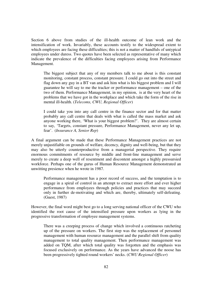Section 6 above from studies of the ill-health outcome of lean work and the intensification of work. Invariably, these accounts testify to the widespread extent to which employees are facing these difficulties; this is not a matter of handfuls of untypical employees under duress. Two quotes have been selected as representative of many which indicate the prevalence of the difficulties facing employees arising from Performance Management.

The biggest subject that any of my members talk to me about is this constant monitoring, constant process, constant pressure. I could go out into the street and flag down any guy in a BT van and ask him what is his biggest problem and I will guarantee he will say to me the tracker or performance management – one of the two of them. Performance Management, in my opinion, is at the very heart of the problems that we have got in the workplace and which take the form of the rise in mental ill-health. (*Telecoms, CWU, Regional Officer*)

I could take you into any call centre in the finance sector and for that matter probably any call centre that deals with what is called the mass market and ask anyone working there, 'What is your biggest problem?'. They are almost certain to say, 'Targets, constant pressure, Performance Management, never any let up, fear'. (*Insurance A, Senior Rep*)

A final argument can be made that these Performance Management practices are not merely unjustifiable on grounds of welfare, decency, dignity and well-being, but that they may also be utterly counterproductive from a managerial perspective. They require enormous commitments of resource by middle and front-line management and serve merely to create a deep well of resentment and discontent amongst a highly pressursied workforce. Perhaps one of the gurus of Human Resource Management demonstrated an unwitting presience when he wrote in 1987.

Performance management has a poor record of success, and the temptation is to engage in a spiral of control in an attempt to extract more effort and ever higher performance from employees through policies and practices that may succeed only in further de-motivating and which are, thereby, ultimately self-defeating. (Guest, 1987)

However, the final word might best go to a long serving national officer of the CWU who identified the root cause of the intensified pressure upon workers as lying in the progressive transformation of employee management systems.

There was a creeping process of change which involved a continuous ratcheting up of the pressure on workers. The first step was the replacement of personnel management with human resource management and the parallel shift from quality management to total quality management. Then performance management was added on TQM, after which total quality was forgotten and the emphasis was focused exclusively on performance. As the years have advanced the noose has been progressively tighted round workers' necks. (*CWU Regional Officer*)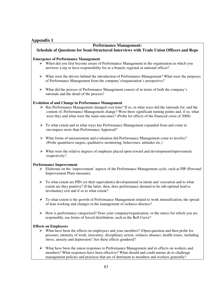## **Appendix 1**

# **Performance Management:**

### **Schedule of Questions for Semi-Structured Interviews with Trade Union Officers and Reps**

#### **Emergence of Performance Management**

- > When did you first become aware of Performance Management in the organisation in which you are/were a rep or have responsibility for as a branch, regional or national officer?
- > What were the drivers behind the introduction of Performance Management? What were the purposes of Performance Management from the company's/organisation's perspective?
- > What did the process of Performance Management consist of in terms of both the company's rationale and the detail of the process?

#### **Evolution of and Change in Performance Management**

- > Has Performance Management changed over time? If so, in what ways did the rationale for, and the content of, Performance Management change? Were there significant turning points and, if so, what were they and what were the main outcomes? (Probe for effects of the financial crisis of 2008)
- > To what extent and in what ways has Performance Management expanded from and come to encompass more than Performance Appraisal?
- What forms of measurement and evaluation did Performance Management come to involve? (Probe quantitaive targets, qualitative monitoring, behaviours, attitudes etc.)
- What were the relative degrees of emphasis placed upon reward and development/improvement respectively?

#### **Performance Improvement**

- > Elaborate on the 'improvement' aspects of the Performance Management cycle, such as PIP (Personal Improvement Plan) measures.
- > To what extent are PIPs (or their equivalents) developmental in intent and execution and to what extent are they punitive? If the latter, then, does performance deemed to be sub-optimal lead to involuntary exit and if so to what extent?
- > To what extent is the growth of Performance Management related to work intensification, the spread of lean working and changes in the management of sickness absence?
- > How is performance categorised? Does your company/organisation, or the one(s) for which you are responsible, use forms of forced distribution, such as the Bell Curve?

#### **Effects on Employees**

- > What have been the effects on employees and your members? (Open question and then probe for pressure, intensity of work, insecurity, disciplinary action, sickness absence, health issues, including stress, anxiety and depression? Are these effects gendered?
- > What have been the union responses to Performance Management and its effects on workers and members? What responses have been effective? What should and could unions do to challenge management policies and practices that are of detriment to members and workers generally?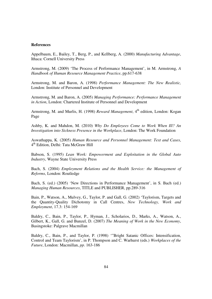#### **References**

Appelbaum, E., Bailey, T., Berg, P., and Kellberg, A. (2000) *Manufacturing Advantage*, Ithaca: Cornell University Press

Armstrong, M. (2009) 'The Process of Performance Management', in M. Armstrong, *A Handbook of Human Resource Management Practice*, pp.617-638

Armstrong, M. and Baron, A. (1998) *Performance Management: The New Realistic,*  London: Institute of Personnel and Development

Armstrong, M. and Baron, A. (2005) *Managing Performance: Performance Management in Action*, London: Chartered Institute of Personnel and Development

Armstrong, M. and Murlis, H. (1998) *Reward Management*, 4<sup>th</sup> edition, London: Kogan Page

Ashby, K. and Mahdon, M. (2010) *Why Do Employees Come to Work When Ill? An Investigation into Sickness Presence in the Workplace*, London: The Work Foundation

Aswathappa, K. (2005) *Human Resource and Personnel Management: Text and Cases*, 4 th Edition, Delhi: Tata McGraw Hill

Babson, S. (1995) *Lean Work: Empowerment and Exploitation in the Global Auto Industry*, Wayne State University Press

Bach, S. (2004) *Employment Relations and the Health Service: the Management of Reforms*, London: Routledge

Bach, S. (ed.) (2005) 'New Directions in Performance Management', in S. Bach (ed.) *Managing Human Resources*, TITLE and PUBLISHER, pp.289-316

Bain, P., Watson, A., Mulvey, G., Taylor, P. and Gall, G. (2002) 'Taylorism, Targets and the Quantity-Quality Dichotomy in Call Centres, *New Technology, Work and Employment*, 17.3: 154-169

Baldry, C., Bain, P., Taylor, P., Hyman, J., Scholarios, D., Marks, A., Watson, A., Gilbert, K., Gall, G. and Bunzel, D. (2007) *The Meaning of Work in the New Economy*, Basingstoke: Palgrave Macmillan

Baldry, C., Bain, P., and Taylor, P. (1998) '"Bright Satanic Offices: Intensification, Control and Team Taylorism', in P. Thompson and C. Warhurst (eds.) *Workplaces of the Future*, London: Macmillan, *pp*. 163-186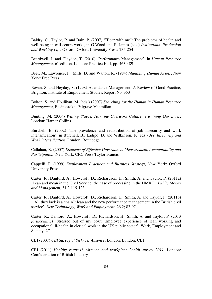Baldry, C., Taylor, P. and Bain, P. (2007) '"Bear with me": The problems of health and well-being in call centre work', in G.Wood and P. James (eds.) *Institutions, Production and Working Life*, Oxford: Oxford University Press: 235-254

Beardwell, J. and Claydon, T. (2010) 'Performance Management', in *Human Resource Management*, 6<sup>th</sup> edition, London: Prentice Hall, pp. 463-489

Beer, M., Lawrence, P., Mills, D. and Walton, R. (1984) *Managing Human Assets*, New York: Free Press

Bevan, S. and Heyday, S. (1998) Attendance Management: A Review of Good Practice, Brighton: Institute of Employment Studies, Report No. 353

Bolton, S. and Houlihan, M. (eds.) (2007*) Searching for the Human in Human Resource Management*, Basingstoke: Palgrave Macmillan

Bunting, M. (2004) *Willing Slaves: How the Overwork Culture is Ruining Our Lives*, London: Harper Collins

Burchell, B. (2002) 'The prevalence and redistribution of job insecurity and work intensification', in Burchell, B., Ladipo, D. and Wilkinson, F. (eds.) *Job Insecurity and Work Intensification*, London: Routledge

Callahan, K. (2007) *Elements of Effective Governance: Measurement, Accountability and Participation*, New York: CRC Press Taylor Francis

Cappelli, P. (1999) *Employment Practices and Business Strategy*, New York: Oxford University Press

Carter, R., Danford, A., Howcroft, D., Richardson, H., Smith, A. and Taylor, P. (2011a) 'Lean and mean in the Civil Service: the case of processing in the HMRC', *Public Money and Management*, 31.2:115-123

Carter, R., Danford, A., Howcroft, D., Richardson, H., Smith, A. and Taylor, P. (2011b) '"All they lack is a chain": lean and the new performance management in the British civil service', *New Technology, Work and Employment*, 26.2; 83-97

Carter, R., Danford, A., Howcroft, D., Richardson, H., Smith, A. and Taylor, P. (2013 *forthcoming*) 'Stressed out of my box': Employee experience of lean working and occupational ill-health in clerical work in the UK public sector', Work, Employment and Society, 27

CBI (2007) *CBI Survey of Sickness Absence*, London: London: CBI

CBI (2011) *Healthy returns? Absence and workplace health survey 2011*, London: Confedertation of British Industry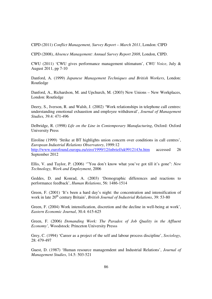CIPD (2011) *Conflict Management, Survey Report – March 2011*, London: CIPD

CIPD (2008), *Absence Management: Annual Survey Report 2008*, London, CIPD.

CWU (2011) 'CWU gives performance management ultimatum', *CWU Voice*, July & August 2011, pp 7-10

Danford, A. (1999) *Japanese Management Techniques and British Workers*, London: Routledge

Danford, A., Richardson, M. and Upchurch, M. (2003) New Unions – New Workplaces, London: Routledge

Deery, S., Iverson, R. and Walsh, J. (2002) 'Work relationships in telephone call centres: understanding emotional exhaustion and employee withdrawal', *Journal of Management Studies,* 39.4: 471-496

Delbridge, R. (1998) *Life on the Line in Contemporary Manufacturing*, Oxford: Oxford University Press

Eiroline (1999) 'Strike at BT highlights union concern over conditions in call centres', *European Industrial Relations Observatory*, 1999:12 http://www.eurofound.europa.eu/eiro/1999/12/inbrief/uk9912143n.htm accessed 26 September 2012

Ellis, V. and Taylor, P. (2006) '"You don't know what you've got till it's gone": *New Technology, Work and Employment*, 2006

Geddes, D. and Konrad, A. (2003) 'Demographic differences and reactions to performance feedback', *Human Relations*, 56: 1486-1514

Green, F. (2001) 'It's been a hard day's night: the concentration and intensification of work in late 20<sup>th</sup> century Britain', *British Journal of Industrial Relations*, 39: 53-80

Green, F. (2004) Work intensification, discretion and the decline in well-being at work', *Eastern Economic Journal*, 30.4: 615-625

Green, F. (2006) *Demanding Work: The Paradox of Job Quality in the Affluent Economy',* Woodstock: Princeton University Presss

Grey, C. (1994) 'Career as a project of the self and labour process discipline', *Sociology*, 28: 479-497

Guest, D. (1987) 'Human resource managemdent and Industrial Relations', *Journal of Management Studies*, 14.5: 503-521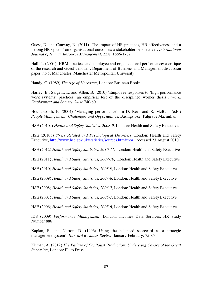Guest, D. and Conway, N. (2011) 'The impact of HR practices, HR effectiveness and a 'strong HR system' on organisational outcomes: a stakeholder perspective', *International Journal of Human Resource Management*, 22.8: 1886-1702

Hall, L. (2004) 'HRM practices and employee and organizational performance: a critique of the research and Guest's model', Department of Business and Management discussion paper, no.5, Manchester: Manchester Metropolitan University

Handy, C. (1989) *The Age of Unreason*, London: Business Books

Harley, B., Sargent, L. and Allen, B. (2010) 'Employee responses to 'high performance work systems' practices: an empirical test of the disciplined worker thesis', *Work, Employment and Society*, 24.4: 740-60

Houldsworth, E. (2004) 'Managing performance', in D. Rees and R. McBain (eds.) *People Management: Challenges and Opportunities*, Basingstoke: Palgrave Macmillan

HSE (2010a) *Health and Safety Statistics, 2008-9*, London: Health and Safety Executive

HSE (2010b) *Stress Related and Psychological Disorders*, London: Health and Safety Executive, http://www.hse.gov.uk/statistics/sources.htm#thor , accessed 23 August 2010

HSE (2012) *Health and Safety Statistics, 2010-11,* London: Health and Safety Executive

HSE (2011) *Health and Safety Statistics, 2009-10,* London: Health and Safety Executive

HSE (2010) *Health and Safety Statistics, 2008-9*, London: Health and Safety Executive

HSE (2009) *Health and Safety Statistics, 2007-8*, London: Health and Safety Executive

HSE (2008) *Health and Safety Statistics, 2006-7*, London: Health and Safety Executive

HSE (2007) *Health and Safety Statistics, 2006-7*, London: Health and Safety Executive

HSE (2006) *Health and Safety Statistics, 2005-6*, London: Health and Safety Executive

IDS (2009) *Performance Management*, London: Incomes Data Services, HR Study Number 886

Kaplan, R. and Norton, D. (1996) Using the balanced scorecard as a strategic management system', *Harvard Business Review*, January-February: 75-85

Kliman, A. (2012) *The Failure of Capitalist Production: Underlying Causes of the Great Recession*, London: Pluto Press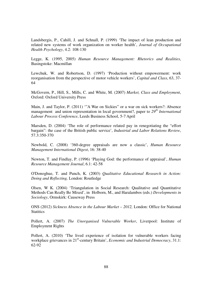Landsbergis, P., Cahill, J. and Schnall, P. (1999) 'The impact of lean production and related new systems of work organization on worker health', *Journal of Occupational Health Psychology*, 4.2: 108-130

Legge, K. (1995, 2005) *Human Resource Management: Rhetorics and Realities*, Basingstoke: Macmillan

Lewchuk, W. and Robertson, D. (1997) 'Production without empowerment: work reorganisation from the perspective of motor vehicle workers', *Capital and Class*, 63, 37- 64

McGovern, P., Hill, S., Mills, C. and White, M. (2007) *Market, Class and Employment*, Oxford: Oxford University Press

Main, J. and Taylor, P. (2011) '"A War on Sickies" or a war on sick workers?: Absence management and union representation in local government?, paper to *29th International Labour Process Conference*, Leeds Business School, 5-7 April

Marsden, D. (2004) 'The role of performance related pay in renegotiating the "effort bargain": the case of the British public service', *Industrial and Labor Relations Review*, 57.3:350-370

Newbold, C. (2008) '360-degree appraisals are now a classic', *Human Resource Management International Digest*, 16: 38-40

Newton, T. and Findlay, P. (1996) 'Playing God: the performance of appraisal', *Human Resource Management Journal*, 6.1: 42-58

O'Donoghue, T. and Punch, K. (2003) *Qualitative Educational Research in Action: Doing and Reflecting,* London: Routledge

Olsen, W K. (2004) 'Triangulation in Social Research: Qualitative and Quantitative Methods Can Really Be Mixed', in Holborn, M., and Haralambos (eds.) *Developments in Sociology*, Ormskirk: Causeway Press

ONS (2012) *Sickness Absence in the Labour Market – 2012,* London: Office for National **Statitics** 

Pollert, A. (2007) *The Unorganised Vulnerable Worker*, Liverpool: Institute of Employmrnt Rights

Pollert, A. (2010) 'The lived experience of isolation for vulnerable workers facing workplace grievances in 21st-century Britain', *Economic and Industrial Democracy*, 31.1: 62-92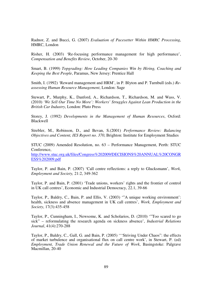Radnor, Z. and Bucci, G. (2007) *Evaluation of Pacesetter Within HMRC Processing*, HMRC, London

Risher, H. (2003) 'Re-focusing performance management for high performance', *Compensation and Benefits Review*, October, 20-30

Smart, B. (1999) *Topgrading: How Leading Companies Win by Hiring, Coaching and Keeping the Best People*, Paramus, New Jersey: Prentice Hall

Smith, I. (1992) 'Reward management and HRM', in P. Blyton and P. Turnbull (eds.) *Reassessing Human Resource Management*, London: Sage

Stewart, P., Murphy, K., Danford, A., Richardson, T., Richardson, M. and Wass, V. (2010) *'We Sell Our Time No More': Workers' Struggles Against Lean Production in the British Car Industry*, London: Pluto Press

Storey, J. (1992) *Developments in the Management of Human Resources*, Oxford: Blackwell

Strebler, M., Robinson, D., and Bevan, S.(2001) *Performance Review: Balancing Objectives and Content, IES Report no. 370*, Brighton: Institute for Employment Studies

STUC (2009) Amended Resolution, no. 63 – Performance Management, Perth: STUC Conference,

http://www.stuc.org.uk/files/Congress%202009/DECISIONS%20ANNUAL%20CONGR ESS%202009.pdf

Taylor, P. and Bain, P. (2007) 'Call centre reflections: a reply to Glucksmann', *Work, Employment and Society,* 21:2, 349-362

Taylor, P. and Bain, P. (2001) 'Trade unions, workers' rights and the frontier of control in UK call centres', Economic and Industrial Democracy, 22.1, 39-66

Taylor, P., Baldry, C., Bain, P. and Ellis, V. (2003) '"A unique working environment': health, sickness and absence management in UK call centres', *Work, Employment and Society*, 17(3):435-458

Taylor, P., Cunningham, I., Newsome, K. and Scholarios, D. (2010) '"Too scared to go sick" – reformulating the research agenda on sickness absence', *Industrial Relations Journal*, 41(4):270-288

Taylor, P., Baldry, C., Gall, G. and Bain, P. (2005) '''Striving Under Chaos": the effects of market turbulence and organisational flux on call centre work', in Stewart, P. (ed) *Employment, Trade Union Renewal and the Future of Work*, Basingstoke: Palgrave Macmillan, 20-40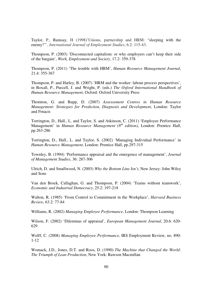Taylor, P., Ramsay, H (1998)'Unions, partnership and HRM: "sleeping with the enemy?"', *International Journal of Employment Studies*, 6.2: 115-43.

Thompson, P. (2003) 'Disconnected capitalism: or why employers can't keep their side of the bargain', *Work, Employment and Society*, 17.2: 359-378

Thompson, P. (2011) 'The trouble with HRM', *Human Resource Management Journal*, 21.4: 355-367

Thompson, P. and Harley, B. (2007) 'HRM and the worker: labour process perspectives', in Boxall, P., Purcell, J. and Wright, P. (eds.) *The Oxford International Handbook of Human Resource Management*, Oxford: Oxford University Press

Thornton, G. and Rupp, D. (2007) *Assessement Centres in Human Resource Management: Strategies for Prediction, Diagnosis and Development*, London: Taylor and Frnacis

Torrington, D., Hall., L. and Taylor, S. and Atkinson, C. (2011) 'Employee Performance Management' in *Human Resource Management (8th edition)*, London: Prentice Hall, pp.263-286

Torrington, D., Hall., L. and Taylor, S. (2002) 'Managing Individual Performance' in *Human Resource Management*, London: Prentice Hall, pp.297-315

Townley, B. (1994) 'Performance appraisal and the emergence of management', *Journal of Management Studies*, 36: 287-306

Ulrich, D. and Smallwood, N. (2003) *Why the Bottom Line Isn't*, New Jersey: John Wiley and Sons

Van den Broek, Callaghan, G. and Thompson, P. (2004) 'Teams without teamwork', *Economic and Industrial Democracy*, 25.2: 197-218

Walton, R. (1985) 'From Control to Commitment in the Workplace', *Harvard Business Review*, 63.2: 77-84

Williams, R. (2002) *Managing Employee Performance*, London: Thompson Learning

Wilson, F. (2002) 'Dilemmas of appraisal', *European Management Journal*, 20.6: 620- 629

Wolff, C. (2008) *Managing Employee Performance*, IRS Employment Review, no. 890: 1-12

Womack, J.D., Jones, D.T. and Roos, D. (1990) *The Machine that Changed the World: The Triumph of Lean Production*, New York: Rawson Macmillan